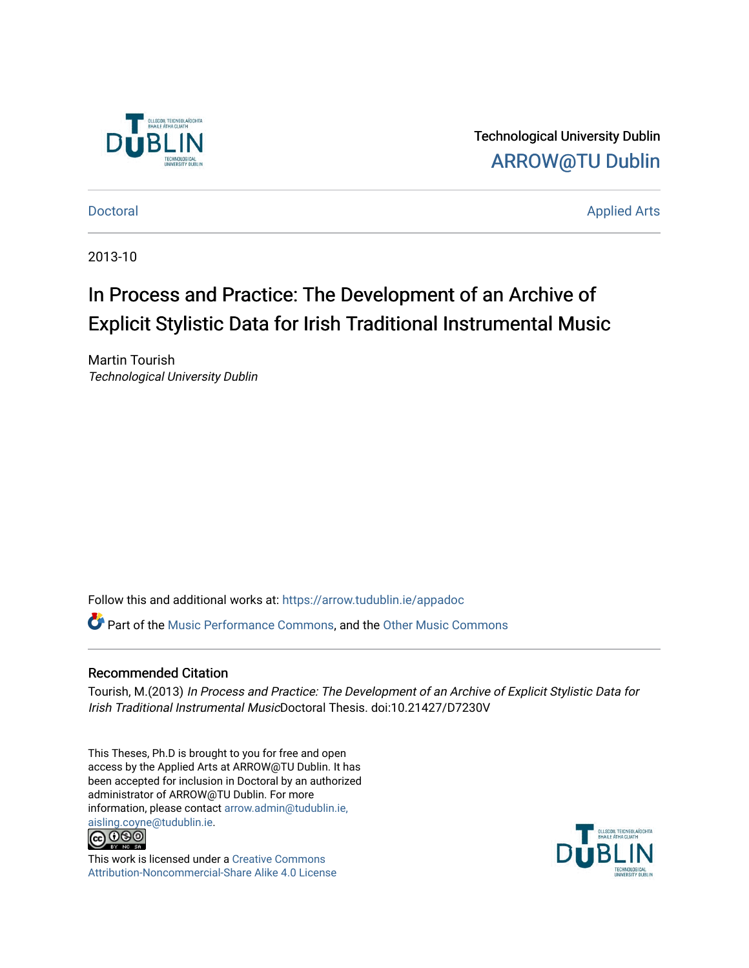

Technological University Dublin [ARROW@TU Dublin](https://arrow.tudublin.ie/) 

[Doctoral](https://arrow.tudublin.ie/appadoc) Applied Arts

2013-10

# In Process and Practice: The Development of an Archive of Explicit Stylistic Data for Irish Traditional Instrumental Music

Martin Tourish Technological University Dublin

Follow this and additional works at: [https://arrow.tudublin.ie/appadoc](https://arrow.tudublin.ie/appadoc?utm_source=arrow.tudublin.ie%2Fappadoc%2F46&utm_medium=PDF&utm_campaign=PDFCoverPages) 

Part of the [Music Performance Commons](http://network.bepress.com/hgg/discipline/1128?utm_source=arrow.tudublin.ie%2Fappadoc%2F46&utm_medium=PDF&utm_campaign=PDFCoverPages), and the [Other Music Commons](http://network.bepress.com/hgg/discipline/524?utm_source=arrow.tudublin.ie%2Fappadoc%2F46&utm_medium=PDF&utm_campaign=PDFCoverPages) 

#### Recommended Citation

Tourish, M.(2013) In Process and Practice: The Development of an Archive of Explicit Stylistic Data for Irish Traditional Instrumental MusicDoctoral Thesis. doi:10.21427/D7230V

This Theses, Ph.D is brought to you for free and open access by the Applied Arts at ARROW@TU Dublin. It has been accepted for inclusion in Doctoral by an authorized administrator of ARROW@TU Dublin. For more information, please contact [arrow.admin@tudublin.ie,](mailto:arrow.admin@tudublin.ie,%20aisling.coyne@tudublin.ie)  [aisling.coyne@tudublin.ie.](mailto:arrow.admin@tudublin.ie,%20aisling.coyne@tudublin.ie)<br>@060



This work is licensed under a [Creative Commons](http://creativecommons.org/licenses/by-nc-sa/4.0/) [Attribution-Noncommercial-Share Alike 4.0 License](http://creativecommons.org/licenses/by-nc-sa/4.0/)

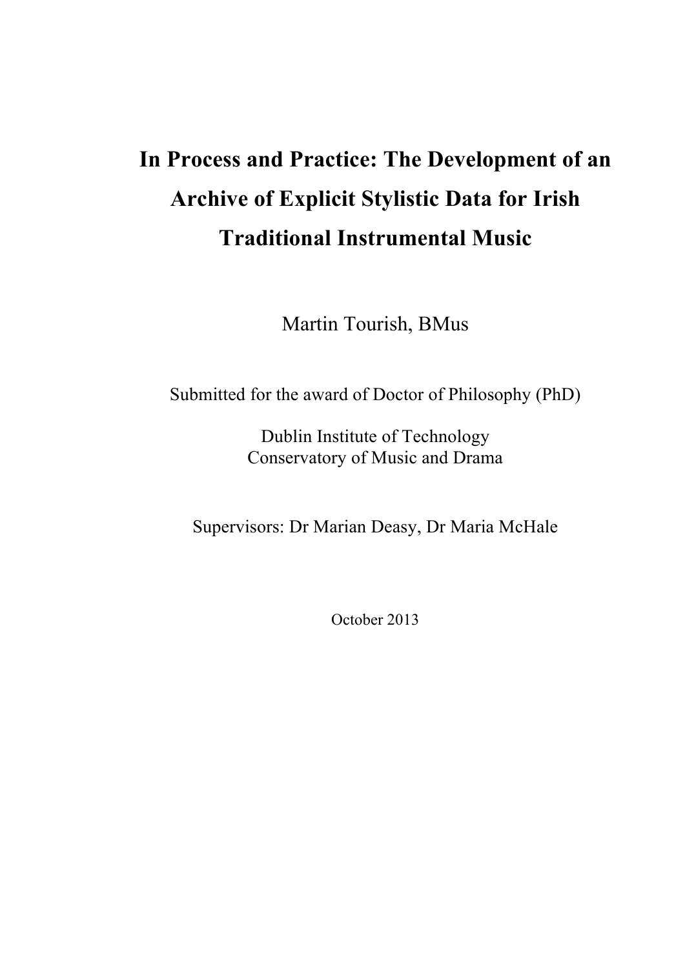# **In Process and Practice: The Development of an Archive of Explicit Stylistic Data for Irish Traditional Instrumental Music**

Martin Tourish, BMus

Submitted for the award of Doctor of Philosophy (PhD)

Dublin Institute of Technology Conservatory of Music and Drama

Supervisors: Dr Marian Deasy, Dr Maria McHale

October 2013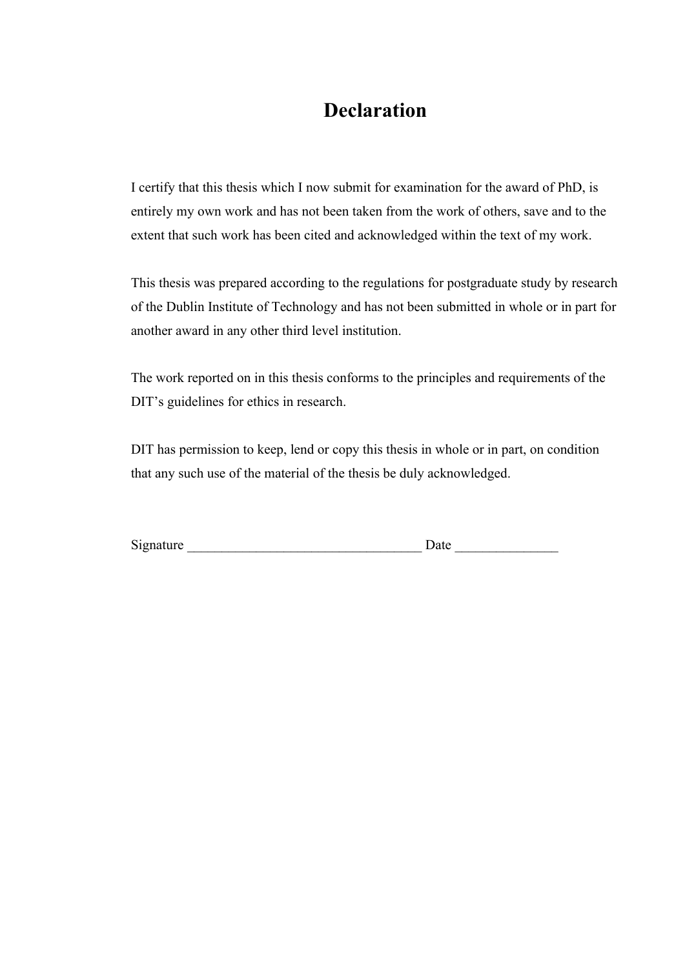### **Declaration**

I certify that this thesis which I now submit for examination for the award of PhD, is entirely my own work and has not been taken from the work of others, save and to the extent that such work has been cited and acknowledged within the text of my work.

This thesis was prepared according to the regulations for postgraduate study by research of the Dublin Institute of Technology and has not been submitted in whole or in part for another award in any other third level institution.

The work reported on in this thesis conforms to the principles and requirements of the DIT's guidelines for ethics in research.

DIT has permission to keep, lend or copy this thesis in whole or in part, on condition that any such use of the material of the thesis be duly acknowledged.

| Signature | $-1$<br>vale |
|-----------|--------------|
|           |              |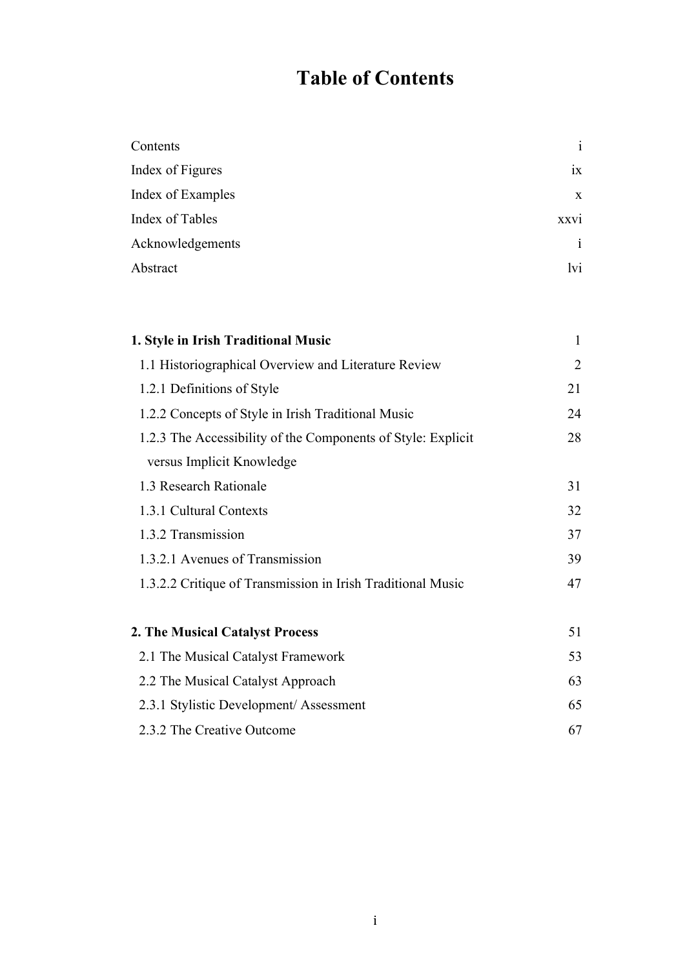# **Table of Contents**

| Contents          | $\mathbf{i}$ |
|-------------------|--------------|
| Index of Figures  | ix           |
| Index of Examples | $\mathbf{X}$ |
| Index of Tables   | XXV1         |
| Acknowledgements  | i            |
| Abstract          | lvi          |

| 1. Style in Irish Traditional Music                          | $\mathbf{1}$   |
|--------------------------------------------------------------|----------------|
| 1.1 Historiographical Overview and Literature Review         | $\overline{2}$ |
| 1.2.1 Definitions of Style                                   | 21             |
| 1.2.2 Concepts of Style in Irish Traditional Music           | 24             |
| 1.2.3 The Accessibility of the Components of Style: Explicit | 28             |
| versus Implicit Knowledge                                    |                |
| 1.3 Research Rationale                                       | 31             |
| 1.3.1 Cultural Contexts                                      | 32             |
| 1.3.2 Transmission                                           | 37             |
| 1.3.2.1 Avenues of Transmission                              | 39             |
| 1.3.2.2 Critique of Transmission in Irish Traditional Music  | 47             |
|                                                              |                |
| 2. The Musical Catalyst Process                              | 51             |
| 2.1 The Musical Catalyst Framework                           | 53             |
| 2.2 The Musical Catalyst Approach                            | 63             |
| 2.3.1 Stylistic Development/Assessment                       | 65             |
| 2.3.2 The Creative Outcome                                   | 67             |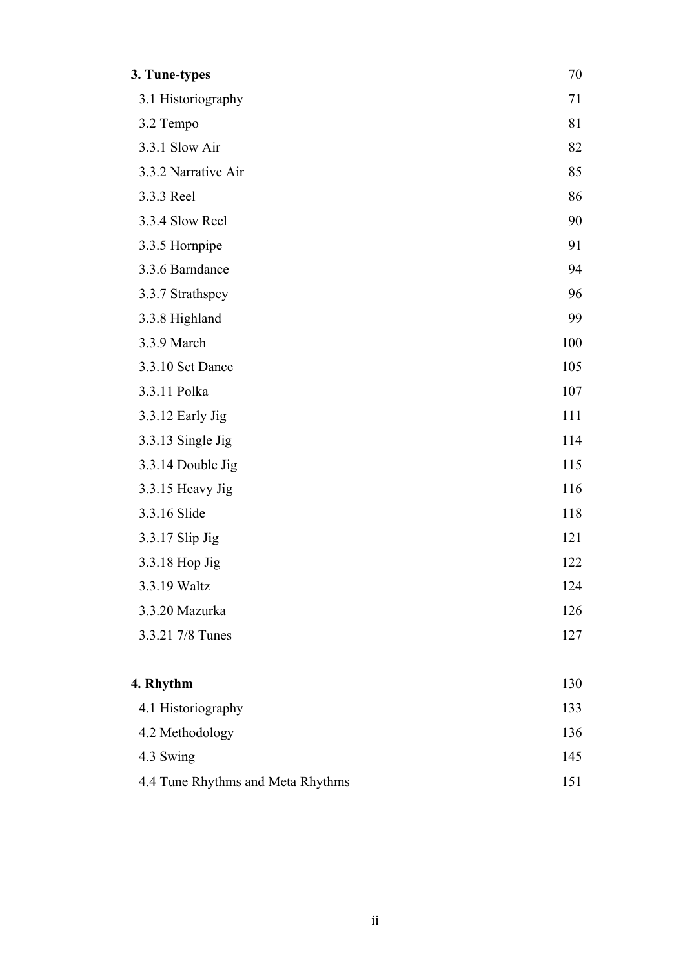| 3. Tune-types                     | 70  |
|-----------------------------------|-----|
| 3.1 Historiography                | 71  |
| 3.2 Tempo                         | 81  |
| 3.3.1 Slow Air                    | 82  |
| 3.3.2 Narrative Air               | 85  |
| 3.3.3 Reel                        | 86  |
| 3.3.4 Slow Reel                   | 90  |
| 3.3.5 Hornpipe                    | 91  |
| 3.3.6 Barndance                   | 94  |
| 3.3.7 Strathspey                  | 96  |
| 3.3.8 Highland                    | 99  |
| 3.3.9 March                       | 100 |
| 3.3.10 Set Dance                  | 105 |
| 3.3.11 Polka                      | 107 |
| 3.3.12 Early Jig                  | 111 |
| 3.3.13 Single Jig                 | 114 |
| 3.3.14 Double Jig                 | 115 |
| 3.3.15 Heavy Jig                  | 116 |
| 3.3.16 Slide                      | 118 |
| 3.3.17 Slip Jig                   | 121 |
| 3.3.18 Hop Jig                    | 122 |
| 3.3.19 Waltz                      | 124 |
| 3.3.20 Mazurka                    | 126 |
| 3.3.21 7/8 Tunes                  | 127 |
| 4. Rhythm                         | 130 |
| 4.1 Historiography                | 133 |
| 4.2 Methodology                   | 136 |
| 4.3 Swing                         | 145 |
| 4.4 Tune Rhythms and Meta Rhythms | 151 |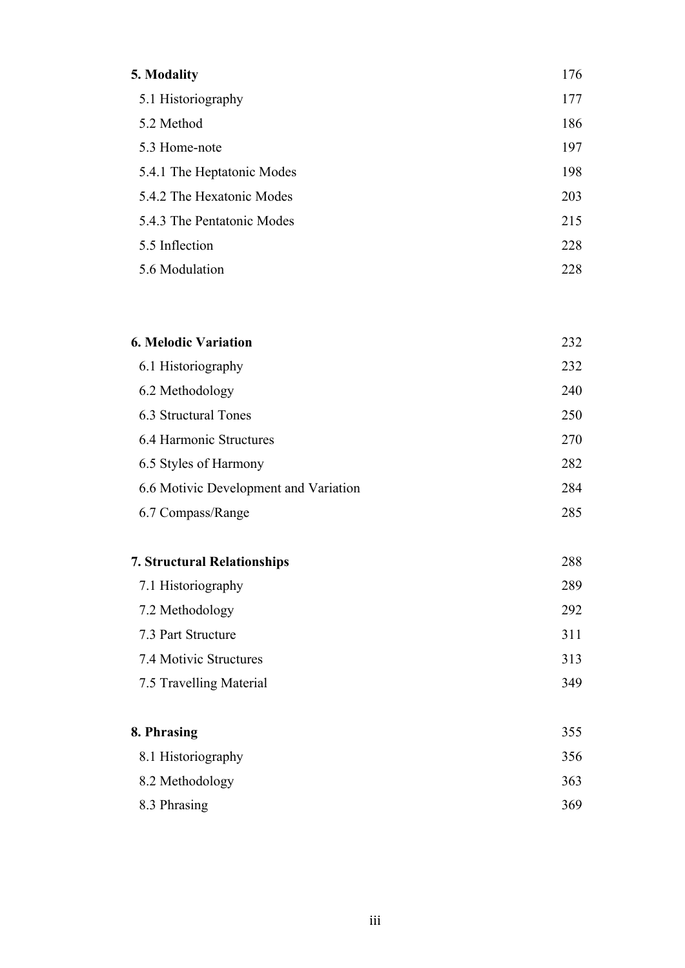| 5. Modality                | 176 |
|----------------------------|-----|
| 5.1 Historiography         | 177 |
| 5.2 Method                 | 186 |
| 5.3 Home-note              | 197 |
| 5.4.1 The Heptatonic Modes | 198 |
| 5.4.2 The Hexatonic Modes  | 203 |
| 5.4.3 The Pentatonic Modes | 215 |
| 5.5 Inflection             | 228 |
| 5.6 Modulation             | 228 |

| <b>6. Melodic Variation</b>           |     |
|---------------------------------------|-----|
| 6.1 Historiography                    | 232 |
| 6.2 Methodology                       | 240 |
| 6.3 Structural Tones                  | 250 |
| 6.4 Harmonic Structures               | 270 |
| 6.5 Styles of Harmony                 | 282 |
| 6.6 Motivic Development and Variation | 284 |
| 6.7 Compass/Range                     | 285 |

| <b>7. Structural Relationships</b> | 288 |
|------------------------------------|-----|
| 7.1 Historiography                 | 289 |
| 7.2 Methodology                    | 292 |
| 7.3 Part Structure                 | 311 |
| 7.4 Motivic Structures             | 313 |
| 7.5 Travelling Material            | 349 |
|                                    |     |

| 8. Phrasing        |     |
|--------------------|-----|
| 8.1 Historiography | 356 |
| 8.2 Methodology    | 363 |
| 8.3 Phrasing       | 369 |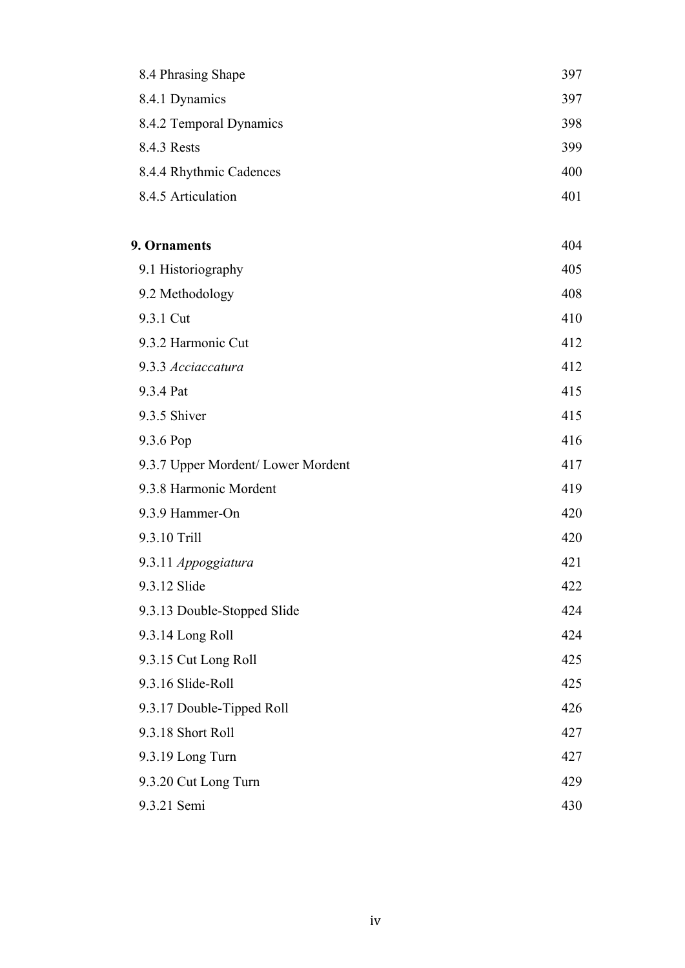| 8.4 Phrasing Shape                 | 397 |
|------------------------------------|-----|
| 8.4.1 Dynamics                     | 397 |
| 8.4.2 Temporal Dynamics            | 398 |
| 8.4.3 Rests                        | 399 |
| 8.4.4 Rhythmic Cadences            | 400 |
| 8.4.5 Articulation                 | 401 |
| 9. Ornaments                       | 404 |
| 9.1 Historiography                 | 405 |
| 9.2 Methodology                    | 408 |
| 9.3.1 Cut                          | 410 |
| 9.3.2 Harmonic Cut                 | 412 |
| 9.3.3 Acciaccatura                 | 412 |
| 9.3.4 Pat                          | 415 |
| 9.3.5 Shiver                       | 415 |
| 9.3.6 Pop                          | 416 |
| 9.3.7 Upper Mordent/ Lower Mordent | 417 |
| 9.3.8 Harmonic Mordent             | 419 |
| 9.3.9 Hammer-On                    | 420 |
| 9.3.10 Trill                       | 420 |
| 9.3.11 Appoggiatura                | 421 |
| 9.3.12 Slide                       | 422 |
| 9.3.13 Double-Stopped Slide        | 424 |
| 9.3.14 Long Roll                   | 424 |
| 9.3.15 Cut Long Roll               | 425 |
| 9.3.16 Slide-Roll                  | 425 |
| 9.3.17 Double-Tipped Roll          | 426 |
| 9.3.18 Short Roll                  | 427 |
| 9.3.19 Long Turn                   | 427 |
| 9.3.20 Cut Long Turn               | 429 |
| 9.3.21 Semi                        | 430 |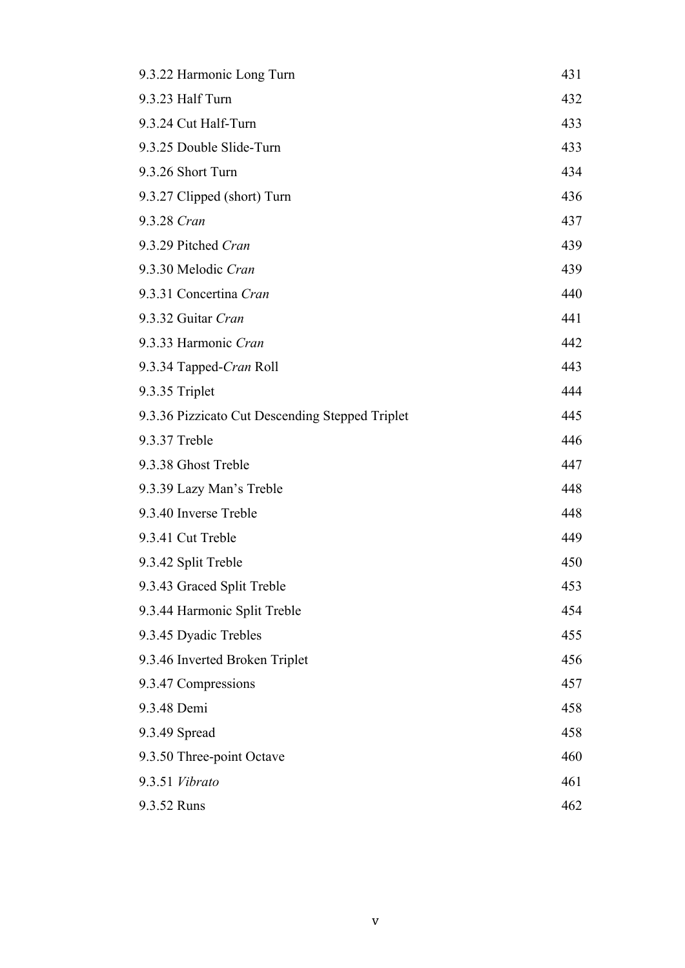| 9.3.22 Harmonic Long Turn                       | 431 |
|-------------------------------------------------|-----|
| 9.3.23 Half Turn                                | 432 |
| 9.3.24 Cut Half-Turn                            | 433 |
| 9.3.25 Double Slide-Turn                        | 433 |
| 9.3.26 Short Turn                               | 434 |
| 9.3.27 Clipped (short) Turn                     | 436 |
| 9.3.28 Cran                                     | 437 |
| 9.3.29 Pitched Cran                             | 439 |
| 9.3.30 Melodic Cran                             | 439 |
| 9.3.31 Concertina Cran                          | 440 |
| 9.3.32 Guitar Cran                              | 441 |
| 9.3.33 Harmonic Cran                            | 442 |
| 9.3.34 Tapped-Cran Roll                         | 443 |
| 9.3.35 Triplet                                  | 444 |
| 9.3.36 Pizzicato Cut Descending Stepped Triplet | 445 |
| 9.3.37 Treble                                   | 446 |
| 9.3.38 Ghost Treble                             | 447 |
| 9.3.39 Lazy Man's Treble                        | 448 |
| 9.3.40 Inverse Treble                           | 448 |
| 9.3.41 Cut Treble                               | 449 |
| 9.3.42 Split Treble                             | 450 |
| 9.3.43 Graced Split Treble                      | 453 |
| 9.3.44 Harmonic Split Treble                    | 454 |
| 9.3.45 Dyadic Trebles                           | 455 |
| 9.3.46 Inverted Broken Triplet                  | 456 |
| 9.3.47 Compressions                             | 457 |
| 9.3.48 Demi                                     | 458 |
| 9.3.49 Spread                                   | 458 |
| 9.3.50 Three-point Octave                       | 460 |
| 9.3.51 Vibrato                                  | 461 |
| 9.3.52 Runs                                     | 462 |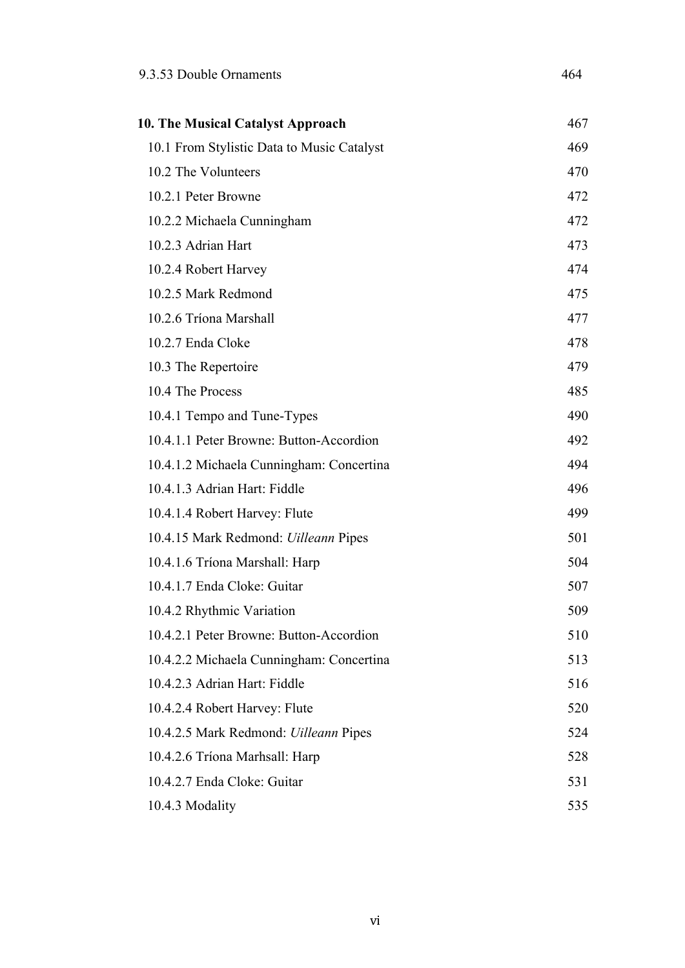| 10. The Musical Catalyst Approach            | 467 |
|----------------------------------------------|-----|
| 10.1 From Stylistic Data to Music Catalyst   | 469 |
| 10.2 The Volunteers                          | 470 |
| 10.2.1 Peter Browne                          | 472 |
| 10.2.2 Michaela Cunningham                   | 472 |
| 10.2.3 Adrian Hart                           | 473 |
| 10.2.4 Robert Harvey                         | 474 |
| 10.2.5 Mark Redmond                          | 475 |
| 10.2.6 Tríona Marshall                       | 477 |
| 10.2.7 Enda Cloke                            | 478 |
| 10.3 The Repertoire                          | 479 |
| 10.4 The Process                             | 485 |
| 10.4.1 Tempo and Tune-Types                  | 490 |
| 10.4.1.1 Peter Browne: Button-Accordion      | 492 |
| 10.4.1.2 Michaela Cunningham: Concertina     | 494 |
| 10.4.1.3 Adrian Hart: Fiddle                 | 496 |
| 10.4.1.4 Robert Harvey: Flute                | 499 |
| 10.4.15 Mark Redmond: <i>Uilleann</i> Pipes  | 501 |
| 10.4.1.6 Tríona Marshall: Harp               | 504 |
| 10.4.1.7 Enda Cloke: Guitar                  | 507 |
| 10.4.2 Rhythmic Variation                    | 509 |
| 10.4.2.1 Peter Browne: Button-Accordion      | 510 |
| 10.4.2.2 Michaela Cunningham: Concertina     | 513 |
| 10.4.2.3 Adrian Hart: Fiddle                 | 516 |
| 10.4.2.4 Robert Harvey: Flute                | 520 |
| 10.4.2.5 Mark Redmond: <i>Uilleann</i> Pipes | 524 |
| 10.4.2.6 Tríona Marhsall: Harp               | 528 |
| 10.4.2.7 Enda Cloke: Guitar                  | 531 |
| 10.4.3 Modality                              | 535 |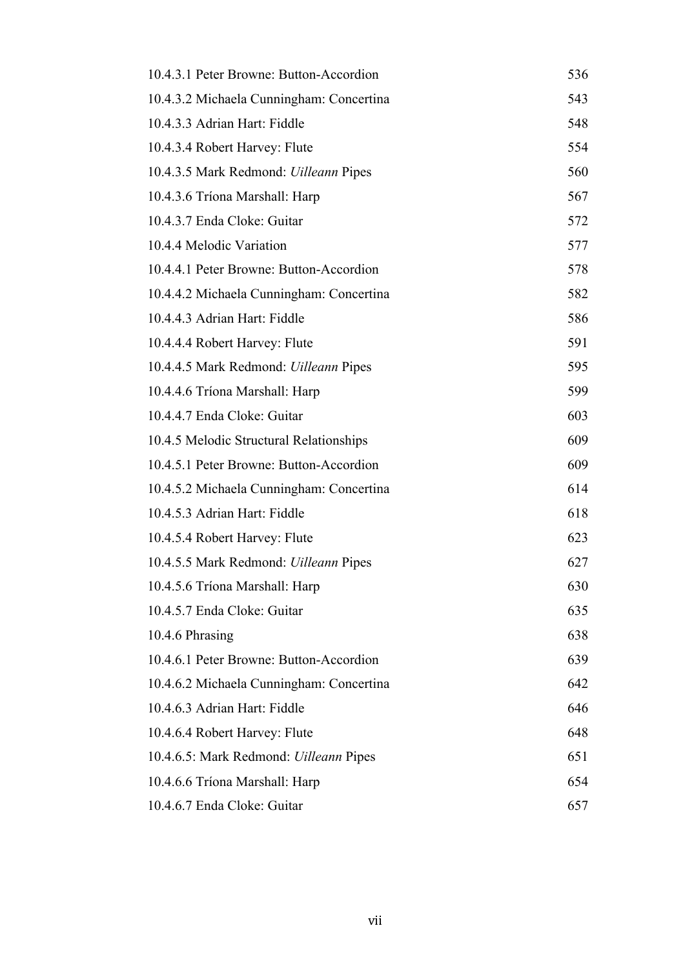| 10.4.3.1 Peter Browne: Button-Accordion       | 536 |
|-----------------------------------------------|-----|
| 10.4.3.2 Michaela Cunningham: Concertina      | 543 |
| 10.4.3.3 Adrian Hart: Fiddle                  | 548 |
| 10.4.3.4 Robert Harvey: Flute                 | 554 |
| 10.4.3.5 Mark Redmond: <i>Uilleann</i> Pipes  | 560 |
| 10.4.3.6 Tríona Marshall: Harp                | 567 |
| 10.4.3.7 Enda Cloke: Guitar                   | 572 |
| 10.4.4 Melodic Variation                      | 577 |
| 10.4.4.1 Peter Browne: Button-Accordion       | 578 |
| 10.4.4.2 Michaela Cunningham: Concertina      | 582 |
| 10.4.4.3 Adrian Hart: Fiddle                  | 586 |
| 10.4.4.4 Robert Harvey: Flute                 | 591 |
| 10.4.4.5 Mark Redmond: <i>Uilleann</i> Pipes  | 595 |
| 10.4.4.6 Tríona Marshall: Harp                | 599 |
| 10.4.4.7 Enda Cloke: Guitar                   | 603 |
| 10.4.5 Melodic Structural Relationships       | 609 |
| 10.4.5.1 Peter Browne: Button-Accordion       | 609 |
| 10.4.5.2 Michaela Cunningham: Concertina      | 614 |
| 10.4.5.3 Adrian Hart: Fiddle                  | 618 |
| 10.4.5.4 Robert Harvey: Flute                 | 623 |
| 10.4.5.5 Mark Redmond: <i>Uilleann</i> Pipes  | 627 |
| 10.4.5.6 Tríona Marshall: Harp                | 630 |
| 10.4.5.7 Enda Cloke: Guitar                   | 635 |
| 10.4.6 Phrasing                               | 638 |
| 10.4.6.1 Peter Browne: Button-Accordion       | 639 |
| 10.4.6.2 Michaela Cunningham: Concertina      | 642 |
| 10.4.6.3 Adrian Hart: Fiddle                  | 646 |
| 10.4.6.4 Robert Harvey: Flute                 | 648 |
| 10.4.6.5: Mark Redmond: <i>Uilleann</i> Pipes | 651 |
| 10.4.6.6 Tríona Marshall: Harp                | 654 |
| 10.4.6.7 Enda Cloke: Guitar                   | 657 |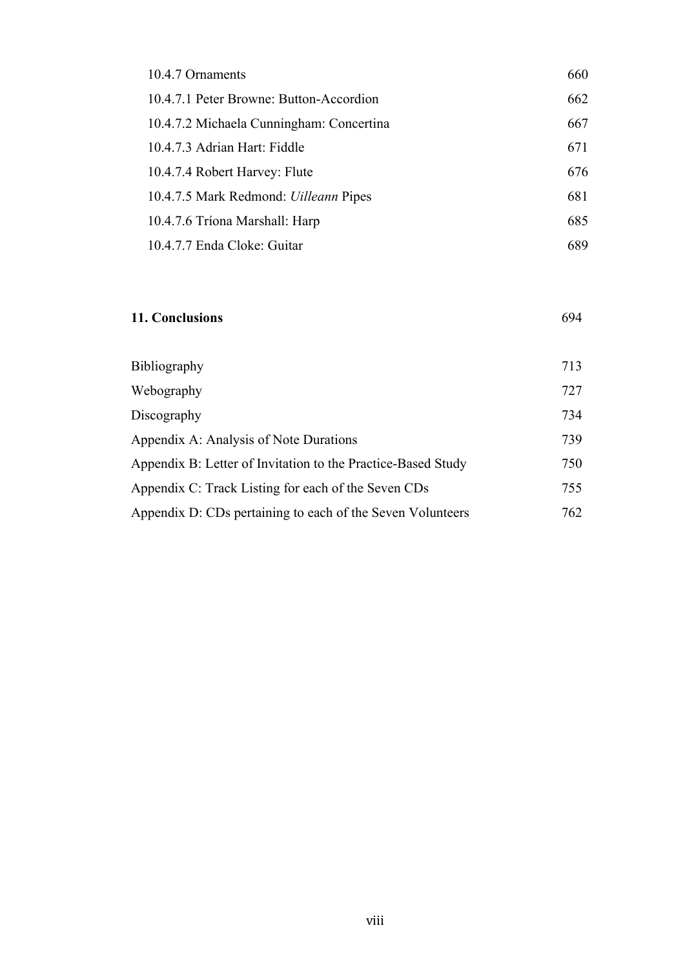| 10.4.7 Ornaments                             | 660 |
|----------------------------------------------|-----|
| 10.4.7.1 Peter Browne: Button-Accordion      | 662 |
| 10.4.7.2 Michaela Cunningham: Concertina     | 667 |
| 10.4.7.3 Adrian Hart: Fiddle                 | 671 |
| 10.4.7.4 Robert Harvey: Flute                | 676 |
| 10.4.7.5 Mark Redmond: <i>Uilleann</i> Pipes | 681 |
| 10.4.7.6 Tríona Marshall: Harp               | 685 |
| 10.4.7.7 Enda Cloke: Guitar                  | 689 |

#### **11. Conclusions** 694

| <b>Bibliography</b>                                          | 713 |
|--------------------------------------------------------------|-----|
| Webography                                                   | 727 |
| Discography                                                  | 734 |
| Appendix A: Analysis of Note Durations                       | 739 |
| Appendix B: Letter of Invitation to the Practice-Based Study | 750 |
| Appendix C: Track Listing for each of the Seven CDs          | 755 |
| Appendix D: CDs pertaining to each of the Seven Volunteers   | 762 |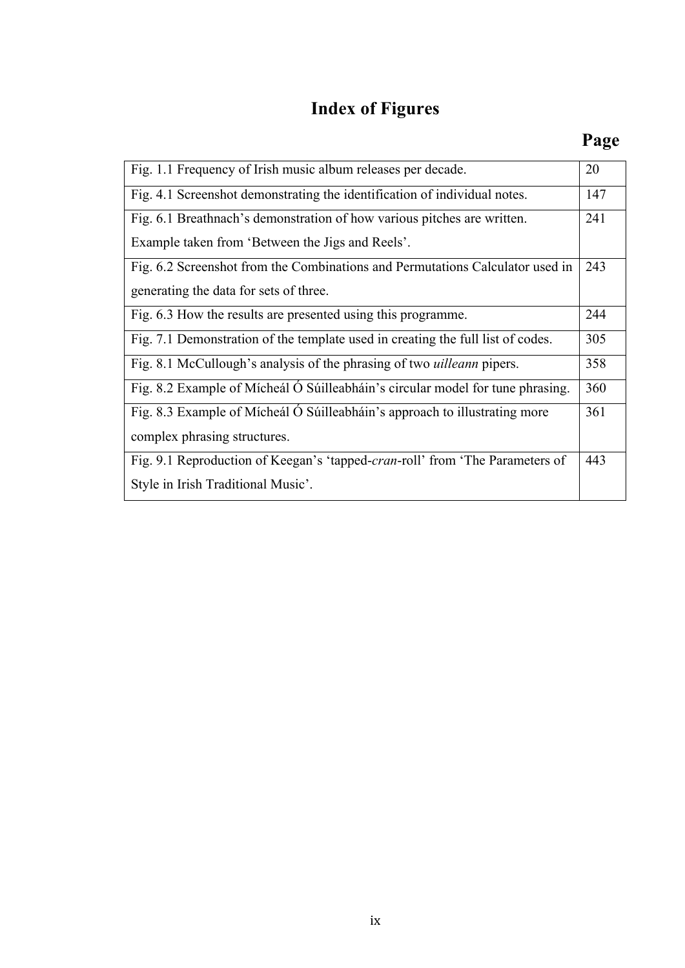# **Index of Figures**

| Fig. 1.1 Frequency of Irish music album releases per decade.                    | 20  |
|---------------------------------------------------------------------------------|-----|
| Fig. 4.1 Screenshot demonstrating the identification of individual notes.       | 147 |
| Fig. 6.1 Breathnach's demonstration of how various pitches are written.         | 241 |
| Example taken from 'Between the Jigs and Reels'.                                |     |
| Fig. 6.2 Screenshot from the Combinations and Permutations Calculator used in   | 243 |
| generating the data for sets of three.                                          |     |
| Fig. 6.3 How the results are presented using this programme.                    | 244 |
| Fig. 7.1 Demonstration of the template used in creating the full list of codes. | 305 |
| Fig. 8.1 McCullough's analysis of the phrasing of two <i>uilleann</i> pipers.   | 358 |
| Fig. 8.2 Example of Mícheál Ó Súilleabháin's circular model for tune phrasing.  | 360 |
| Fig. 8.3 Example of Mícheál Ó Súilleabháin's approach to illustrating more      | 361 |
| complex phrasing structures.                                                    |     |
| Fig. 9.1 Reproduction of Keegan's 'tapped-cran-roll' from 'The Parameters of    | 443 |
| Style in Irish Traditional Music'.                                              |     |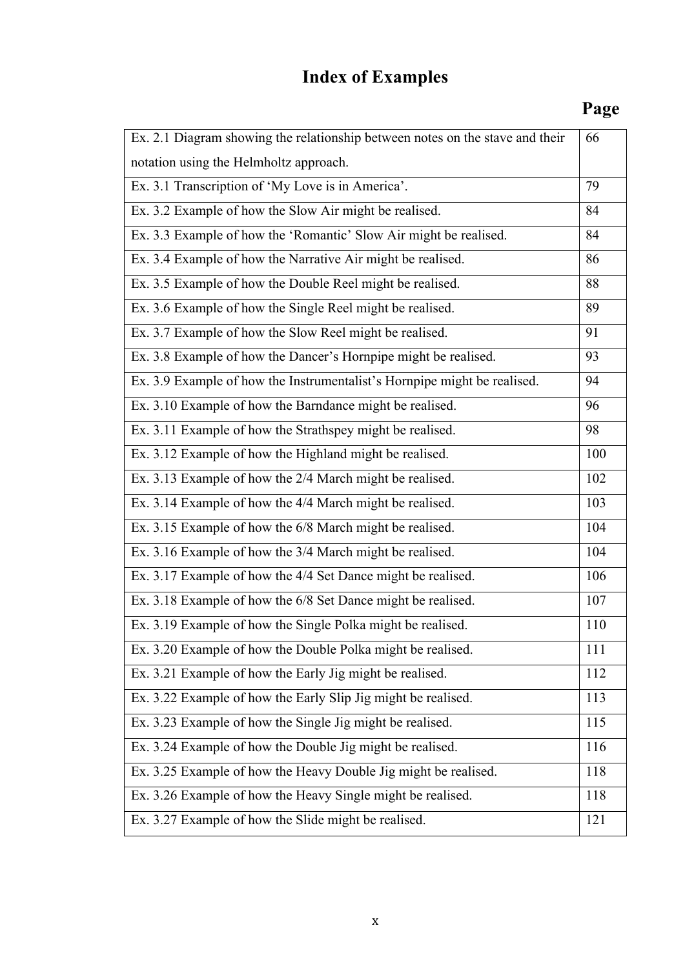# **Index of Examples**

## **Page**

| Ex. 2.1 Diagram showing the relationship between notes on the stave and their | 66  |
|-------------------------------------------------------------------------------|-----|
| notation using the Helmholtz approach.                                        |     |
| Ex. 3.1 Transcription of 'My Love is in America'.                             | 79  |
| Ex. 3.2 Example of how the Slow Air might be realised.                        | 84  |
| Ex. 3.3 Example of how the 'Romantic' Slow Air might be realised.             | 84  |
| Ex. 3.4 Example of how the Narrative Air might be realised.                   | 86  |
| Ex. 3.5 Example of how the Double Reel might be realised.                     | 88  |
| Ex. 3.6 Example of how the Single Reel might be realised.                     | 89  |
| Ex. 3.7 Example of how the Slow Reel might be realised.                       | 91  |
| Ex. 3.8 Example of how the Dancer's Hornpipe might be realised.               | 93  |
| Ex. 3.9 Example of how the Instrumentalist's Hornpipe might be realised.      | 94  |
| Ex. 3.10 Example of how the Barndance might be realised.                      | 96  |
| Ex. 3.11 Example of how the Strathspey might be realised.                     | 98  |
| Ex. 3.12 Example of how the Highland might be realised.                       | 100 |
| Ex. 3.13 Example of how the 2/4 March might be realised.                      | 102 |
| Ex. 3.14 Example of how the 4/4 March might be realised.                      | 103 |
| Ex. 3.15 Example of how the 6/8 March might be realised.                      | 104 |
| Ex. 3.16 Example of how the 3/4 March might be realised.                      | 104 |
| Ex. 3.17 Example of how the 4/4 Set Dance might be realised.                  | 106 |
| Ex. 3.18 Example of how the 6/8 Set Dance might be realised.                  | 107 |
| Ex. 3.19 Example of how the Single Polka might be realised.                   | 110 |
| Ex. 3.20 Example of how the Double Polka might be realised.                   | 111 |
| Ex. 3.21 Example of how the Early Jig might be realised.                      | 112 |
| Ex. 3.22 Example of how the Early Slip Jig might be realised.                 | 113 |
| Ex. 3.23 Example of how the Single Jig might be realised.                     | 115 |
| Ex. 3.24 Example of how the Double Jig might be realised.                     | 116 |
| Ex. 3.25 Example of how the Heavy Double Jig might be realised.               | 118 |
| Ex. 3.26 Example of how the Heavy Single might be realised.                   | 118 |
| Ex. 3.27 Example of how the Slide might be realised.                          | 121 |
|                                                                               |     |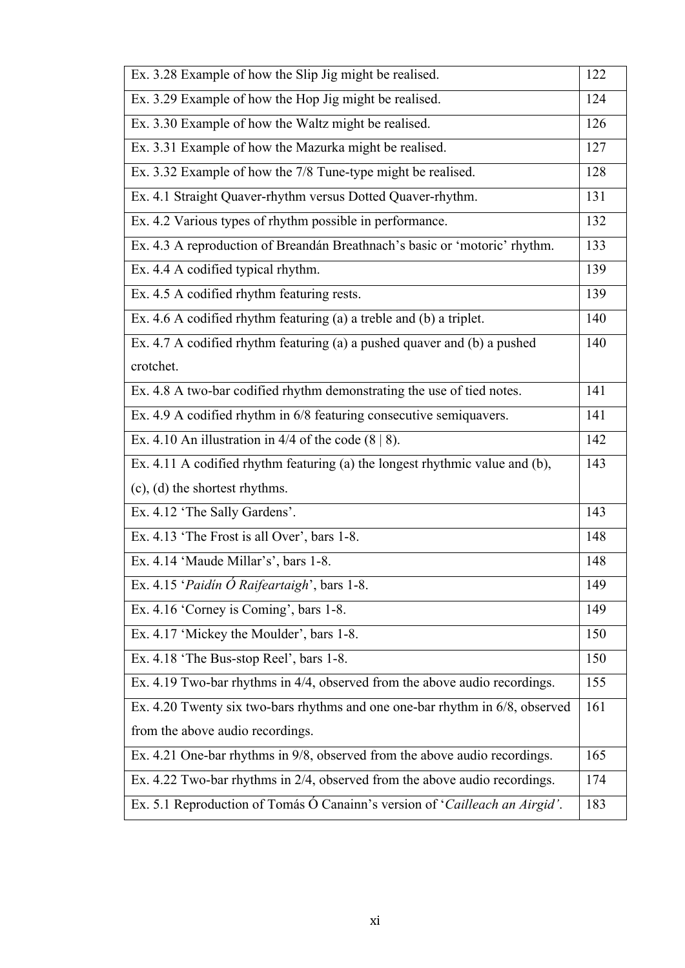| Ex. 3.28 Example of how the Slip Jig might be realised.<br>122<br>Ex. 3.29 Example of how the Hop Jig might be realised.<br>124<br>Ex. 3.30 Example of how the Waltz might be realised.<br>126<br>Ex. 3.31 Example of how the Mazurka might be realised.<br>127<br>Ex. 3.32 Example of how the 7/8 Tune-type might be realised.<br>128<br>Ex. 4.1 Straight Quaver-rhythm versus Dotted Quaver-rhythm.<br>131<br>Ex. 4.2 Various types of rhythm possible in performance.<br>132<br>Ex. 4.3 A reproduction of Breandán Breathnach's basic or 'motoric' rhythm.<br>133<br>Ex. 4.4 A codified typical rhythm.<br>139<br>Ex. 4.5 A codified rhythm featuring rests.<br>139<br>Ex. 4.6 A codified rhythm featuring (a) a treble and (b) a triplet.<br>140<br>Ex. 4.7 A codified rhythm featuring (a) a pushed quaver and (b) a pushed<br>140<br>crotchet.<br>Ex. 4.8 A two-bar codified rhythm demonstrating the use of tied notes.<br>141<br>Ex. 4.9 A codified rhythm in 6/8 featuring consecutive semiquavers.<br>141<br>Ex. 4.10 An illustration in 4/4 of the code $(8   8)$ .<br>142<br>Ex. 4.11 A codified rhythm featuring (a) the longest rhythmic value and (b),<br>143<br>$(c)$ , $(d)$ the shortest rhythms.<br>Ex. 4.12 'The Sally Gardens'.<br>143<br>Ex. 4.13 'The Frost is all Over', bars 1-8.<br>148<br>Ex. 4.14 'Maude Millar's', bars 1-8.<br>148<br>Ex. 4.15 'Paidín Ó Raifeartaigh', bars 1-8.<br>149<br>Ex. 4.16 'Corney is Coming', bars 1-8.<br>149<br>Ex. 4.17 'Mickey the Moulder', bars 1-8.<br>150<br>Ex. 4.18 'The Bus-stop Reel', bars 1-8.<br>150<br>Ex. 4.19 Two-bar rhythms in 4/4, observed from the above audio recordings.<br>155<br>Ex. 4.20 Twenty six two-bars rhythms and one one-bar rhythm in 6/8, observed<br>161<br>from the above audio recordings.<br>Ex. 4.21 One-bar rhythms in 9/8, observed from the above audio recordings.<br>165<br>Ex. 4.22 Two-bar rhythms in 2/4, observed from the above audio recordings.<br>174<br>Ex. 5.1 Reproduction of Tomás Ó Canainn's version of 'Cailleach an Airgid'.<br>183 |  |
|--------------------------------------------------------------------------------------------------------------------------------------------------------------------------------------------------------------------------------------------------------------------------------------------------------------------------------------------------------------------------------------------------------------------------------------------------------------------------------------------------------------------------------------------------------------------------------------------------------------------------------------------------------------------------------------------------------------------------------------------------------------------------------------------------------------------------------------------------------------------------------------------------------------------------------------------------------------------------------------------------------------------------------------------------------------------------------------------------------------------------------------------------------------------------------------------------------------------------------------------------------------------------------------------------------------------------------------------------------------------------------------------------------------------------------------------------------------------------------------------------------------------------------------------------------------------------------------------------------------------------------------------------------------------------------------------------------------------------------------------------------------------------------------------------------------------------------------------------------------------------------------------------------------------------------------------------------------------------------------------------------------------------------------------------------------|--|
|                                                                                                                                                                                                                                                                                                                                                                                                                                                                                                                                                                                                                                                                                                                                                                                                                                                                                                                                                                                                                                                                                                                                                                                                                                                                                                                                                                                                                                                                                                                                                                                                                                                                                                                                                                                                                                                                                                                                                                                                                                                              |  |
|                                                                                                                                                                                                                                                                                                                                                                                                                                                                                                                                                                                                                                                                                                                                                                                                                                                                                                                                                                                                                                                                                                                                                                                                                                                                                                                                                                                                                                                                                                                                                                                                                                                                                                                                                                                                                                                                                                                                                                                                                                                              |  |
|                                                                                                                                                                                                                                                                                                                                                                                                                                                                                                                                                                                                                                                                                                                                                                                                                                                                                                                                                                                                                                                                                                                                                                                                                                                                                                                                                                                                                                                                                                                                                                                                                                                                                                                                                                                                                                                                                                                                                                                                                                                              |  |
|                                                                                                                                                                                                                                                                                                                                                                                                                                                                                                                                                                                                                                                                                                                                                                                                                                                                                                                                                                                                                                                                                                                                                                                                                                                                                                                                                                                                                                                                                                                                                                                                                                                                                                                                                                                                                                                                                                                                                                                                                                                              |  |
|                                                                                                                                                                                                                                                                                                                                                                                                                                                                                                                                                                                                                                                                                                                                                                                                                                                                                                                                                                                                                                                                                                                                                                                                                                                                                                                                                                                                                                                                                                                                                                                                                                                                                                                                                                                                                                                                                                                                                                                                                                                              |  |
|                                                                                                                                                                                                                                                                                                                                                                                                                                                                                                                                                                                                                                                                                                                                                                                                                                                                                                                                                                                                                                                                                                                                                                                                                                                                                                                                                                                                                                                                                                                                                                                                                                                                                                                                                                                                                                                                                                                                                                                                                                                              |  |
|                                                                                                                                                                                                                                                                                                                                                                                                                                                                                                                                                                                                                                                                                                                                                                                                                                                                                                                                                                                                                                                                                                                                                                                                                                                                                                                                                                                                                                                                                                                                                                                                                                                                                                                                                                                                                                                                                                                                                                                                                                                              |  |
|                                                                                                                                                                                                                                                                                                                                                                                                                                                                                                                                                                                                                                                                                                                                                                                                                                                                                                                                                                                                                                                                                                                                                                                                                                                                                                                                                                                                                                                                                                                                                                                                                                                                                                                                                                                                                                                                                                                                                                                                                                                              |  |
|                                                                                                                                                                                                                                                                                                                                                                                                                                                                                                                                                                                                                                                                                                                                                                                                                                                                                                                                                                                                                                                                                                                                                                                                                                                                                                                                                                                                                                                                                                                                                                                                                                                                                                                                                                                                                                                                                                                                                                                                                                                              |  |
|                                                                                                                                                                                                                                                                                                                                                                                                                                                                                                                                                                                                                                                                                                                                                                                                                                                                                                                                                                                                                                                                                                                                                                                                                                                                                                                                                                                                                                                                                                                                                                                                                                                                                                                                                                                                                                                                                                                                                                                                                                                              |  |
|                                                                                                                                                                                                                                                                                                                                                                                                                                                                                                                                                                                                                                                                                                                                                                                                                                                                                                                                                                                                                                                                                                                                                                                                                                                                                                                                                                                                                                                                                                                                                                                                                                                                                                                                                                                                                                                                                                                                                                                                                                                              |  |
|                                                                                                                                                                                                                                                                                                                                                                                                                                                                                                                                                                                                                                                                                                                                                                                                                                                                                                                                                                                                                                                                                                                                                                                                                                                                                                                                                                                                                                                                                                                                                                                                                                                                                                                                                                                                                                                                                                                                                                                                                                                              |  |
|                                                                                                                                                                                                                                                                                                                                                                                                                                                                                                                                                                                                                                                                                                                                                                                                                                                                                                                                                                                                                                                                                                                                                                                                                                                                                                                                                                                                                                                                                                                                                                                                                                                                                                                                                                                                                                                                                                                                                                                                                                                              |  |
|                                                                                                                                                                                                                                                                                                                                                                                                                                                                                                                                                                                                                                                                                                                                                                                                                                                                                                                                                                                                                                                                                                                                                                                                                                                                                                                                                                                                                                                                                                                                                                                                                                                                                                                                                                                                                                                                                                                                                                                                                                                              |  |
|                                                                                                                                                                                                                                                                                                                                                                                                                                                                                                                                                                                                                                                                                                                                                                                                                                                                                                                                                                                                                                                                                                                                                                                                                                                                                                                                                                                                                                                                                                                                                                                                                                                                                                                                                                                                                                                                                                                                                                                                                                                              |  |
|                                                                                                                                                                                                                                                                                                                                                                                                                                                                                                                                                                                                                                                                                                                                                                                                                                                                                                                                                                                                                                                                                                                                                                                                                                                                                                                                                                                                                                                                                                                                                                                                                                                                                                                                                                                                                                                                                                                                                                                                                                                              |  |
|                                                                                                                                                                                                                                                                                                                                                                                                                                                                                                                                                                                                                                                                                                                                                                                                                                                                                                                                                                                                                                                                                                                                                                                                                                                                                                                                                                                                                                                                                                                                                                                                                                                                                                                                                                                                                                                                                                                                                                                                                                                              |  |
|                                                                                                                                                                                                                                                                                                                                                                                                                                                                                                                                                                                                                                                                                                                                                                                                                                                                                                                                                                                                                                                                                                                                                                                                                                                                                                                                                                                                                                                                                                                                                                                                                                                                                                                                                                                                                                                                                                                                                                                                                                                              |  |
|                                                                                                                                                                                                                                                                                                                                                                                                                                                                                                                                                                                                                                                                                                                                                                                                                                                                                                                                                                                                                                                                                                                                                                                                                                                                                                                                                                                                                                                                                                                                                                                                                                                                                                                                                                                                                                                                                                                                                                                                                                                              |  |
|                                                                                                                                                                                                                                                                                                                                                                                                                                                                                                                                                                                                                                                                                                                                                                                                                                                                                                                                                                                                                                                                                                                                                                                                                                                                                                                                                                                                                                                                                                                                                                                                                                                                                                                                                                                                                                                                                                                                                                                                                                                              |  |
|                                                                                                                                                                                                                                                                                                                                                                                                                                                                                                                                                                                                                                                                                                                                                                                                                                                                                                                                                                                                                                                                                                                                                                                                                                                                                                                                                                                                                                                                                                                                                                                                                                                                                                                                                                                                                                                                                                                                                                                                                                                              |  |
|                                                                                                                                                                                                                                                                                                                                                                                                                                                                                                                                                                                                                                                                                                                                                                                                                                                                                                                                                                                                                                                                                                                                                                                                                                                                                                                                                                                                                                                                                                                                                                                                                                                                                                                                                                                                                                                                                                                                                                                                                                                              |  |
|                                                                                                                                                                                                                                                                                                                                                                                                                                                                                                                                                                                                                                                                                                                                                                                                                                                                                                                                                                                                                                                                                                                                                                                                                                                                                                                                                                                                                                                                                                                                                                                                                                                                                                                                                                                                                                                                                                                                                                                                                                                              |  |
|                                                                                                                                                                                                                                                                                                                                                                                                                                                                                                                                                                                                                                                                                                                                                                                                                                                                                                                                                                                                                                                                                                                                                                                                                                                                                                                                                                                                                                                                                                                                                                                                                                                                                                                                                                                                                                                                                                                                                                                                                                                              |  |
|                                                                                                                                                                                                                                                                                                                                                                                                                                                                                                                                                                                                                                                                                                                                                                                                                                                                                                                                                                                                                                                                                                                                                                                                                                                                                                                                                                                                                                                                                                                                                                                                                                                                                                                                                                                                                                                                                                                                                                                                                                                              |  |
|                                                                                                                                                                                                                                                                                                                                                                                                                                                                                                                                                                                                                                                                                                                                                                                                                                                                                                                                                                                                                                                                                                                                                                                                                                                                                                                                                                                                                                                                                                                                                                                                                                                                                                                                                                                                                                                                                                                                                                                                                                                              |  |
|                                                                                                                                                                                                                                                                                                                                                                                                                                                                                                                                                                                                                                                                                                                                                                                                                                                                                                                                                                                                                                                                                                                                                                                                                                                                                                                                                                                                                                                                                                                                                                                                                                                                                                                                                                                                                                                                                                                                                                                                                                                              |  |
|                                                                                                                                                                                                                                                                                                                                                                                                                                                                                                                                                                                                                                                                                                                                                                                                                                                                                                                                                                                                                                                                                                                                                                                                                                                                                                                                                                                                                                                                                                                                                                                                                                                                                                                                                                                                                                                                                                                                                                                                                                                              |  |
|                                                                                                                                                                                                                                                                                                                                                                                                                                                                                                                                                                                                                                                                                                                                                                                                                                                                                                                                                                                                                                                                                                                                                                                                                                                                                                                                                                                                                                                                                                                                                                                                                                                                                                                                                                                                                                                                                                                                                                                                                                                              |  |
|                                                                                                                                                                                                                                                                                                                                                                                                                                                                                                                                                                                                                                                                                                                                                                                                                                                                                                                                                                                                                                                                                                                                                                                                                                                                                                                                                                                                                                                                                                                                                                                                                                                                                                                                                                                                                                                                                                                                                                                                                                                              |  |
|                                                                                                                                                                                                                                                                                                                                                                                                                                                                                                                                                                                                                                                                                                                                                                                                                                                                                                                                                                                                                                                                                                                                                                                                                                                                                                                                                                                                                                                                                                                                                                                                                                                                                                                                                                                                                                                                                                                                                                                                                                                              |  |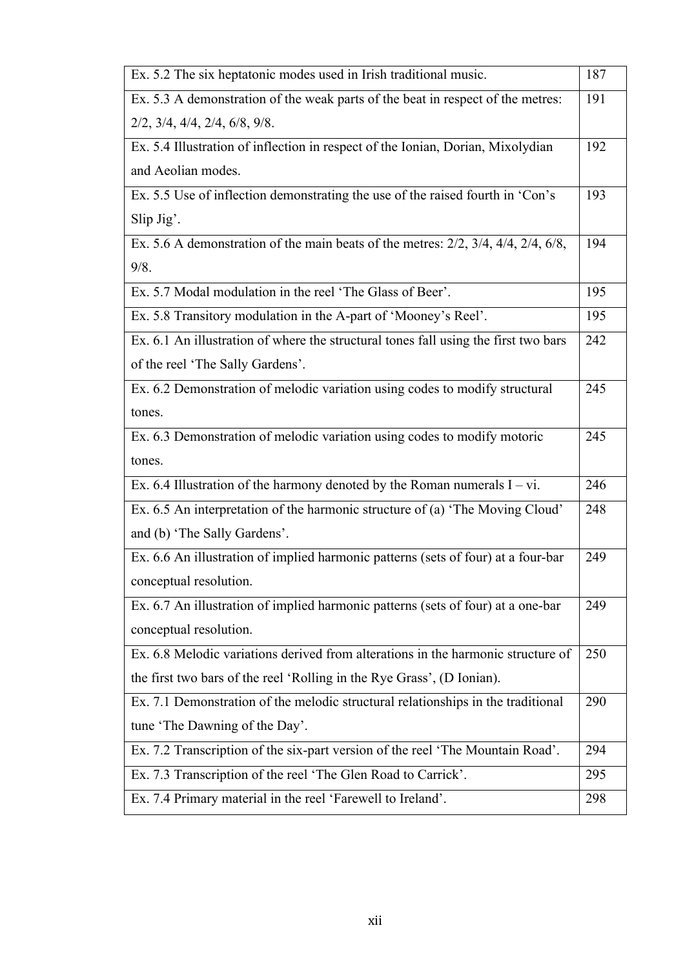| Ex. 5.2 The six heptatonic modes used in Irish traditional music.                                | 187 |
|--------------------------------------------------------------------------------------------------|-----|
| Ex. 5.3 A demonstration of the weak parts of the beat in respect of the metres:                  | 191 |
| $2/2$ , $3/4$ , $4/4$ , $2/4$ , $6/8$ , $9/8$ .                                                  |     |
| Ex. 5.4 Illustration of inflection in respect of the Ionian, Dorian, Mixolydian                  | 192 |
| and Aeolian modes.                                                                               |     |
| Ex. 5.5 Use of inflection demonstrating the use of the raised fourth in 'Con's                   | 193 |
| Slip Jig'.                                                                                       |     |
| Ex. 5.6 A demonstration of the main beats of the metres: $2/2$ , $3/4$ , $4/4$ , $2/4$ , $6/8$ , | 194 |
| 9/8.                                                                                             |     |
| Ex. 5.7 Modal modulation in the reel 'The Glass of Beer'.                                        | 195 |
| Ex. 5.8 Transitory modulation in the A-part of 'Mooney's Reel'.                                  | 195 |
| Ex. 6.1 An illustration of where the structural tones fall using the first two bars              | 242 |
| of the reel 'The Sally Gardens'.                                                                 |     |
| Ex. 6.2 Demonstration of melodic variation using codes to modify structural                      | 245 |
| tones.                                                                                           |     |
| Ex. 6.3 Demonstration of melodic variation using codes to modify motoric                         | 245 |
| tones.                                                                                           |     |
| Ex. 6.4 Illustration of the harmony denoted by the Roman numerals $I - vi$ .                     | 246 |
| Ex. 6.5 An interpretation of the harmonic structure of (a) 'The Moving Cloud'                    | 248 |
| and (b) 'The Sally Gardens'.                                                                     |     |
| Ex. 6.6 An illustration of implied harmonic patterns (sets of four) at a four-bar                | 249 |
| conceptual resolution.                                                                           |     |
| Ex. 6.7 An illustration of implied harmonic patterns (sets of four) at a one-bar                 | 249 |
| conceptual resolution.                                                                           |     |
| Ex. 6.8 Melodic variations derived from alterations in the harmonic structure of                 | 250 |
| the first two bars of the reel 'Rolling in the Rye Grass', (D Ionian).                           |     |
| Ex. 7.1 Demonstration of the melodic structural relationships in the traditional                 | 290 |
| tune 'The Dawning of the Day'.                                                                   |     |
| Ex. 7.2 Transcription of the six-part version of the reel 'The Mountain Road'.                   | 294 |
| Ex. 7.3 Transcription of the reel 'The Glen Road to Carrick'.                                    | 295 |
| Ex. 7.4 Primary material in the reel 'Farewell to Ireland'.                                      | 298 |
|                                                                                                  |     |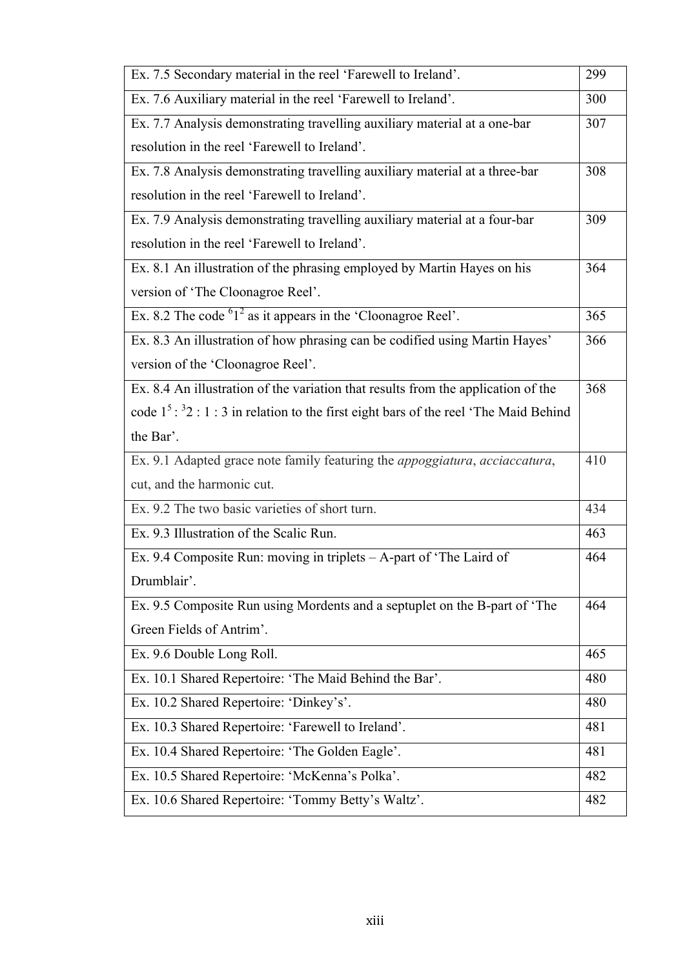| Ex. 7.5 Secondary material in the reel 'Farewell to Ireland'.                              | 299 |
|--------------------------------------------------------------------------------------------|-----|
| Ex. 7.6 Auxiliary material in the reel 'Farewell to Ireland'.                              | 300 |
| Ex. 7.7 Analysis demonstrating travelling auxiliary material at a one-bar                  | 307 |
| resolution in the reel 'Farewell to Ireland'.                                              |     |
| Ex. 7.8 Analysis demonstrating travelling auxiliary material at a three-bar                | 308 |
| resolution in the reel 'Farewell to Ireland'.                                              |     |
| Ex. 7.9 Analysis demonstrating travelling auxiliary material at a four-bar                 | 309 |
| resolution in the reel 'Farewell to Ireland'.                                              |     |
| Ex. 8.1 An illustration of the phrasing employed by Martin Hayes on his                    | 364 |
| version of 'The Cloonagroe Reel'.                                                          |     |
| Ex. 8.2 The code $61^2$ as it appears in the 'Cloonagroe Reel'.                            | 365 |
| Ex. 8.3 An illustration of how phrasing can be codified using Martin Hayes'                | 366 |
| version of the 'Cloonagroe Reel'.                                                          |     |
| Ex. 8.4 An illustration of the variation that results from the application of the          | 368 |
| code $1^5:$ $3^2:$ 1 : 3 in relation to the first eight bars of the reel 'The Maid Behind' |     |
| the Bar'.                                                                                  |     |
| Ex. 9.1 Adapted grace note family featuring the <i>appoggiatura</i> , acciaccatura,        | 410 |
| cut, and the harmonic cut.                                                                 |     |
| Ex. 9.2 The two basic varieties of short turn.                                             | 434 |
| Ex. 9.3 Illustration of the Scalic Run.                                                    | 463 |
| Ex. 9.4 Composite Run: moving in triplets - A-part of 'The Laird of                        | 464 |
| Drumblair'.                                                                                |     |
| Ex. 9.5 Composite Run using Mordents and a septuplet on the B-part of 'The                 | 464 |
| Green Fields of Antrim'.                                                                   |     |
| Ex. 9.6 Double Long Roll.                                                                  | 465 |
| Ex. 10.1 Shared Repertoire: 'The Maid Behind the Bar'.                                     | 480 |
| Ex. 10.2 Shared Repertoire: 'Dinkey's'.                                                    | 480 |
| Ex. 10.3 Shared Repertoire: 'Farewell to Ireland'.                                         | 481 |
| Ex. 10.4 Shared Repertoire: 'The Golden Eagle'.                                            | 481 |
| Ex. 10.5 Shared Repertoire: 'McKenna's Polka'.                                             | 482 |
| Ex. 10.6 Shared Repertoire: 'Tommy Betty's Waltz'.                                         | 482 |
|                                                                                            |     |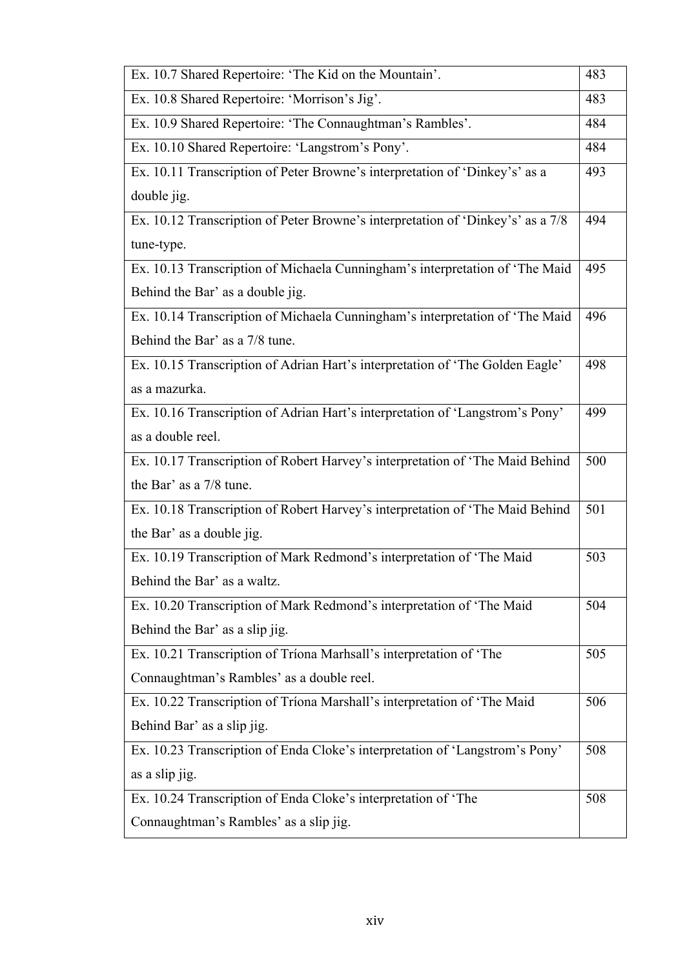| Ex. 10.7 Shared Repertoire: 'The Kid on the Mountain'.                          | 483 |
|---------------------------------------------------------------------------------|-----|
| Ex. 10.8 Shared Repertoire: 'Morrison's Jig'.                                   | 483 |
| Ex. 10.9 Shared Repertoire: 'The Connaughtman's Rambles'.                       | 484 |
| Ex. 10.10 Shared Repertoire: 'Langstrom's Pony'.                                | 484 |
| Ex. 10.11 Transcription of Peter Browne's interpretation of 'Dinkey's' as a     | 493 |
| double jig.                                                                     |     |
| Ex. 10.12 Transcription of Peter Browne's interpretation of 'Dinkey's' as a 7/8 | 494 |
| tune-type.                                                                      |     |
| Ex. 10.13 Transcription of Michaela Cunningham's interpretation of 'The Maid    | 495 |
| Behind the Bar' as a double jig.                                                |     |
| Ex. 10.14 Transcription of Michaela Cunningham's interpretation of 'The Maid    | 496 |
| Behind the Bar' as a 7/8 tune.                                                  |     |
| Ex. 10.15 Transcription of Adrian Hart's interpretation of 'The Golden Eagle'   | 498 |
| as a mazurka.                                                                   |     |
| Ex. 10.16 Transcription of Adrian Hart's interpretation of 'Langstrom's Pony'   | 499 |
| as a double reel.                                                               |     |
| Ex. 10.17 Transcription of Robert Harvey's interpretation of 'The Maid Behind   | 500 |
| the Bar' as a 7/8 tune.                                                         |     |
| Ex. 10.18 Transcription of Robert Harvey's interpretation of 'The Maid Behind   | 501 |
| the Bar' as a double jig.                                                       |     |
| Ex. 10.19 Transcription of Mark Redmond's interpretation of 'The Maid           | 503 |
| Behind the Bar' as a waltz.                                                     |     |
| Ex. 10.20 Transcription of Mark Redmond's interpretation of 'The Maid           | 504 |
| Behind the Bar' as a slip jig.                                                  |     |
| Ex. 10.21 Transcription of Tríona Marhsall's interpretation of 'The             | 505 |
| Connaughtman's Rambles' as a double reel.                                       |     |
| Ex. 10.22 Transcription of Tríona Marshall's interpretation of 'The Maid        | 506 |
| Behind Bar' as a slip jig.                                                      |     |
| Ex. 10.23 Transcription of Enda Cloke's interpretation of 'Langstrom's Pony'    | 508 |
| as a slip jig.                                                                  |     |
| Ex. 10.24 Transcription of Enda Cloke's interpretation of 'The                  | 508 |
| Connaughtman's Rambles' as a slip jig.                                          |     |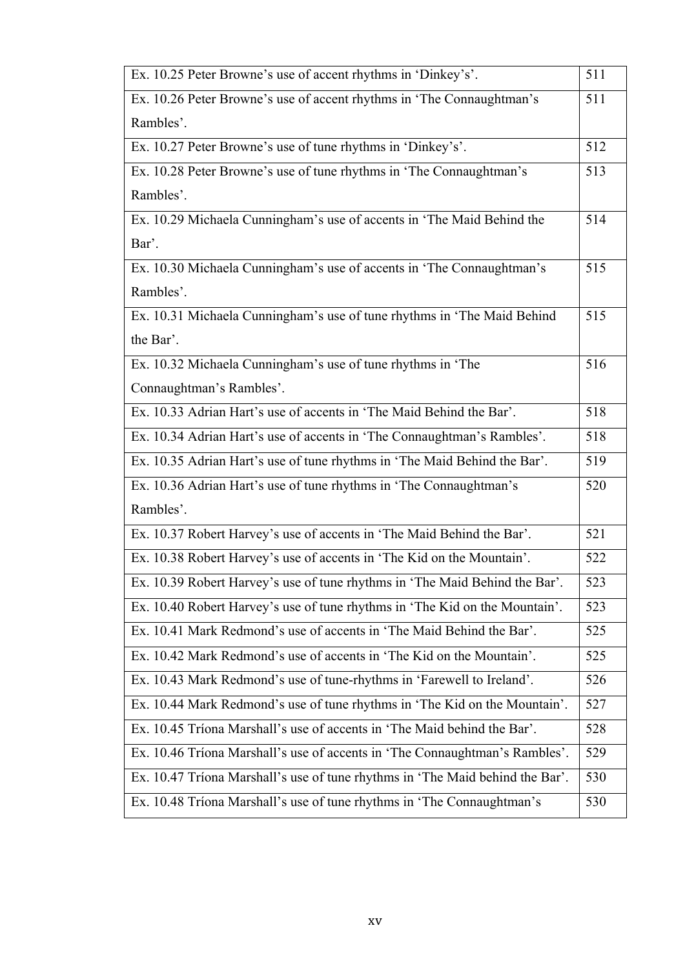| Ex. 10.25 Peter Browne's use of accent rhythms in 'Dinkey's'.                 | 511 |
|-------------------------------------------------------------------------------|-----|
| Ex. 10.26 Peter Browne's use of accent rhythms in 'The Connaughtman's         | 511 |
| Rambles'.                                                                     |     |
| Ex. 10.27 Peter Browne's use of tune rhythms in 'Dinkey's'.                   | 512 |
| Ex. 10.28 Peter Browne's use of tune rhythms in 'The Connaughtman's           | 513 |
| Rambles'.                                                                     |     |
| Ex. 10.29 Michaela Cunningham's use of accents in 'The Maid Behind the        | 514 |
| Bar'.                                                                         |     |
| Ex. 10.30 Michaela Cunningham's use of accents in 'The Connaughtman's         | 515 |
| Rambles'.                                                                     |     |
| Ex. 10.31 Michaela Cunningham's use of tune rhythms in 'The Maid Behind       | 515 |
| the Bar'.                                                                     |     |
| Ex. 10.32 Michaela Cunningham's use of tune rhythms in 'The                   | 516 |
| Connaughtman's Rambles'.                                                      |     |
| Ex. 10.33 Adrian Hart's use of accents in 'The Maid Behind the Bar'.          | 518 |
| Ex. 10.34 Adrian Hart's use of accents in 'The Connaughtman's Rambles'.       | 518 |
| Ex. 10.35 Adrian Hart's use of tune rhythms in 'The Maid Behind the Bar'.     | 519 |
| Ex. 10.36 Adrian Hart's use of tune rhythms in 'The Connaughtman's            | 520 |
| Rambles'.                                                                     |     |
| Ex. 10.37 Robert Harvey's use of accents in 'The Maid Behind the Bar'.        | 521 |
| Ex. 10.38 Robert Harvey's use of accents in 'The Kid on the Mountain'.        | 522 |
| Ex. 10.39 Robert Harvey's use of tune rhythms in 'The Maid Behind the Bar'.   | 523 |
| Ex. 10.40 Robert Harvey's use of tune rhythms in 'The Kid on the Mountain'.   | 523 |
| Ex. 10.41 Mark Redmond's use of accents in 'The Maid Behind the Bar'.         | 525 |
| Ex. 10.42 Mark Redmond's use of accents in 'The Kid on the Mountain'.         | 525 |
| Ex. 10.43 Mark Redmond's use of tune-rhythms in 'Farewell to Ireland'.        | 526 |
| Ex. 10.44 Mark Redmond's use of tune rhythms in 'The Kid on the Mountain'.    | 527 |
| Ex. 10.45 Tríona Marshall's use of accents in 'The Maid behind the Bar'.      | 528 |
| Ex. 10.46 Tríona Marshall's use of accents in 'The Connaughtman's Rambles'.   | 529 |
| Ex. 10.47 Tríona Marshall's use of tune rhythms in 'The Maid behind the Bar'. | 530 |
| Ex. 10.48 Tríona Marshall's use of tune rhythms in 'The Connaughtman's        | 530 |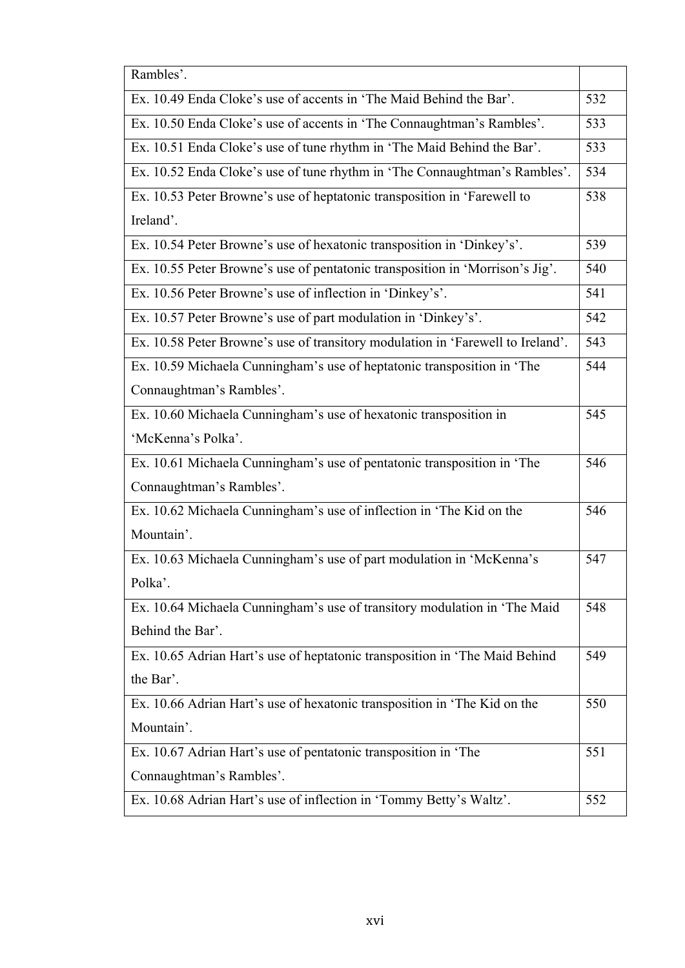| Rambles'.                                                                       |     |
|---------------------------------------------------------------------------------|-----|
| Ex. 10.49 Enda Cloke's use of accents in 'The Maid Behind the Bar'.             | 532 |
| Ex. 10.50 Enda Cloke's use of accents in 'The Connaughtman's Rambles'.          | 533 |
| Ex. 10.51 Enda Cloke's use of tune rhythm in 'The Maid Behind the Bar'.         | 533 |
| Ex. 10.52 Enda Cloke's use of tune rhythm in 'The Connaughtman's Rambles'.      | 534 |
| Ex. 10.53 Peter Browne's use of heptatonic transposition in 'Farewell to        | 538 |
| Ireland'.                                                                       |     |
| Ex. 10.54 Peter Browne's use of hexatonic transposition in 'Dinkey's'.          | 539 |
| Ex. 10.55 Peter Browne's use of pentatonic transposition in 'Morrison's Jig'.   | 540 |
| Ex. 10.56 Peter Browne's use of inflection in 'Dinkey's'.                       | 541 |
| Ex. 10.57 Peter Browne's use of part modulation in 'Dinkey's'.                  | 542 |
| Ex. 10.58 Peter Browne's use of transitory modulation in 'Farewell to Ireland'. | 543 |
| Ex. 10.59 Michaela Cunningham's use of heptatonic transposition in 'The         | 544 |
| Connaughtman's Rambles'.                                                        |     |
| Ex. 10.60 Michaela Cunningham's use of hexatonic transposition in               | 545 |
| 'McKenna's Polka'.                                                              |     |
| Ex. 10.61 Michaela Cunningham's use of pentatonic transposition in 'The         | 546 |
| Connaughtman's Rambles'.                                                        |     |
| Ex. 10.62 Michaela Cunningham's use of inflection in 'The Kid on the            | 546 |
| Mountain'.                                                                      |     |
| Ex. 10.63 Michaela Cunningham's use of part modulation in 'McKenna's            | 547 |
| Polka'.                                                                         |     |
| Ex. 10.64 Michaela Cunningham's use of transitory modulation in 'The Maid       | 548 |
| Behind the Bar'.                                                                |     |
| Ex. 10.65 Adrian Hart's use of heptatonic transposition in 'The Maid Behind     | 549 |
| the Bar'.                                                                       |     |
| Ex. 10.66 Adrian Hart's use of hexatonic transposition in 'The Kid on the       | 550 |
| Mountain'.                                                                      |     |
| Ex. 10.67 Adrian Hart's use of pentatonic transposition in 'The                 | 551 |
| Connaughtman's Rambles'.                                                        |     |
| Ex. 10.68 Adrian Hart's use of inflection in 'Tommy Betty's Waltz'.             | 552 |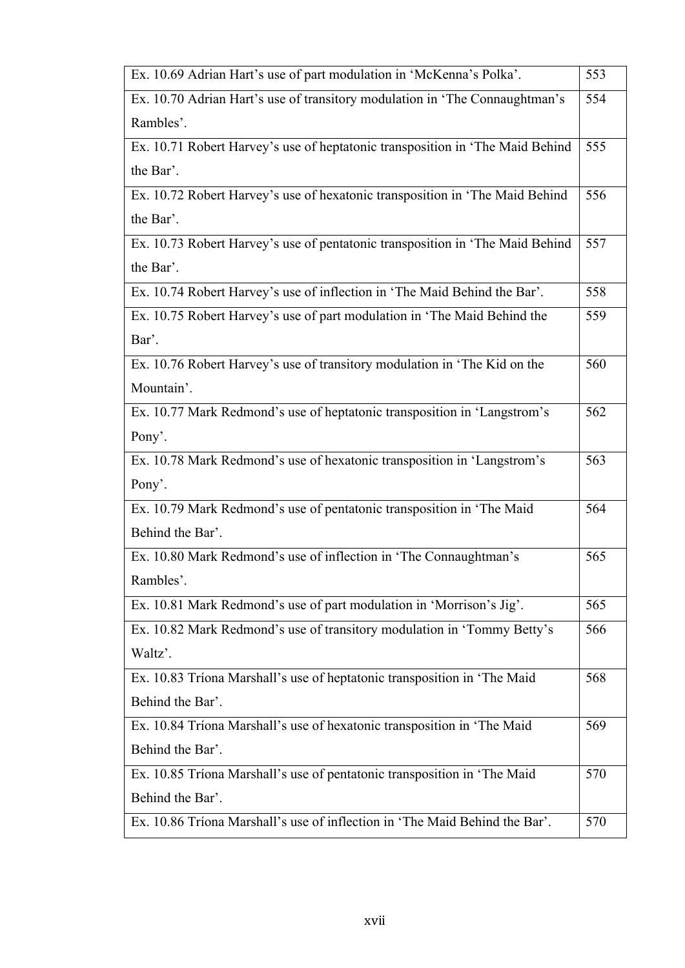| Ex. 10.69 Adrian Hart's use of part modulation in 'McKenna's Polka'.          | 553 |
|-------------------------------------------------------------------------------|-----|
| Ex. 10.70 Adrian Hart's use of transitory modulation in 'The Connaughtman's   | 554 |
| Rambles'.                                                                     |     |
| Ex. 10.71 Robert Harvey's use of heptatonic transposition in 'The Maid Behind | 555 |
| the Bar'.                                                                     |     |
| Ex. 10.72 Robert Harvey's use of hexatonic transposition in 'The Maid Behind  | 556 |
| the Bar'.                                                                     |     |
| Ex. 10.73 Robert Harvey's use of pentatonic transposition in 'The Maid Behind | 557 |
| the Bar'.                                                                     |     |
| Ex. 10.74 Robert Harvey's use of inflection in 'The Maid Behind the Bar'.     | 558 |
| Ex. 10.75 Robert Harvey's use of part modulation in 'The Maid Behind the      | 559 |
| Bar'.                                                                         |     |
| Ex. 10.76 Robert Harvey's use of transitory modulation in 'The Kid on the     | 560 |
| Mountain'.                                                                    |     |
| Ex. 10.77 Mark Redmond's use of heptatonic transposition in 'Langstrom's      | 562 |
| Pony'.                                                                        |     |
| Ex. 10.78 Mark Redmond's use of hexatonic transposition in 'Langstrom's       | 563 |
| Pony'.                                                                        |     |
| Ex. 10.79 Mark Redmond's use of pentatonic transposition in 'The Maid         | 564 |
| Behind the Bar'.                                                              |     |
| Ex. 10.80 Mark Redmond's use of inflection in 'The Connaughtman's             | 565 |
| Rambles'.                                                                     |     |
| Ex. 10.81 Mark Redmond's use of part modulation in 'Morrison's Jig'.          | 565 |
| Ex. 10.82 Mark Redmond's use of transitory modulation in 'Tommy Betty's       | 566 |
| Waltz'.                                                                       |     |
| Ex. 10.83 Tríona Marshall's use of heptatonic transposition in 'The Maid      | 568 |
| Behind the Bar'.                                                              |     |
| Ex. 10.84 Tríona Marshall's use of hexatonic transposition in 'The Maid       | 569 |
| Behind the Bar'.                                                              |     |
| Ex. 10.85 Tríona Marshall's use of pentatonic transposition in 'The Maid      | 570 |
| Behind the Bar'.                                                              |     |
| Ex. 10.86 Tríona Marshall's use of inflection in 'The Maid Behind the Bar'.   | 570 |

ı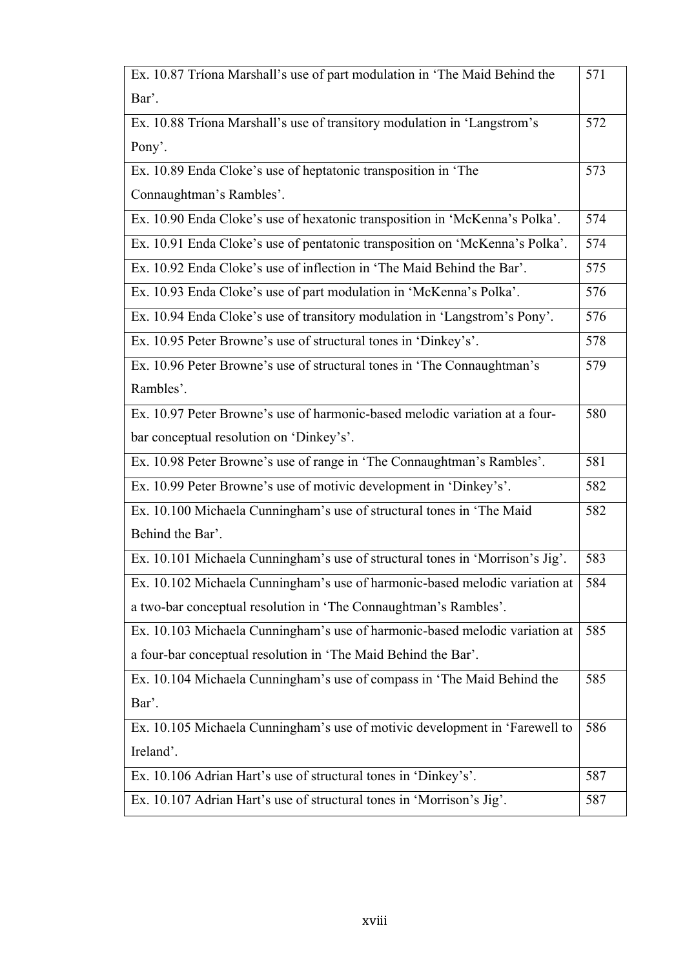| Ex. 10.87 Tríona Marshall's use of part modulation in 'The Maid Behind the    | 571 |
|-------------------------------------------------------------------------------|-----|
| Bar'.                                                                         |     |
| Ex. 10.88 Tríona Marshall's use of transitory modulation in 'Langstrom's      | 572 |
| Pony'.                                                                        |     |
| Ex. 10.89 Enda Cloke's use of heptatonic transposition in 'The                | 573 |
| Connaughtman's Rambles'.                                                      |     |
| Ex. 10.90 Enda Cloke's use of hexatonic transposition in 'McKenna's Polka'.   | 574 |
| Ex. 10.91 Enda Cloke's use of pentatonic transposition on 'McKenna's Polka'.  | 574 |
| Ex. 10.92 Enda Cloke's use of inflection in 'The Maid Behind the Bar'.        | 575 |
| Ex. 10.93 Enda Cloke's use of part modulation in 'McKenna's Polka'.           | 576 |
| Ex. 10.94 Enda Cloke's use of transitory modulation in 'Langstrom's Pony'.    | 576 |
| Ex. 10.95 Peter Browne's use of structural tones in 'Dinkey's'.               | 578 |
| Ex. 10.96 Peter Browne's use of structural tones in 'The Connaughtman's       | 579 |
| Rambles'.                                                                     |     |
| Ex. 10.97 Peter Browne's use of harmonic-based melodic variation at a four-   | 580 |
| bar conceptual resolution on 'Dinkey's'.                                      |     |
| Ex. 10.98 Peter Browne's use of range in 'The Connaughtman's Rambles'.        | 581 |
| Ex. 10.99 Peter Browne's use of motivic development in 'Dinkey's'.            | 582 |
| Ex. 10.100 Michaela Cunningham's use of structural tones in 'The Maid         | 582 |
| Behind the Bar'.                                                              |     |
| Ex. 10.101 Michaela Cunningham's use of structural tones in 'Morrison's Jig'. | 583 |
| Ex. 10.102 Michaela Cunningham's use of harmonic-based melodic variation at   | 584 |
| a two-bar conceptual resolution in 'The Connaughtman's Rambles'.              |     |
| Ex. 10.103 Michaela Cunningham's use of harmonic-based melodic variation at   | 585 |
| a four-bar conceptual resolution in 'The Maid Behind the Bar'.                |     |
| Ex. 10.104 Michaela Cunningham's use of compass in 'The Maid Behind the       | 585 |
| Bar'.                                                                         |     |
| Ex. 10.105 Michaela Cunningham's use of motivic development in 'Farewell to   | 586 |
| Ireland'.                                                                     |     |
| Ex. 10.106 Adrian Hart's use of structural tones in 'Dinkey's'.               | 587 |
| Ex. 10.107 Adrian Hart's use of structural tones in 'Morrison's Jig'.         | 587 |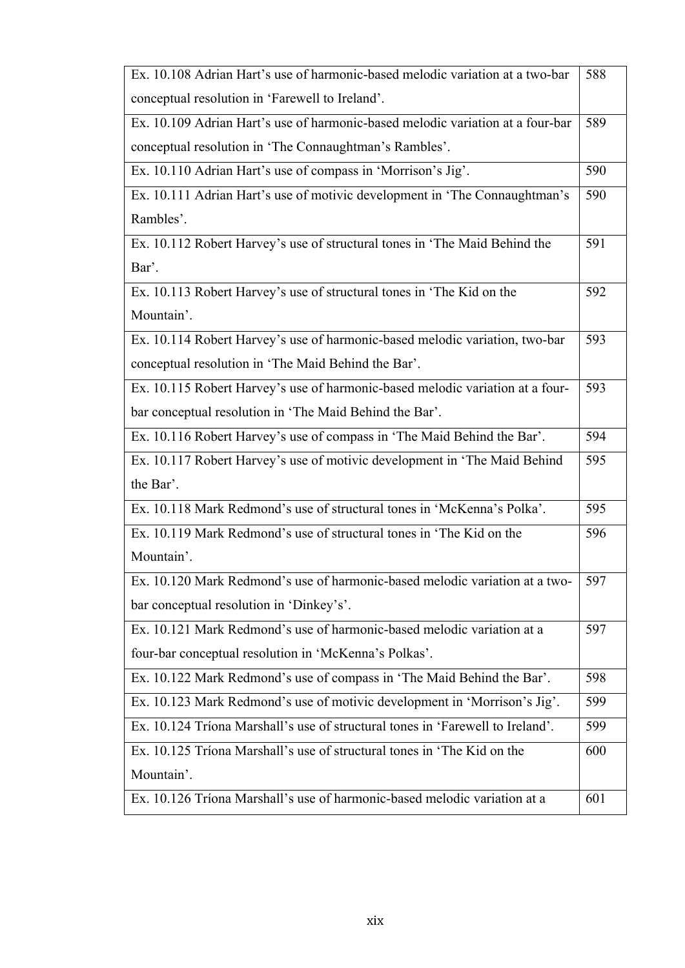| Ex. 10.108 Adrian Hart's use of harmonic-based melodic variation at a two-bar  | 588 |
|--------------------------------------------------------------------------------|-----|
| conceptual resolution in 'Farewell to Ireland'.                                |     |
| Ex. 10.109 Adrian Hart's use of harmonic-based melodic variation at a four-bar | 589 |
| conceptual resolution in 'The Connaughtman's Rambles'.                         |     |
| Ex. 10.110 Adrian Hart's use of compass in 'Morrison's Jig'.                   | 590 |
| Ex. 10.111 Adrian Hart's use of motivic development in 'The Connaughtman's     | 590 |
| Rambles'.                                                                      |     |
| Ex. 10.112 Robert Harvey's use of structural tones in 'The Maid Behind the     | 591 |
| Bar'.                                                                          |     |
| Ex. 10.113 Robert Harvey's use of structural tones in 'The Kid on the          | 592 |
| Mountain'.                                                                     |     |
| Ex. 10.114 Robert Harvey's use of harmonic-based melodic variation, two-bar    | 593 |
| conceptual resolution in 'The Maid Behind the Bar'.                            |     |
| Ex. 10.115 Robert Harvey's use of harmonic-based melodic variation at a four-  | 593 |
| bar conceptual resolution in 'The Maid Behind the Bar'.                        |     |
| Ex. 10.116 Robert Harvey's use of compass in 'The Maid Behind the Bar'.        | 594 |
| Ex. 10.117 Robert Harvey's use of motivic development in 'The Maid Behind      | 595 |
| the Bar'.                                                                      |     |
| Ex. 10.118 Mark Redmond's use of structural tones in 'McKenna's Polka'.        | 595 |
| Ex. 10.119 Mark Redmond's use of structural tones in 'The Kid on the           | 596 |
| Mountain'.                                                                     |     |
| Ex. 10.120 Mark Redmond's use of harmonic-based melodic variation at a two-    | 597 |
| bar conceptual resolution in 'Dinkey's'.                                       |     |
| Ex. 10.121 Mark Redmond's use of harmonic-based melodic variation at a         | 597 |
| four-bar conceptual resolution in 'McKenna's Polkas'.                          |     |
| Ex. 10.122 Mark Redmond's use of compass in 'The Maid Behind the Bar'.         | 598 |
| Ex. 10.123 Mark Redmond's use of motivic development in 'Morrison's Jig'.      | 599 |
| Ex. 10.124 Triona Marshall's use of structural tones in 'Farewell to Ireland'. | 599 |
| Ex. 10.125 Triona Marshall's use of structural tones in 'The Kid on the        | 600 |
| Mountain'.                                                                     |     |
|                                                                                |     |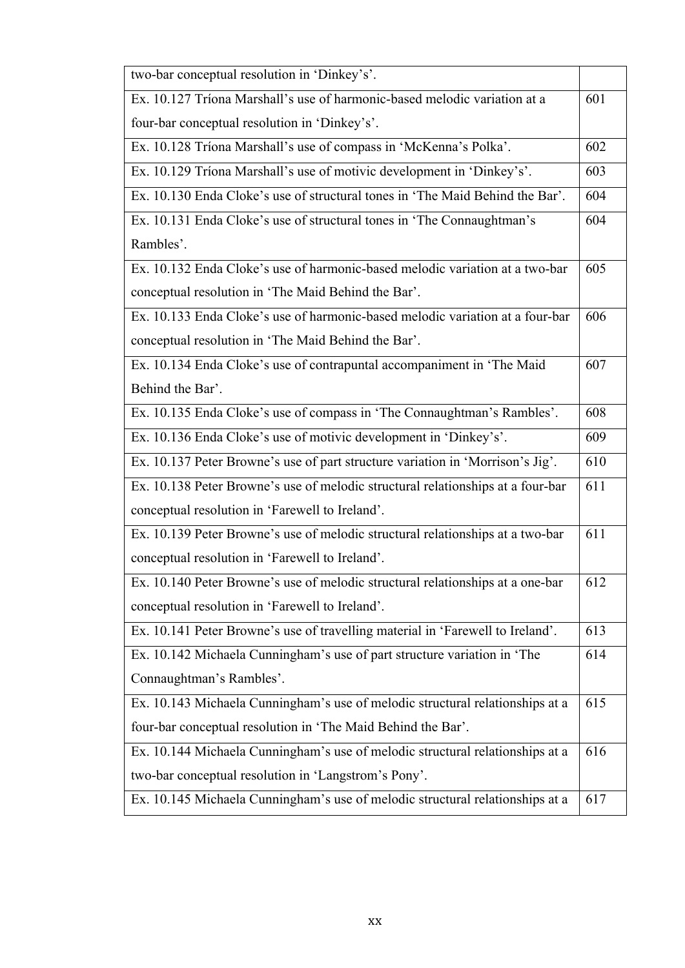| two-bar conceptual resolution in 'Dinkey's'.                                    |     |
|---------------------------------------------------------------------------------|-----|
| Ex. 10.127 Tríona Marshall's use of harmonic-based melodic variation at a       | 601 |
| four-bar conceptual resolution in 'Dinkey's'.                                   |     |
| Ex. 10.128 Tríona Marshall's use of compass in 'McKenna's Polka'.               | 602 |
| Ex. 10.129 Tríona Marshall's use of motivic development in 'Dinkey's'.          | 603 |
| Ex. 10.130 Enda Cloke's use of structural tones in 'The Maid Behind the Bar'.   | 604 |
| Ex. 10.131 Enda Cloke's use of structural tones in 'The Connaughtman's          | 604 |
| Rambles'.                                                                       |     |
| Ex. 10.132 Enda Cloke's use of harmonic-based melodic variation at a two-bar    | 605 |
| conceptual resolution in 'The Maid Behind the Bar'.                             |     |
| Ex. 10.133 Enda Cloke's use of harmonic-based melodic variation at a four-bar   | 606 |
| conceptual resolution in 'The Maid Behind the Bar'.                             |     |
| Ex. 10.134 Enda Cloke's use of contrapuntal accompaniment in 'The Maid          | 607 |
| Behind the Bar'.                                                                |     |
| Ex. 10.135 Enda Cloke's use of compass in 'The Connaughtman's Rambles'.         | 608 |
| Ex. 10.136 Enda Cloke's use of motivic development in 'Dinkey's'.               | 609 |
| Ex. 10.137 Peter Browne's use of part structure variation in 'Morrison's Jig'.  | 610 |
| Ex. 10.138 Peter Browne's use of melodic structural relationships at a four-bar | 611 |
| conceptual resolution in 'Farewell to Ireland'.                                 |     |
| Ex. 10.139 Peter Browne's use of melodic structural relationships at a two-bar  | 611 |
| conceptual resolution in 'Farewell to Ireland'.                                 |     |
| Ex. 10.140 Peter Browne's use of melodic structural relationships at a one-bar  | 612 |
| conceptual resolution in 'Farewell to Ireland'.                                 |     |
| Ex. 10.141 Peter Browne's use of travelling material in 'Farewell to Ireland'.  | 613 |
| Ex. 10.142 Michaela Cunningham's use of part structure variation in 'The        | 614 |
| Connaughtman's Rambles'.                                                        |     |
| Ex. 10.143 Michaela Cunningham's use of melodic structural relationships at a   | 615 |
| four-bar conceptual resolution in 'The Maid Behind the Bar'.                    |     |
| Ex. 10.144 Michaela Cunningham's use of melodic structural relationships at a   | 616 |
| two-bar conceptual resolution in 'Langstrom's Pony'.                            |     |
| Ex. 10.145 Michaela Cunningham's use of melodic structural relationships at a   | 617 |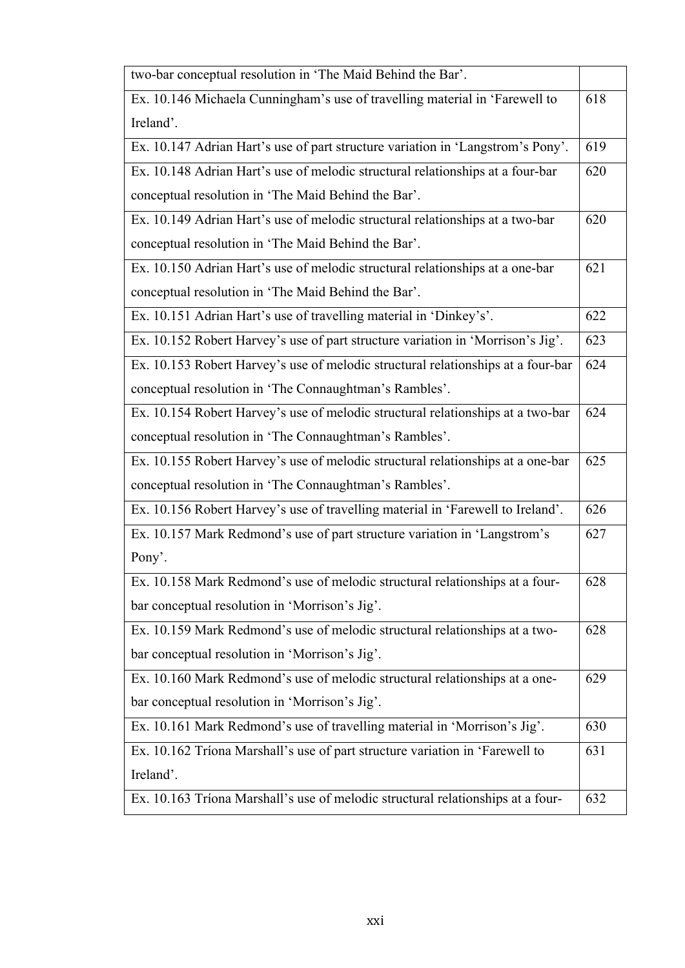| two-bar conceptual resolution in 'The Maid Behind the Bar'.                      |     |
|----------------------------------------------------------------------------------|-----|
| Ex. 10.146 Michaela Cunningham's use of travelling material in 'Farewell to      | 618 |
| Ireland'.                                                                        |     |
| Ex. 10.147 Adrian Hart's use of part structure variation in 'Langstrom's Pony'.  | 619 |
| Ex. 10.148 Adrian Hart's use of melodic structural relationships at a four-bar   | 620 |
| conceptual resolution in 'The Maid Behind the Bar'.                              |     |
| Ex. 10.149 Adrian Hart's use of melodic structural relationships at a two-bar    | 620 |
| conceptual resolution in 'The Maid Behind the Bar'.                              |     |
| Ex. 10.150 Adrian Hart's use of melodic structural relationships at a one-bar    | 621 |
| conceptual resolution in 'The Maid Behind the Bar'.                              |     |
| Ex. 10.151 Adrian Hart's use of travelling material in 'Dinkey's'.               | 622 |
| Ex. 10.152 Robert Harvey's use of part structure variation in 'Morrison's Jig'.  | 623 |
| Ex. 10.153 Robert Harvey's use of melodic structural relationships at a four-bar | 624 |
| conceptual resolution in 'The Connaughtman's Rambles'.                           |     |
| Ex. 10.154 Robert Harvey's use of melodic structural relationships at a two-bar  | 624 |
| conceptual resolution in 'The Connaughtman's Rambles'.                           |     |
| Ex. 10.155 Robert Harvey's use of melodic structural relationships at a one-bar  | 625 |
| conceptual resolution in 'The Connaughtman's Rambles'.                           |     |
| Ex. 10.156 Robert Harvey's use of travelling material in 'Farewell to Ireland'.  | 626 |
| Ex. 10.157 Mark Redmond's use of part structure variation in 'Langstrom's        | 627 |
| Pony'.                                                                           |     |
| Ex. 10.158 Mark Redmond's use of melodic structural relationships at a four-     | 628 |
| bar conceptual resolution in 'Morrison's Jig'.                                   |     |
| Ex. 10.159 Mark Redmond's use of melodic structural relationships at a two-      | 628 |
| bar conceptual resolution in 'Morrison's Jig'.                                   |     |
| Ex. 10.160 Mark Redmond's use of melodic structural relationships at a one-      | 629 |
| bar conceptual resolution in 'Morrison's Jig'.                                   |     |
| Ex. 10.161 Mark Redmond's use of travelling material in 'Morrison's Jig'.        | 630 |
| Ex. 10.162 Tríona Marshall's use of part structure variation in 'Farewell to     | 631 |
| Ireland'.                                                                        |     |
| Ex. 10.163 Tríona Marshall's use of melodic structural relationships at a four-  | 632 |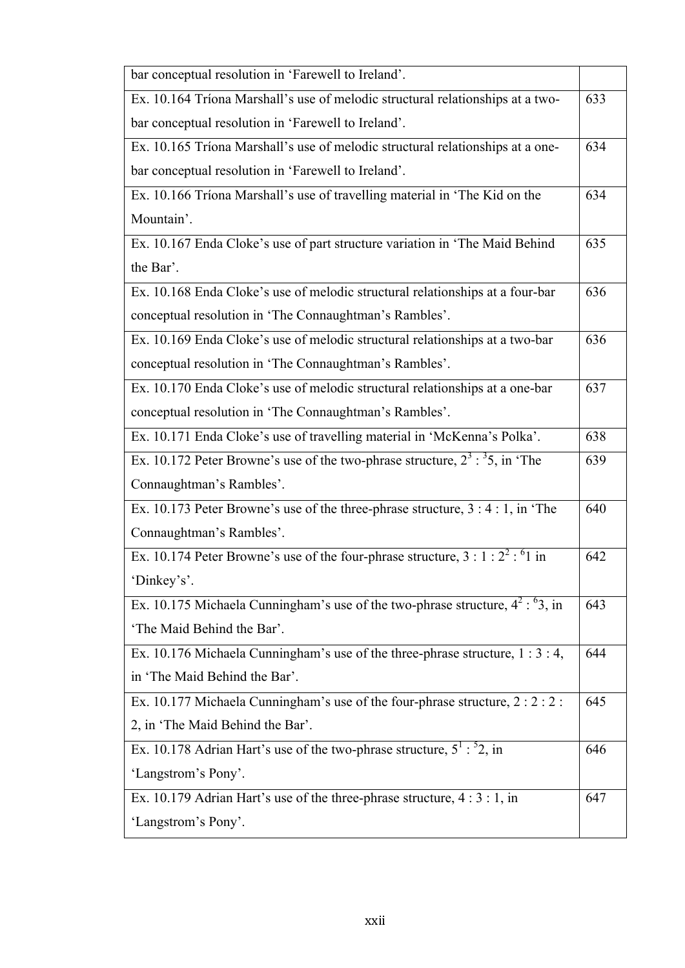| bar conceptual resolution in 'Farewell to Ireland'.                                  |     |
|--------------------------------------------------------------------------------------|-----|
| Ex. 10.164 Tríona Marshall's use of melodic structural relationships at a two-       | 633 |
| bar conceptual resolution in 'Farewell to Ireland'.                                  |     |
| Ex. 10.165 Tríona Marshall's use of melodic structural relationships at a one-       | 634 |
| bar conceptual resolution in 'Farewell to Ireland'.                                  |     |
| Ex. 10.166 Tríona Marshall's use of travelling material in 'The Kid on the           | 634 |
| Mountain'.                                                                           |     |
| Ex. 10.167 Enda Cloke's use of part structure variation in 'The Maid Behind          | 635 |
| the Bar'.                                                                            |     |
| Ex. 10.168 Enda Cloke's use of melodic structural relationships at a four-bar        | 636 |
| conceptual resolution in 'The Connaughtman's Rambles'.                               |     |
| Ex. 10.169 Enda Cloke's use of melodic structural relationships at a two-bar         | 636 |
| conceptual resolution in 'The Connaughtman's Rambles'.                               |     |
| Ex. 10.170 Enda Cloke's use of melodic structural relationships at a one-bar         | 637 |
| conceptual resolution in 'The Connaughtman's Rambles'.                               |     |
| Ex. 10.171 Enda Cloke's use of travelling material in 'McKenna's Polka'.             | 638 |
| Ex. 10.172 Peter Browne's use of the two-phrase structure, $2^3$ : $35$ , in 'The    | 639 |
| Connaughtman's Rambles'.                                                             |     |
| Ex. 10.173 Peter Browne's use of the three-phrase structure, $3:4:1$ , in 'The       | 640 |
| Connaughtman's Rambles'.                                                             |     |
| Ex. 10.174 Peter Browne's use of the four-phrase structure, $3:1:2^2:61$ in          | 642 |
| 'Dinkey's'.                                                                          |     |
| Ex. 10.175 Michaela Cunningham's use of the two-phrase structure, $4^2$ : $^6$ 3, in | 643 |
| 'The Maid Behind the Bar'.                                                           |     |
| Ex. 10.176 Michaela Cunningham's use of the three-phrase structure, $1:3:4$ ,        | 644 |
| in 'The Maid Behind the Bar'.                                                        |     |
| Ex. 10.177 Michaela Cunningham's use of the four-phrase structure, 2:2:2:            | 645 |
| 2, in 'The Maid Behind the Bar'.                                                     |     |
| Ex. 10.178 Adrian Hart's use of the two-phrase structure, $5^1$ : $5^2$ , in         | 646 |
| 'Langstrom's Pony'.                                                                  |     |
| Ex. 10.179 Adrian Hart's use of the three-phrase structure, $4:3:1$ , in             | 647 |
| 'Langstrom's Pony'.                                                                  |     |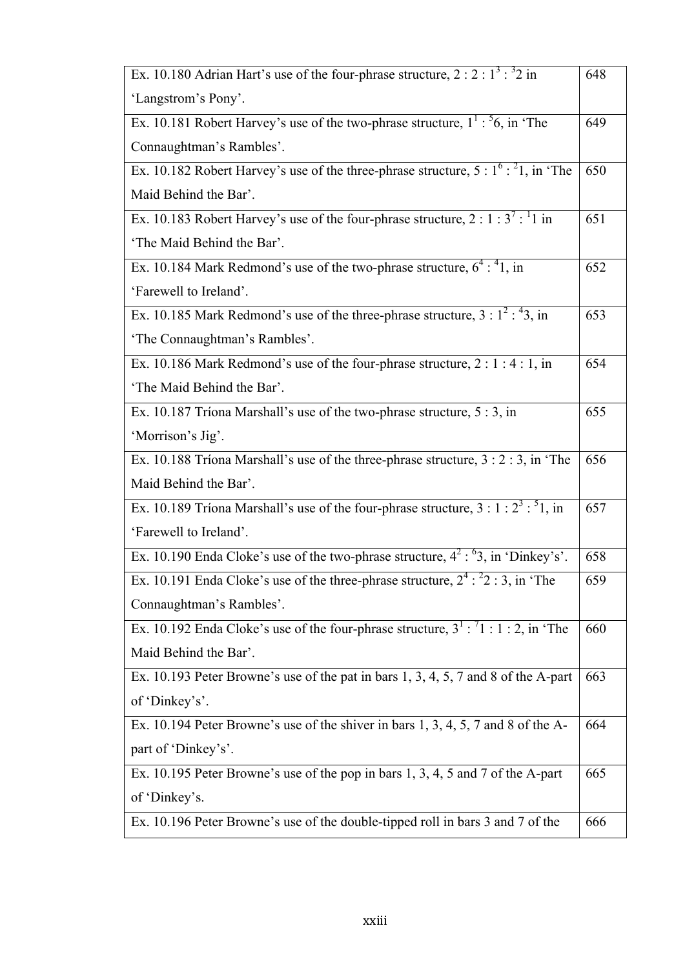| Ex. 10.180 Adrian Hart's use of the four-phrase structure, $2:2:1^3:3^2$ in                      | 648 |
|--------------------------------------------------------------------------------------------------|-----|
| 'Langstrom's Pony'.                                                                              |     |
| Ex. 10.181 Robert Harvey's use of the two-phrase structure, $1^1$ : $56$ , in 'The               | 649 |
| Connaughtman's Rambles'.                                                                         |     |
| Ex. 10.182 Robert Harvey's use of the three-phrase structure, $5: 1^{6}$ : $^{2}$ 1, in 'The     | 650 |
| Maid Behind the Bar'.                                                                            |     |
| Ex. 10.183 Robert Harvey's use of the four-phrase structure, $2:1:\overline{3^7:}^11$ in         | 651 |
| 'The Maid Behind the Bar'.                                                                       |     |
| Ex. 10.184 Mark Redmond's use of the two-phrase structure, $6^4$ : $41$ , in                     | 652 |
| 'Farewell to Ireland'.                                                                           |     |
| Ex. 10.185 Mark Redmond's use of the three-phrase structure, $3 : \overline{1^2 : 43}$ , in      | 653 |
| 'The Connaughtman's Rambles'.                                                                    |     |
| Ex. 10.186 Mark Redmond's use of the four-phrase structure, $2:1:4:1$ , in                       | 654 |
| 'The Maid Behind the Bar'.                                                                       |     |
| Ex. 10.187 Tríona Marshall's use of the two-phrase structure, 5 : 3, in                          | 655 |
| 'Morrison's Jig'.                                                                                |     |
| Ex. 10.188 Tríona Marshall's use of the three-phrase structure, $3:2:3$ , in 'The                | 656 |
| Maid Behind the Bar'.                                                                            |     |
| Ex. 10.189 Triona Marshall's use of the four-phrase structure, $3:1:2^3:51$ , in                 | 657 |
| 'Farewell to Ireland'.                                                                           |     |
| Ex. 10.190 Enda Cloke's use of the two-phrase structure, $4^2 : {}^{6}3$ , in 'Dinkey's'.        | 658 |
| Ex. 10.191 Enda Cloke's use of the three-phrase structure, $2^4$ : $2^2$ : 3, in 'The            | 659 |
| Connaughtman's Rambles'.                                                                         |     |
| Ex. 10.192 Enda Cloke's use of the four-phrase structure, $3^{\text{T}}$ : $71$ : 1 : 2, in 'The | 660 |
| Maid Behind the Bar'.                                                                            |     |
| Ex. 10.193 Peter Browne's use of the pat in bars 1, 3, 4, 5, 7 and 8 of the A-part               | 663 |
| of 'Dinkey's'.                                                                                   |     |
| Ex. 10.194 Peter Browne's use of the shiver in bars 1, 3, 4, 5, 7 and 8 of the A-                | 664 |
| part of 'Dinkey's'.                                                                              |     |
| Ex. 10.195 Peter Browne's use of the pop in bars 1, 3, 4, 5 and 7 of the A-part                  | 665 |
| of 'Dinkey's.                                                                                    |     |
| Ex. 10.196 Peter Browne's use of the double-tipped roll in bars 3 and 7 of the                   | 666 |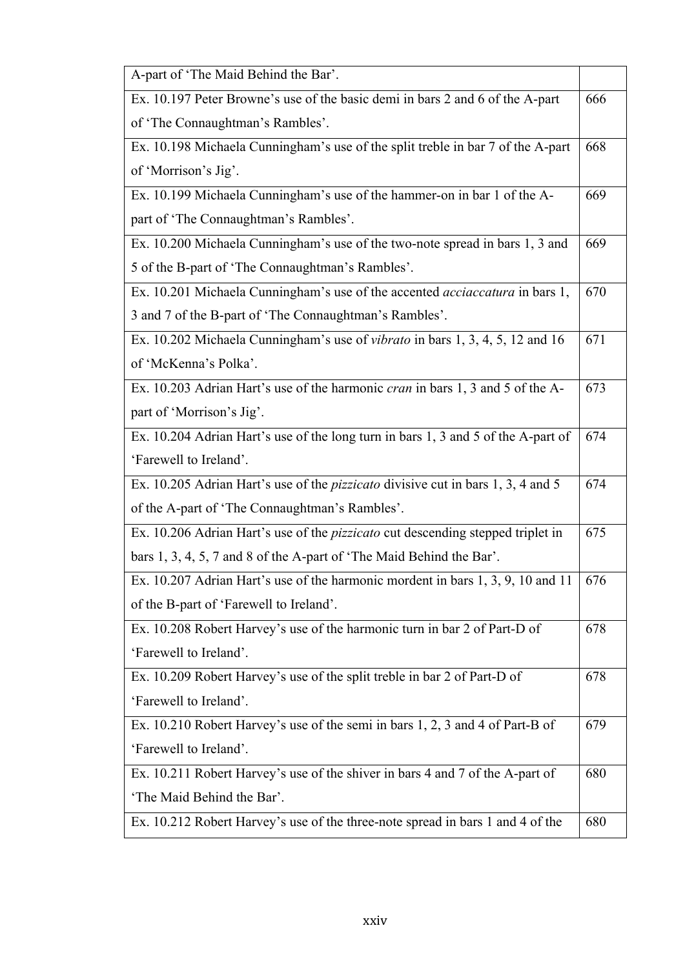| A-part of 'The Maid Behind the Bar'.                                                    |     |
|-----------------------------------------------------------------------------------------|-----|
| Ex. 10.197 Peter Browne's use of the basic demi in bars 2 and 6 of the A-part           | 666 |
| of 'The Connaughtman's Rambles'.                                                        |     |
| Ex. 10.198 Michaela Cunningham's use of the split treble in bar 7 of the A-part         | 668 |
| of 'Morrison's Jig'.                                                                    |     |
| Ex. 10.199 Michaela Cunningham's use of the hammer-on in bar 1 of the A-                | 669 |
| part of 'The Connaughtman's Rambles'.                                                   |     |
| Ex. 10.200 Michaela Cunningham's use of the two-note spread in bars 1, 3 and            | 669 |
| 5 of the B-part of 'The Connaughtman's Rambles'.                                        |     |
| Ex. 10.201 Michaela Cunningham's use of the accented acciaccatura in bars 1,            | 670 |
| 3 and 7 of the B-part of 'The Connaughtman's Rambles'.                                  |     |
| Ex. 10.202 Michaela Cunningham's use of <i>vibrato</i> in bars 1, 3, 4, 5, 12 and 16    | 671 |
| of 'McKenna's Polka'.                                                                   |     |
| Ex. 10.203 Adrian Hart's use of the harmonic <i>cran</i> in bars 1, 3 and 5 of the A-   | 673 |
| part of 'Morrison's Jig'.                                                               |     |
| Ex. 10.204 Adrian Hart's use of the long turn in bars 1, 3 and 5 of the A-part of       | 674 |
| 'Farewell to Ireland'.                                                                  |     |
| Ex. 10.205 Adrian Hart's use of the <i>pizzicato</i> divisive cut in bars 1, 3, 4 and 5 | 674 |
| of the A-part of 'The Connaughtman's Rambles'.                                          |     |
| Ex. 10.206 Adrian Hart's use of the <i>pizzicato</i> cut descending stepped triplet in  | 675 |
| bars 1, 3, 4, 5, 7 and 8 of the A-part of 'The Maid Behind the Bar'.                    |     |
| Ex. 10.207 Adrian Hart's use of the harmonic mordent in bars 1, 3, 9, 10 and 11   676   |     |
| of the B-part of 'Farewell to Ireland'.                                                 |     |
| Ex. 10.208 Robert Harvey's use of the harmonic turn in bar 2 of Part-D of               | 678 |
| 'Farewell to Ireland'.                                                                  |     |
| Ex. 10.209 Robert Harvey's use of the split treble in bar 2 of Part-D of                | 678 |
| 'Farewell to Ireland'.                                                                  |     |
| Ex. 10.210 Robert Harvey's use of the semi in bars 1, 2, 3 and 4 of Part-B of           | 679 |
| 'Farewell to Ireland'.                                                                  |     |
| Ex. 10.211 Robert Harvey's use of the shiver in bars 4 and 7 of the A-part of           | 680 |
| 'The Maid Behind the Bar'.                                                              |     |
| Ex. 10.212 Robert Harvey's use of the three-note spread in bars 1 and 4 of the          | 680 |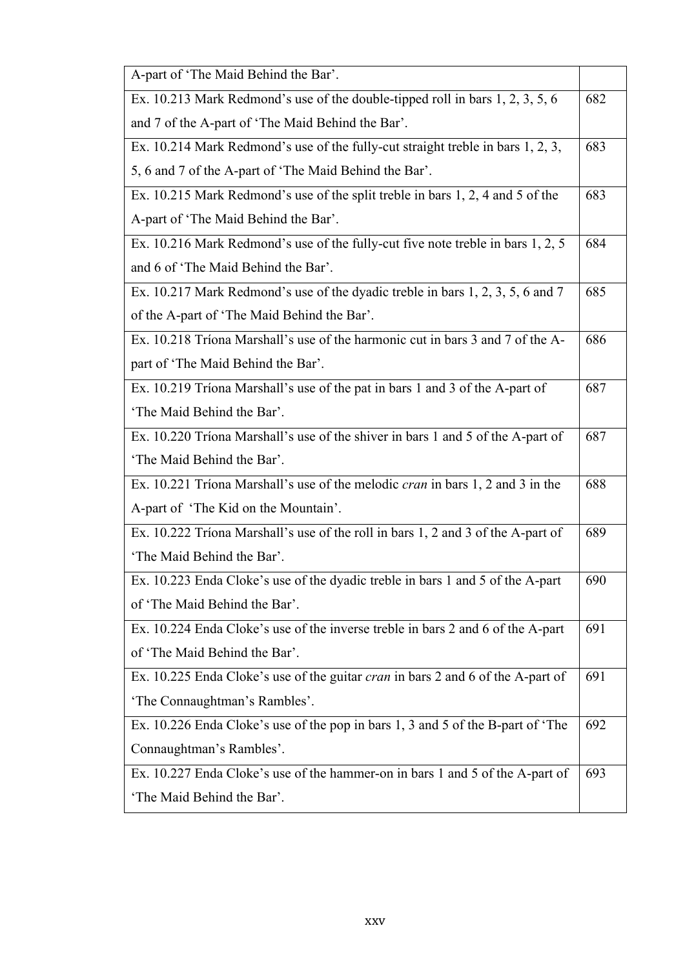| A-part of 'The Maid Behind the Bar'.                                                   |     |
|----------------------------------------------------------------------------------------|-----|
| Ex. 10.213 Mark Redmond's use of the double-tipped roll in bars 1, 2, 3, 5, 6          | 682 |
| and 7 of the A-part of 'The Maid Behind the Bar'.                                      |     |
| Ex. 10.214 Mark Redmond's use of the fully-cut straight treble in bars 1, 2, 3,        | 683 |
| 5, 6 and 7 of the A-part of 'The Maid Behind the Bar'.                                 |     |
| Ex. 10.215 Mark Redmond's use of the split treble in bars 1, 2, 4 and 5 of the         | 683 |
| A-part of 'The Maid Behind the Bar'.                                                   |     |
| Ex. 10.216 Mark Redmond's use of the fully-cut five note treble in bars 1, 2, 5        | 684 |
| and 6 of 'The Maid Behind the Bar'.                                                    |     |
| Ex. 10.217 Mark Redmond's use of the dyadic treble in bars 1, 2, 3, 5, 6 and 7         | 685 |
| of the A-part of 'The Maid Behind the Bar'.                                            |     |
| Ex. 10.218 Tríona Marshall's use of the harmonic cut in bars 3 and 7 of the A-         | 686 |
| part of 'The Maid Behind the Bar'.                                                     |     |
| Ex. 10.219 Tríona Marshall's use of the pat in bars 1 and 3 of the A-part of           | 687 |
| 'The Maid Behind the Bar'.                                                             |     |
| Ex. 10.220 Triona Marshall's use of the shiver in bars 1 and 5 of the A-part of        | 687 |
| 'The Maid Behind the Bar'.                                                             |     |
| Ex. 10.221 Tríona Marshall's use of the melodic <i>cran</i> in bars 1, 2 and 3 in the  | 688 |
| A-part of 'The Kid on the Mountain'.                                                   |     |
| Ex. 10.222 Triona Marshall's use of the roll in bars 1, 2 and 3 of the A-part of       | 689 |
| 'The Maid Behind the Bar'.                                                             |     |
| Ex. 10.223 Enda Cloke's use of the dyadic treble in bars 1 and 5 of the A-part         | 690 |
| of 'The Maid Behind the Bar'.                                                          |     |
| Ex. 10.224 Enda Cloke's use of the inverse treble in bars 2 and 6 of the A-part        | 691 |
| of 'The Maid Behind the Bar'.                                                          |     |
| Ex. 10.225 Enda Cloke's use of the guitar <i>cran</i> in bars 2 and 6 of the A-part of | 691 |
| 'The Connaughtman's Rambles'.                                                          |     |
| Ex. 10.226 Enda Cloke's use of the pop in bars 1, 3 and 5 of the B-part of 'The        | 692 |
| Connaughtman's Rambles'.                                                               |     |
| Ex. 10.227 Enda Cloke's use of the hammer-on in bars 1 and 5 of the A-part of          | 693 |
| 'The Maid Behind the Bar'.                                                             |     |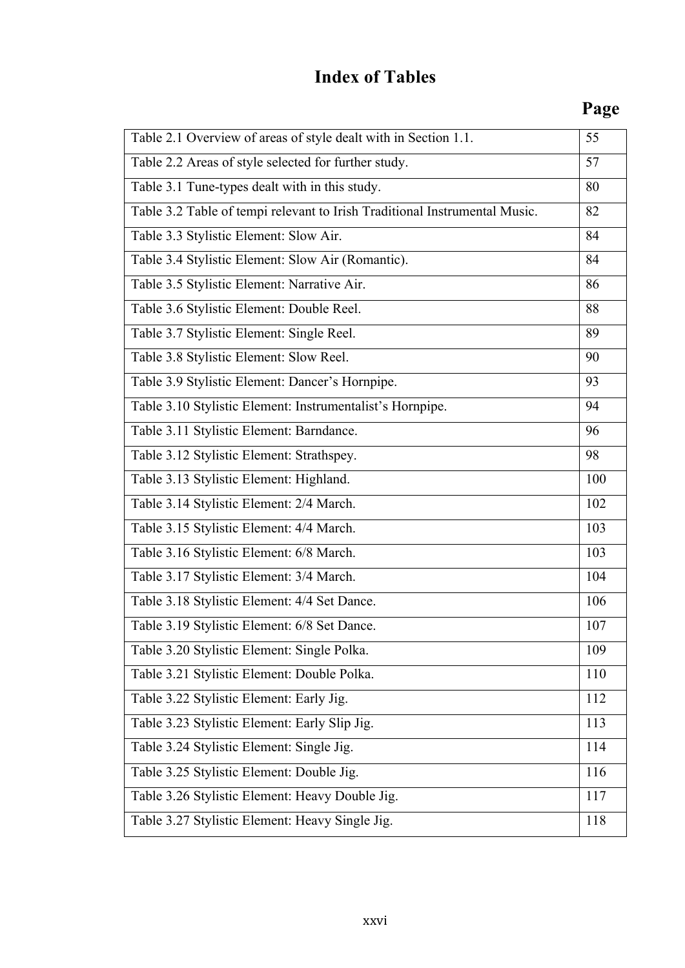# **Index of Tables**

## **Page**

| Table 2.1 Overview of areas of style dealt with in Section 1.1.            | 55  |
|----------------------------------------------------------------------------|-----|
| Table 2.2 Areas of style selected for further study.                       | 57  |
| Table 3.1 Tune-types dealt with in this study.                             | 80  |
| Table 3.2 Table of tempi relevant to Irish Traditional Instrumental Music. | 82  |
| Table 3.3 Stylistic Element: Slow Air.                                     | 84  |
| Table 3.4 Stylistic Element: Slow Air (Romantic).                          | 84  |
| Table 3.5 Stylistic Element: Narrative Air.                                | 86  |
| Table 3.6 Stylistic Element: Double Reel.                                  | 88  |
| Table 3.7 Stylistic Element: Single Reel.                                  | 89  |
| Table 3.8 Stylistic Element: Slow Reel.                                    | 90  |
| Table 3.9 Stylistic Element: Dancer's Hornpipe.                            | 93  |
| Table 3.10 Stylistic Element: Instrumentalist's Hornpipe.                  | 94  |
| Table 3.11 Stylistic Element: Barndance.                                   | 96  |
| Table 3.12 Stylistic Element: Strathspey.                                  | 98  |
| Table 3.13 Stylistic Element: Highland.                                    | 100 |
| Table 3.14 Stylistic Element: 2/4 March.                                   | 102 |
| Table 3.15 Stylistic Element: 4/4 March.                                   | 103 |
| Table 3.16 Stylistic Element: 6/8 March.                                   | 103 |
| Table 3.17 Stylistic Element: 3/4 March.                                   | 104 |
| Table 3.18 Stylistic Element: 4/4 Set Dance.                               | 106 |
| Table 3.19 Stylistic Element: 6/8 Set Dance.                               | 107 |
| Table 3.20 Stylistic Element: Single Polka.                                | 109 |
| Table 3.21 Stylistic Element: Double Polka.                                | 110 |
| Table 3.22 Stylistic Element: Early Jig.                                   | 112 |
| Table 3.23 Stylistic Element: Early Slip Jig.                              | 113 |
| Table 3.24 Stylistic Element: Single Jig.                                  | 114 |
| Table 3.25 Stylistic Element: Double Jig.                                  | 116 |
| Table 3.26 Stylistic Element: Heavy Double Jig.                            | 117 |
| Table 3.27 Stylistic Element: Heavy Single Jig.                            | 118 |
|                                                                            |     |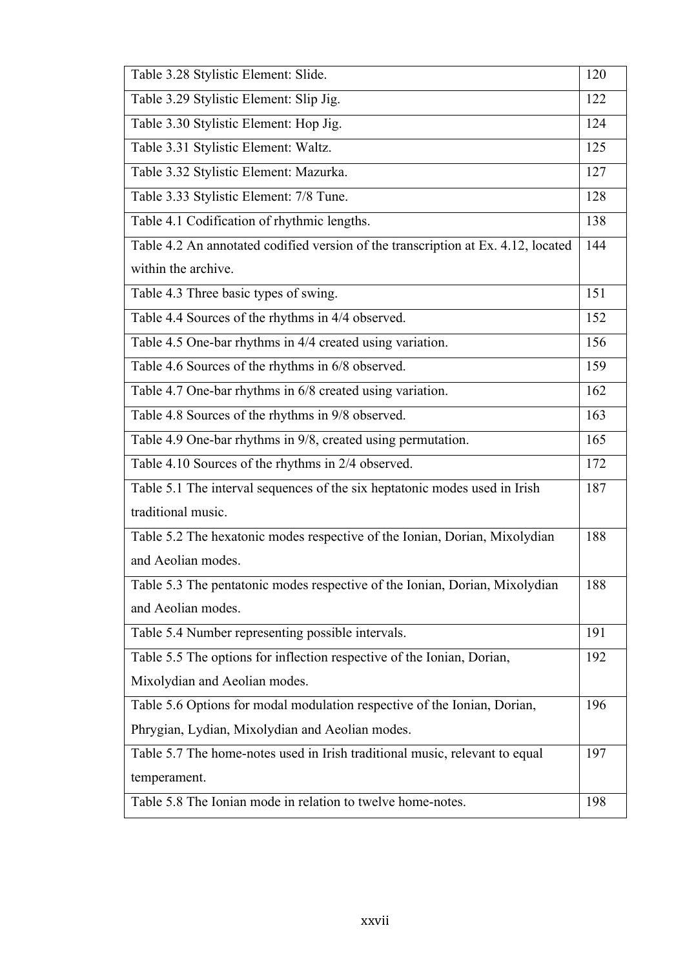| Table 3.28 Stylistic Element: Slide.                                              | 120 |
|-----------------------------------------------------------------------------------|-----|
| Table 3.29 Stylistic Element: Slip Jig.                                           | 122 |
| Table 3.30 Stylistic Element: Hop Jig.                                            | 124 |
| Table 3.31 Stylistic Element: Waltz.                                              | 125 |
| Table 3.32 Stylistic Element: Mazurka.                                            | 127 |
| Table 3.33 Stylistic Element: 7/8 Tune.                                           | 128 |
| Table 4.1 Codification of rhythmic lengths.                                       | 138 |
| Table 4.2 An annotated codified version of the transcription at Ex. 4.12, located | 144 |
| within the archive.                                                               |     |
| Table 4.3 Three basic types of swing.                                             | 151 |
| Table 4.4 Sources of the rhythms in 4/4 observed.                                 | 152 |
| Table 4.5 One-bar rhythms in 4/4 created using variation.                         | 156 |
| Table 4.6 Sources of the rhythms in 6/8 observed.                                 | 159 |
| Table 4.7 One-bar rhythms in 6/8 created using variation.                         | 162 |
| Table 4.8 Sources of the rhythms in 9/8 observed.                                 | 163 |
| Table 4.9 One-bar rhythms in 9/8, created using permutation.                      | 165 |
| Table 4.10 Sources of the rhythms in 2/4 observed.                                | 172 |
| Table 5.1 The interval sequences of the six heptatonic modes used in Irish        | 187 |
| traditional music.                                                                |     |
| Table 5.2 The hexatonic modes respective of the Ionian, Dorian, Mixolydian        | 188 |
| and Aeolian modes.                                                                |     |
| Table 5.3 The pentatonic modes respective of the Ionian, Dorian, Mixolydian       | 188 |
| and Aeolian modes.                                                                |     |
| Table 5.4 Number representing possible intervals.                                 | 191 |
| Table 5.5 The options for inflection respective of the Ionian, Dorian,            | 192 |
| Mixolydian and Aeolian modes.                                                     |     |
| Table 5.6 Options for modal modulation respective of the Ionian, Dorian,          | 196 |
| Phrygian, Lydian, Mixolydian and Aeolian modes.                                   |     |
| Table 5.7 The home-notes used in Irish traditional music, relevant to equal       | 197 |
| temperament.                                                                      |     |
| Table 5.8 The Ionian mode in relation to twelve home-notes.                       | 198 |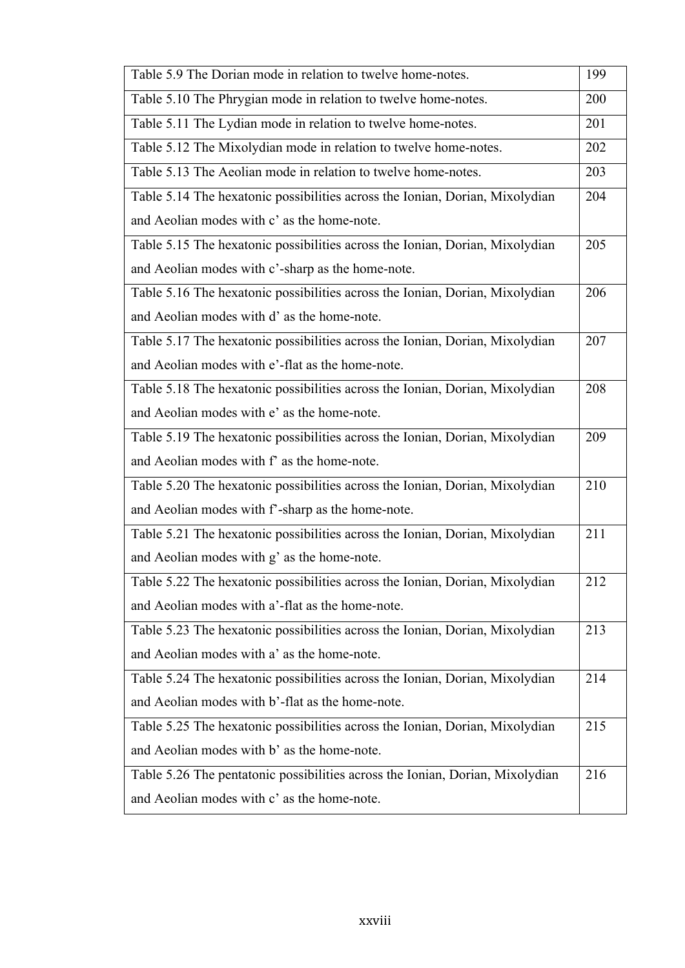| Table 5.9 The Dorian mode in relation to twelve home-notes.                   | 199 |
|-------------------------------------------------------------------------------|-----|
| Table 5.10 The Phrygian mode in relation to twelve home-notes.                | 200 |
| Table 5.11 The Lydian mode in relation to twelve home-notes.                  | 201 |
| Table 5.12 The Mixolydian mode in relation to twelve home-notes.              | 202 |
| Table 5.13 The Aeolian mode in relation to twelve home-notes.                 | 203 |
| Table 5.14 The hexatonic possibilities across the Ionian, Dorian, Mixolydian  | 204 |
| and Aeolian modes with c' as the home-note.                                   |     |
| Table 5.15 The hexatonic possibilities across the Ionian, Dorian, Mixolydian  | 205 |
| and Aeolian modes with c'-sharp as the home-note.                             |     |
| Table 5.16 The hexatonic possibilities across the Ionian, Dorian, Mixolydian  | 206 |
| and Aeolian modes with d' as the home-note.                                   |     |
| Table 5.17 The hexatonic possibilities across the Ionian, Dorian, Mixolydian  | 207 |
| and Aeolian modes with e'-flat as the home-note.                              |     |
| Table 5.18 The hexatonic possibilities across the Ionian, Dorian, Mixolydian  | 208 |
| and Aeolian modes with e' as the home-note.                                   |     |
| Table 5.19 The hexatonic possibilities across the Ionian, Dorian, Mixolydian  | 209 |
| and Aeolian modes with f' as the home-note.                                   |     |
| Table 5.20 The hexatonic possibilities across the Ionian, Dorian, Mixolydian  | 210 |
| and Aeolian modes with f'-sharp as the home-note.                             |     |
| Table 5.21 The hexatonic possibilities across the Ionian, Dorian, Mixolydian  | 211 |
| and Aeolian modes with g' as the home-note.                                   |     |
| Table 5.22 The hexatonic possibilities across the Ionian, Dorian, Mixolydian  | 212 |
| and Aeolian modes with a'-flat as the home-note.                              |     |
| Table 5.23 The hexatonic possibilities across the Ionian, Dorian, Mixolydian  | 213 |
| and Aeolian modes with a' as the home-note.                                   |     |
| Table 5.24 The hexatonic possibilities across the Ionian, Dorian, Mixolydian  | 214 |
| and Aeolian modes with b'-flat as the home-note.                              |     |
| Table 5.25 The hexatonic possibilities across the Ionian, Dorian, Mixolydian  | 215 |
| and Aeolian modes with b' as the home-note.                                   |     |
| Table 5.26 The pentatonic possibilities across the Ionian, Dorian, Mixolydian | 216 |
| and Aeolian modes with c' as the home-note.                                   |     |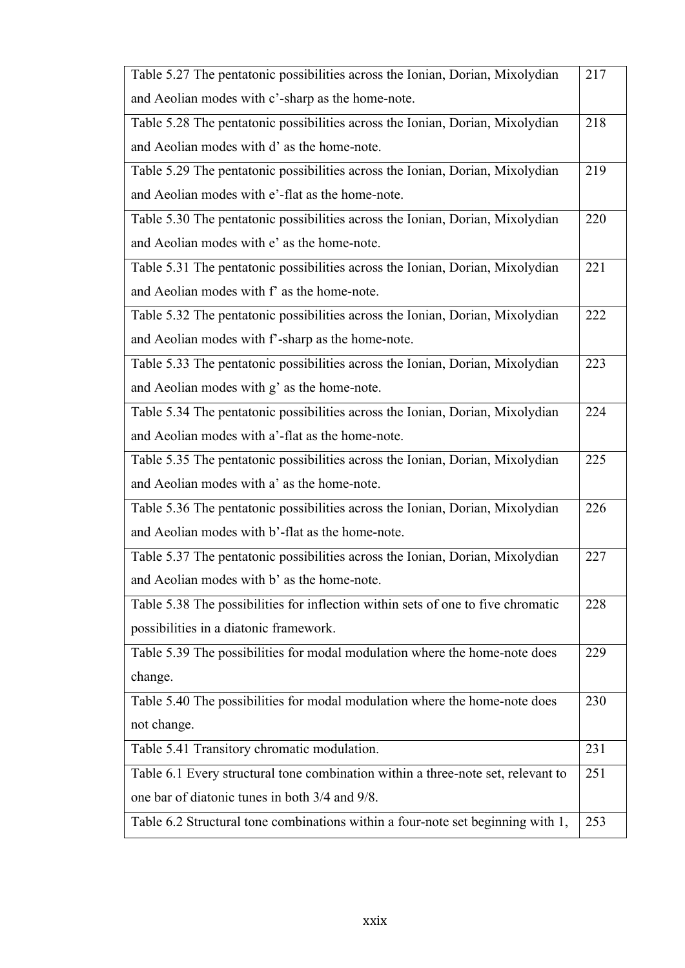| Table 5.27 The pentatonic possibilities across the Ionian, Dorian, Mixolydian    | 217 |
|----------------------------------------------------------------------------------|-----|
| and Aeolian modes with c'-sharp as the home-note.                                |     |
| Table 5.28 The pentatonic possibilities across the Ionian, Dorian, Mixolydian    | 218 |
| and Aeolian modes with d' as the home-note.                                      |     |
| Table 5.29 The pentatonic possibilities across the Ionian, Dorian, Mixolydian    | 219 |
| and Aeolian modes with e'-flat as the home-note.                                 |     |
| Table 5.30 The pentatonic possibilities across the Ionian, Dorian, Mixolydian    | 220 |
| and Aeolian modes with e' as the home-note.                                      |     |
| Table 5.31 The pentatonic possibilities across the Ionian, Dorian, Mixolydian    | 221 |
| and Aeolian modes with f' as the home-note.                                      |     |
| Table 5.32 The pentatonic possibilities across the Ionian, Dorian, Mixolydian    | 222 |
| and Aeolian modes with f'-sharp as the home-note.                                |     |
| Table 5.33 The pentatonic possibilities across the Ionian, Dorian, Mixolydian    | 223 |
| and Aeolian modes with g' as the home-note.                                      |     |
| Table 5.34 The pentatonic possibilities across the Ionian, Dorian, Mixolydian    | 224 |
| and Aeolian modes with a'-flat as the home-note.                                 |     |
| Table 5.35 The pentatonic possibilities across the Ionian, Dorian, Mixolydian    | 225 |
| and Aeolian modes with a' as the home-note.                                      |     |
| Table 5.36 The pentatonic possibilities across the Ionian, Dorian, Mixolydian    | 226 |
| and Aeolian modes with b'-flat as the home-note.                                 |     |
| Table 5.37 The pentatonic possibilities across the Ionian, Dorian, Mixolydian    | 227 |
| and Aeolian modes with b' as the home-note.                                      |     |
| Table 5.38 The possibilities for inflection within sets of one to five chromatic | 228 |
| possibilities in a diatonic framework.                                           |     |
| Table 5.39 The possibilities for modal modulation where the home-note does       | 229 |
| change.                                                                          |     |
| Table 5.40 The possibilities for modal modulation where the home-note does       | 230 |
| not change.                                                                      |     |
| Table 5.41 Transitory chromatic modulation.                                      | 231 |
| Table 6.1 Every structural tone combination within a three-note set, relevant to | 251 |
| one bar of diatonic tunes in both 3/4 and 9/8.                                   |     |
| Table 6.2 Structural tone combinations within a four-note set beginning with 1,  | 253 |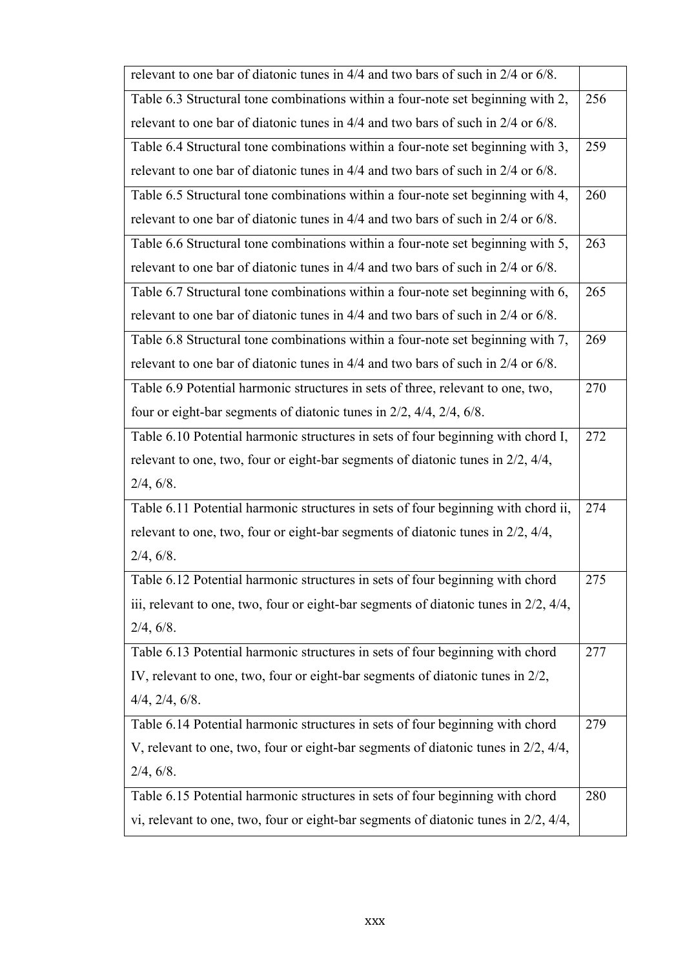| relevant to one bar of diatonic tunes in 4/4 and two bars of such in 2/4 or 6/8.           |     |
|--------------------------------------------------------------------------------------------|-----|
| Table 6.3 Structural tone combinations within a four-note set beginning with 2,            | 256 |
| relevant to one bar of diatonic tunes in 4/4 and two bars of such in 2/4 or 6/8.           |     |
| Table 6.4 Structural tone combinations within a four-note set beginning with 3,            | 259 |
| relevant to one bar of diatonic tunes in 4/4 and two bars of such in 2/4 or 6/8.           |     |
| Table 6.5 Structural tone combinations within a four-note set beginning with 4,            | 260 |
| relevant to one bar of diatonic tunes in 4/4 and two bars of such in 2/4 or 6/8.           |     |
| Table 6.6 Structural tone combinations within a four-note set beginning with 5,            | 263 |
| relevant to one bar of diatonic tunes in 4/4 and two bars of such in 2/4 or 6/8.           |     |
| Table 6.7 Structural tone combinations within a four-note set beginning with 6,            | 265 |
| relevant to one bar of diatonic tunes in 4/4 and two bars of such in 2/4 or 6/8.           |     |
| Table 6.8 Structural tone combinations within a four-note set beginning with 7,            | 269 |
| relevant to one bar of diatonic tunes in 4/4 and two bars of such in 2/4 or 6/8.           |     |
| Table 6.9 Potential harmonic structures in sets of three, relevant to one, two,            | 270 |
| four or eight-bar segments of diatonic tunes in $2/2$ , $4/4$ , $2/4$ , $6/8$ .            |     |
| Table 6.10 Potential harmonic structures in sets of four beginning with chord I,           | 272 |
| relevant to one, two, four or eight-bar segments of diatonic tunes in 2/2, 4/4,            |     |
| 2/4, 6/8.                                                                                  |     |
| Table 6.11 Potential harmonic structures in sets of four beginning with chord ii,          | 274 |
| relevant to one, two, four or eight-bar segments of diatonic tunes in 2/2, 4/4,            |     |
| 2/4, 6/8.                                                                                  |     |
| Table 6.12 Potential harmonic structures in sets of four beginning with chord              | 275 |
| iii, relevant to one, two, four or eight-bar segments of diatonic tunes in $2/2$ , $4/4$ , |     |
| 2/4, 6/8.                                                                                  |     |
| Table 6.13 Potential harmonic structures in sets of four beginning with chord              | 277 |
| IV, relevant to one, two, four or eight-bar segments of diatonic tunes in 2/2,             |     |
| $4/4$ , $2/4$ , $6/8$ .                                                                    |     |
| Table 6.14 Potential harmonic structures in sets of four beginning with chord              | 279 |
| V, relevant to one, two, four or eight-bar segments of diatonic tunes in 2/2, 4/4,         |     |
| 2/4, 6/8.                                                                                  |     |
| Table 6.15 Potential harmonic structures in sets of four beginning with chord              | 280 |
| vi, relevant to one, two, four or eight-bar segments of diatonic tunes in 2/2, 4/4,        |     |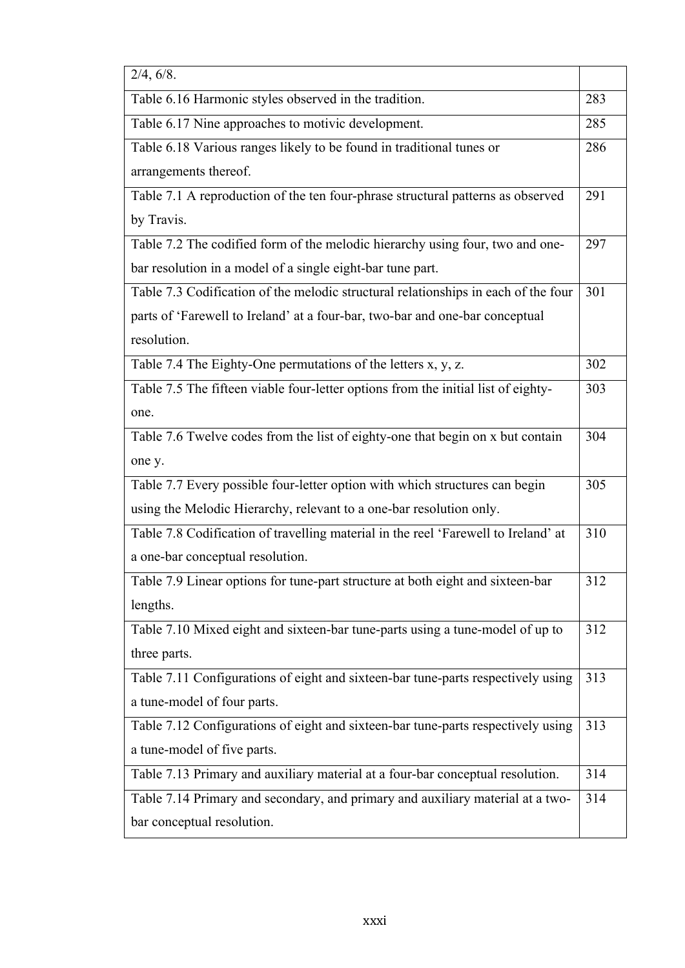| 2/4, 6/8.                                                                          |     |
|------------------------------------------------------------------------------------|-----|
| Table 6.16 Harmonic styles observed in the tradition.                              | 283 |
| Table 6.17 Nine approaches to motivic development.                                 | 285 |
| Table 6.18 Various ranges likely to be found in traditional tunes or               | 286 |
| arrangements thereof.                                                              |     |
| Table 7.1 A reproduction of the ten four-phrase structural patterns as observed    | 291 |
| by Travis.                                                                         |     |
| Table 7.2 The codified form of the melodic hierarchy using four, two and one-      | 297 |
| bar resolution in a model of a single eight-bar tune part.                         |     |
| Table 7.3 Codification of the melodic structural relationships in each of the four | 301 |
| parts of 'Farewell to Ireland' at a four-bar, two-bar and one-bar conceptual       |     |
| resolution.                                                                        |     |
| Table 7.4 The Eighty-One permutations of the letters x, y, z.                      | 302 |
| Table 7.5 The fifteen viable four-letter options from the initial list of eighty-  | 303 |
| one.                                                                               |     |
| Table 7.6 Twelve codes from the list of eighty-one that begin on x but contain     | 304 |
| one y.                                                                             |     |
| Table 7.7 Every possible four-letter option with which structures can begin        | 305 |
| using the Melodic Hierarchy, relevant to a one-bar resolution only.                |     |
| Table 7.8 Codification of travelling material in the reel 'Farewell to Ireland' at | 310 |
| a one-bar conceptual resolution.                                                   |     |
| Table 7.9 Linear options for tune-part structure at both eight and sixteen-bar     | 312 |
| lengths.                                                                           |     |
| Table 7.10 Mixed eight and sixteen-bar tune-parts using a tune-model of up to      | 312 |
| three parts.                                                                       |     |
| Table 7.11 Configurations of eight and sixteen-bar tune-parts respectively using   | 313 |
| a tune-model of four parts.                                                        |     |
| Table 7.12 Configurations of eight and sixteen-bar tune-parts respectively using   | 313 |
| a tune-model of five parts.                                                        |     |
| Table 7.13 Primary and auxiliary material at a four-bar conceptual resolution.     | 314 |
| Table 7.14 Primary and secondary, and primary and auxiliary material at a two-     | 314 |
| bar conceptual resolution.                                                         |     |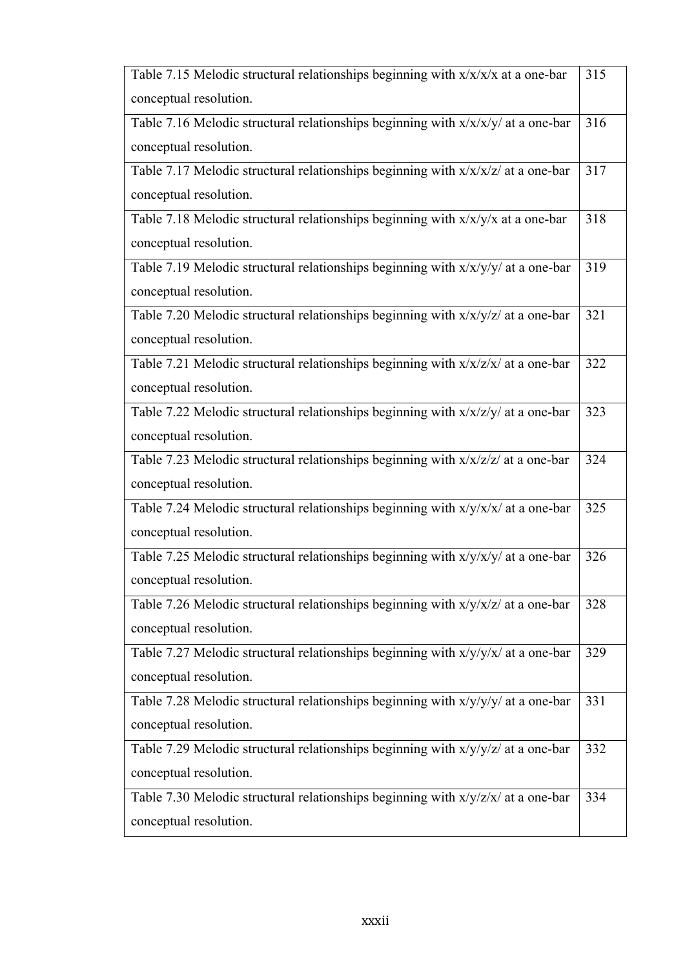| Table 7.15 Melodic structural relationships beginning with $x/x/x$ at a one-bar    | 315 |
|------------------------------------------------------------------------------------|-----|
| conceptual resolution.                                                             |     |
| Table 7.16 Melodic structural relationships beginning with $x/x/x/y/$ at a one-bar | 316 |
| conceptual resolution.                                                             |     |
| Table 7.17 Melodic structural relationships beginning with $x/x/x/z$ at a one-bar  | 317 |
| conceptual resolution.                                                             |     |
| Table 7.18 Melodic structural relationships beginning with $x/x/y/x$ at a one-bar  | 318 |
| conceptual resolution.                                                             |     |
| Table 7.19 Melodic structural relationships beginning with $x/x/y/y/$ at a one-bar | 319 |
| conceptual resolution.                                                             |     |
| Table 7.20 Melodic structural relationships beginning with $x/x/y/z$ at a one-bar  | 321 |
| conceptual resolution.                                                             |     |
| Table 7.21 Melodic structural relationships beginning with $x/x/z/x/$ at a one-bar | 322 |
| conceptual resolution.                                                             |     |
| Table 7.22 Melodic structural relationships beginning with $x/x/z/y/$ at a one-bar | 323 |
| conceptual resolution.                                                             |     |
| Table 7.23 Melodic structural relationships beginning with $x/x/z/z$ at a one-bar  | 324 |
| conceptual resolution.                                                             |     |
| Table 7.24 Melodic structural relationships beginning with $x/y/x/x/$ at a one-bar | 325 |
| conceptual resolution.                                                             |     |
| Table 7.25 Melodic structural relationships beginning with $x/y/x/y/$ at a one-bar | 326 |
| conceptual resolution.                                                             |     |
| Table 7.26 Melodic structural relationships beginning with $x/y/x/z/$ at a one-bar | 328 |
| conceptual resolution.                                                             |     |
| Table 7.27 Melodic structural relationships beginning with x/y/y/x/ at a one-bar   | 329 |
| conceptual resolution.                                                             |     |
| Table 7.28 Melodic structural relationships beginning with x/y/y/y/ at a one-bar   | 331 |
| conceptual resolution.                                                             |     |
| Table 7.29 Melodic structural relationships beginning with x/y/y/z/ at a one-bar   | 332 |
| conceptual resolution.                                                             |     |
| Table 7.30 Melodic structural relationships beginning with $x/y/z/x/$ at a one-bar | 334 |
| conceptual resolution.                                                             |     |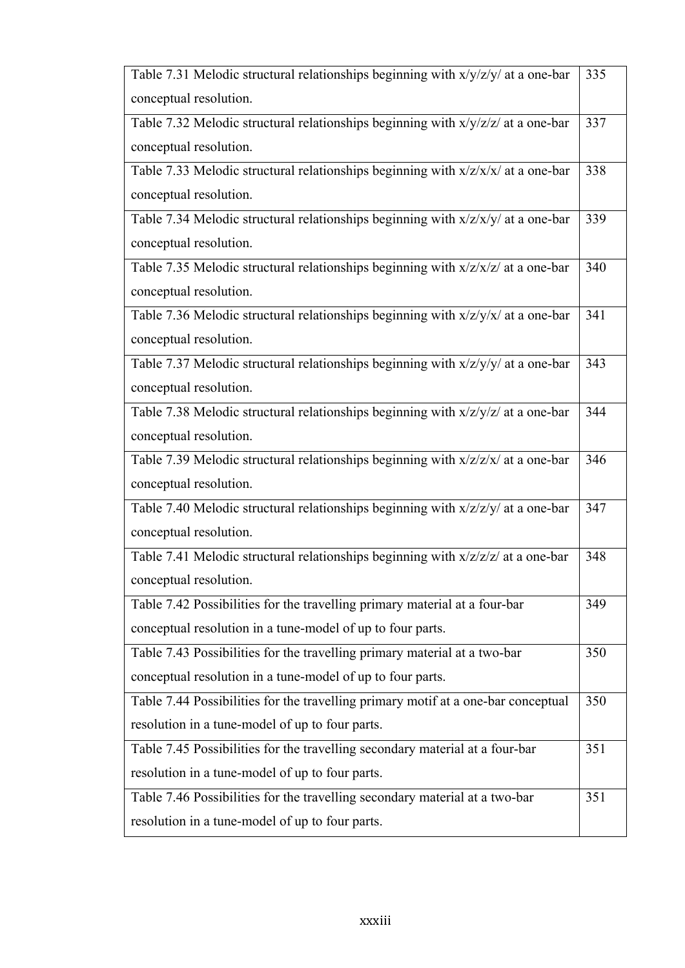| Table 7.31 Melodic structural relationships beginning with $x/y/z/y/$ at a one-bar              | 335 |
|-------------------------------------------------------------------------------------------------|-----|
| conceptual resolution.                                                                          |     |
| Table 7.32 Melodic structural relationships beginning with x/y/z/z/ at a one-bar                | 337 |
| conceptual resolution.                                                                          |     |
| Table 7.33 Melodic structural relationships beginning with $x/z/x/x$ at a one-bar               | 338 |
| conceptual resolution.                                                                          |     |
| Table 7.34 Melodic structural relationships beginning with $x/z/x/y/$ at a one-bar              | 339 |
| conceptual resolution.                                                                          |     |
| Table 7.35 Melodic structural relationships beginning with x/z/x/z/ at a one-bar                | 340 |
| conceptual resolution.                                                                          |     |
| Table 7.36 Melodic structural relationships beginning with $x/z/y/x/$ at a one-bar              | 341 |
| conceptual resolution.                                                                          |     |
| Table 7.37 Melodic structural relationships beginning with x/z/y/y/ at a one-bar                | 343 |
| conceptual resolution.                                                                          |     |
| Table 7.38 Melodic structural relationships beginning with x/z/y/z/ at a one-bar                | 344 |
| conceptual resolution.                                                                          |     |
| Table 7.39 Melodic structural relationships beginning with x/z/z/x/ at a one-bar                | 346 |
| conceptual resolution.                                                                          |     |
| Table 7.40 Melodic structural relationships beginning with $x/z/z/y/$ at $\overline{a}$ one-bar | 347 |
| conceptual resolution.                                                                          |     |
| Table 7.41 Melodic structural relationships beginning with $x/z/z/z$ at a one-bar               | 348 |
| conceptual resolution.                                                                          |     |
| Table 7.42 Possibilities for the travelling primary material at a four-bar                      | 349 |
| conceptual resolution in a tune-model of up to four parts.                                      |     |
| Table 7.43 Possibilities for the travelling primary material at a two-bar                       | 350 |
| conceptual resolution in a tune-model of up to four parts.                                      |     |
| Table 7.44 Possibilities for the travelling primary motif at a one-bar conceptual               | 350 |
| resolution in a tune-model of up to four parts.                                                 |     |
| Table 7.45 Possibilities for the travelling secondary material at a four-bar                    | 351 |
| resolution in a tune-model of up to four parts.                                                 |     |
| Table 7.46 Possibilities for the travelling secondary material at a two-bar                     | 351 |
| resolution in a tune-model of up to four parts.                                                 |     |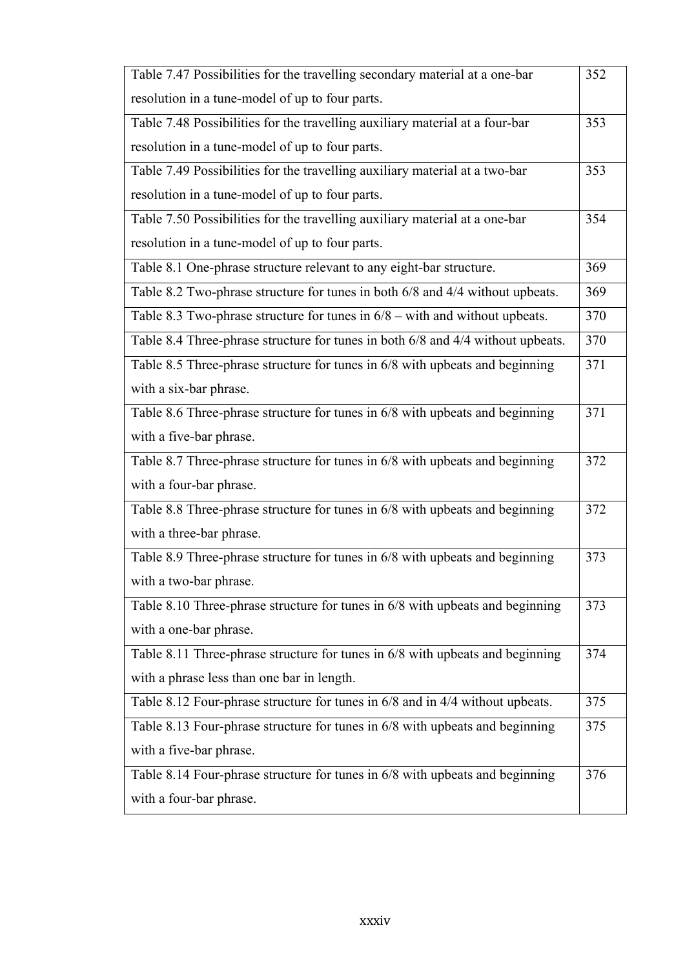| Table 7.47 Possibilities for the travelling secondary material at a one-bar     | 352 |
|---------------------------------------------------------------------------------|-----|
| resolution in a tune-model of up to four parts.                                 |     |
| Table 7.48 Possibilities for the travelling auxiliary material at a four-bar    | 353 |
| resolution in a tune-model of up to four parts.                                 |     |
| Table 7.49 Possibilities for the travelling auxiliary material at a two-bar     | 353 |
| resolution in a tune-model of up to four parts.                                 |     |
| Table 7.50 Possibilities for the travelling auxiliary material at a one-bar     | 354 |
| resolution in a tune-model of up to four parts.                                 |     |
| Table 8.1 One-phrase structure relevant to any eight-bar structure.             | 369 |
| Table 8.2 Two-phrase structure for tunes in both 6/8 and 4/4 without upbeats.   | 369 |
| Table 8.3 Two-phrase structure for tunes in $6/8$ – with and without upbeats.   | 370 |
| Table 8.4 Three-phrase structure for tunes in both 6/8 and 4/4 without upbeats. | 370 |
| Table 8.5 Three-phrase structure for tunes in 6/8 with upbeats and beginning    | 371 |
| with a six-bar phrase.                                                          |     |
| Table 8.6 Three-phrase structure for tunes in 6/8 with upbeats and beginning    | 371 |
| with a five-bar phrase.                                                         |     |
| Table 8.7 Three-phrase structure for tunes in 6/8 with upbeats and beginning    | 372 |
| with a four-bar phrase.                                                         |     |
| Table 8.8 Three-phrase structure for tunes in 6/8 with upbeats and beginning    | 372 |
| with a three-bar phrase.                                                        |     |
| Table 8.9 Three-phrase structure for tunes in 6/8 with upbeats and beginning    | 373 |
| with a two-bar phrase.                                                          |     |
| Table 8.10 Three-phrase structure for tunes in 6/8 with upbeats and beginning   | 373 |
| with a one-bar phrase.                                                          |     |
| Table 8.11 Three-phrase structure for tunes in 6/8 with upbeats and beginning   | 374 |
| with a phrase less than one bar in length.                                      |     |
| Table 8.12 Four-phrase structure for tunes in 6/8 and in 4/4 without upbeats.   | 375 |
| Table 8.13 Four-phrase structure for tunes in 6/8 with upbeats and beginning    | 375 |
| with a five-bar phrase.                                                         |     |
| Table 8.14 Four-phrase structure for tunes in 6/8 with upbeats and beginning    | 376 |
| with a four-bar phrase.                                                         |     |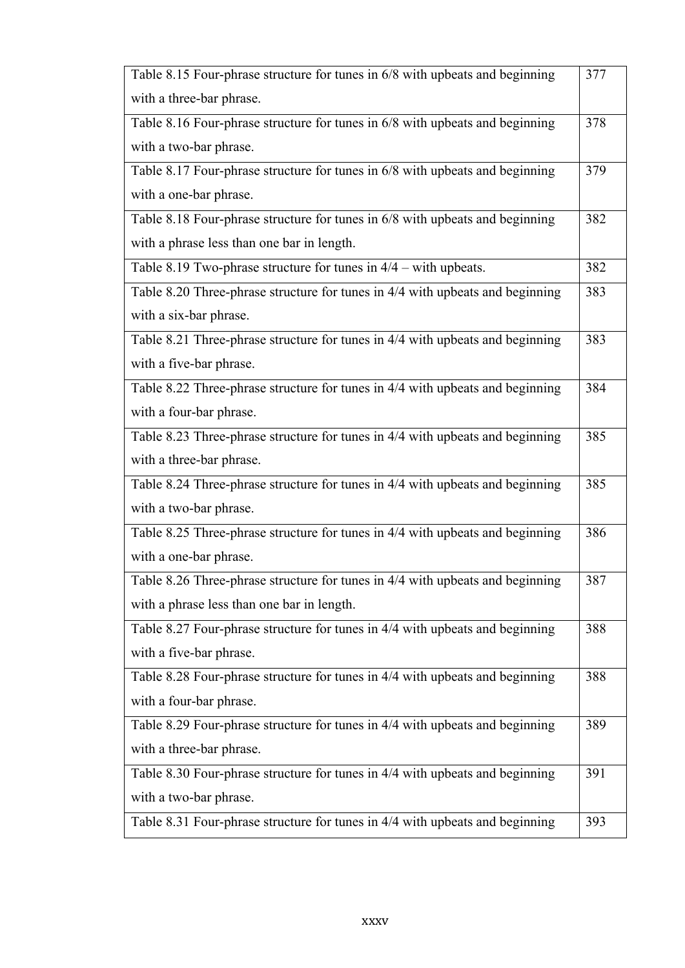| Table 8.15 Four-phrase structure for tunes in 6/8 with upbeats and beginning  | 377 |
|-------------------------------------------------------------------------------|-----|
| with a three-bar phrase.                                                      |     |
| Table 8.16 Four-phrase structure for tunes in 6/8 with upbeats and beginning  | 378 |
| with a two-bar phrase.                                                        |     |
| Table 8.17 Four-phrase structure for tunes in 6/8 with upbeats and beginning  | 379 |
| with a one-bar phrase.                                                        |     |
| Table 8.18 Four-phrase structure for tunes in 6/8 with upbeats and beginning  | 382 |
| with a phrase less than one bar in length.                                    |     |
| Table 8.19 Two-phrase structure for tunes in $4/4$ – with upbeats.            | 382 |
| Table 8.20 Three-phrase structure for tunes in 4/4 with upbeats and beginning | 383 |
| with a six-bar phrase.                                                        |     |
| Table 8.21 Three-phrase structure for tunes in 4/4 with upbeats and beginning | 383 |
| with a five-bar phrase.                                                       |     |
| Table 8.22 Three-phrase structure for tunes in 4/4 with upbeats and beginning | 384 |
| with a four-bar phrase.                                                       |     |
| Table 8.23 Three-phrase structure for tunes in 4/4 with upbeats and beginning | 385 |
| with a three-bar phrase.                                                      |     |
| Table 8.24 Three-phrase structure for tunes in 4/4 with upbeats and beginning | 385 |
| with a two-bar phrase.                                                        |     |
| Table 8.25 Three-phrase structure for tunes in 4/4 with upbeats and beginning | 386 |
| with a one-bar phrase.                                                        |     |
| Table 8.26 Three-phrase structure for tunes in 4/4 with upbeats and beginning | 387 |
| with a phrase less than one bar in length.                                    |     |
| Table 8.27 Four-phrase structure for tunes in 4/4 with upbeats and beginning  | 388 |
| with a five-bar phrase.                                                       |     |
| Table 8.28 Four-phrase structure for tunes in 4/4 with upbeats and beginning  | 388 |
| with a four-bar phrase.                                                       |     |
| Table 8.29 Four-phrase structure for tunes in 4/4 with upbeats and beginning  | 389 |
| with a three-bar phrase.                                                      |     |
| Table 8.30 Four-phrase structure for tunes in 4/4 with upbeats and beginning  | 391 |
| with a two-bar phrase.                                                        |     |
| Table 8.31 Four-phrase structure for tunes in 4/4 with upbeats and beginning  | 393 |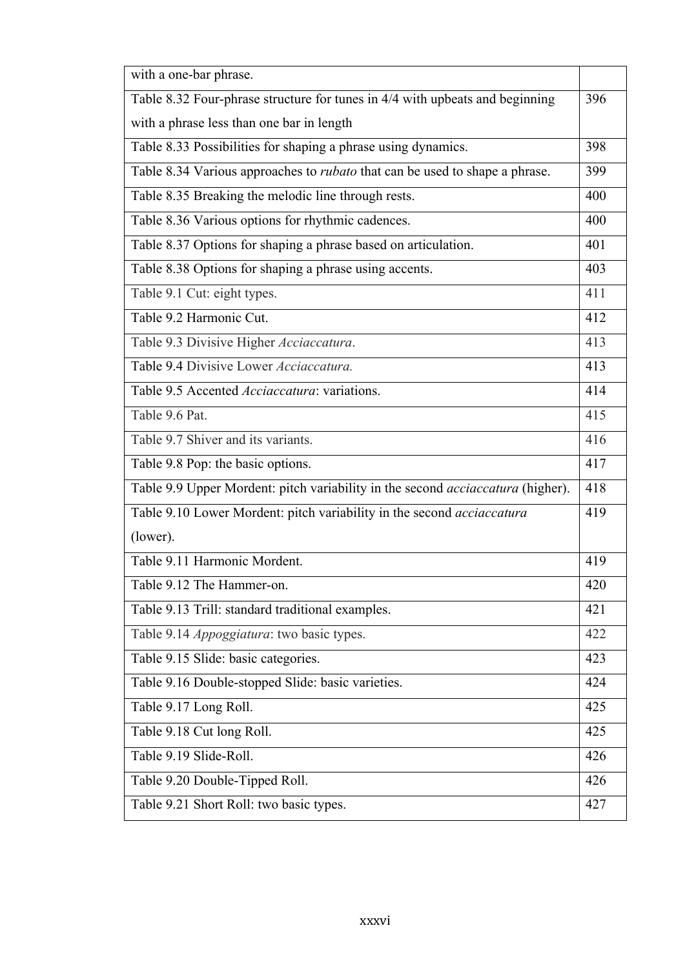| with a one-bar phrase.                                                             |     |
|------------------------------------------------------------------------------------|-----|
| Table 8.32 Four-phrase structure for tunes in 4/4 with upbeats and beginning       | 396 |
| with a phrase less than one bar in length                                          |     |
| Table 8.33 Possibilities for shaping a phrase using dynamics.                      | 398 |
| Table 8.34 Various approaches to <i>rubato</i> that can be used to shape a phrase. | 399 |
| Table 8.35 Breaking the melodic line through rests.                                | 400 |
| Table 8.36 Various options for rhythmic cadences.                                  | 400 |
| Table 8.37 Options for shaping a phrase based on articulation.                     | 401 |
| Table 8.38 Options for shaping a phrase using accents.                             | 403 |
| Table 9.1 Cut: eight types.                                                        | 411 |
| Table 9.2 Harmonic Cut.                                                            | 412 |
| Table 9.3 Divisive Higher Acciaccatura.                                            | 413 |
| Table 9.4 Divisive Lower Acciaccatura.                                             | 413 |
| Table 9.5 Accented <i>Acciaccatura</i> : variations.                               | 414 |
| Table 9.6 Pat.                                                                     | 415 |
| Table 9.7 Shiver and its variants.                                                 | 416 |
| Table 9.8 Pop: the basic options.                                                  | 417 |
| Table 9.9 Upper Mordent: pitch variability in the second acciaccatura (higher).    | 418 |
| Table 9.10 Lower Mordent: pitch variability in the second acciaccatura             | 419 |
| (lower).                                                                           |     |
| Table 9.11 Harmonic Mordent.                                                       | 419 |
| Table 9.12 The Hammer-on.                                                          | 420 |
| Table 9.13 Trill: standard traditional examples.                                   | 421 |
| Table 9.14 Appoggiatura: two basic types.                                          | 422 |
| Table 9.15 Slide: basic categories.                                                | 423 |
| Table 9.16 Double-stopped Slide: basic varieties.                                  | 424 |
| Table 9.17 Long Roll.                                                              | 425 |
| Table 9.18 Cut long Roll.                                                          | 425 |
| Table 9.19 Slide-Roll.                                                             | 426 |
| Table 9.20 Double-Tipped Roll.                                                     | 426 |
| Table 9.21 Short Roll: two basic types.                                            | 427 |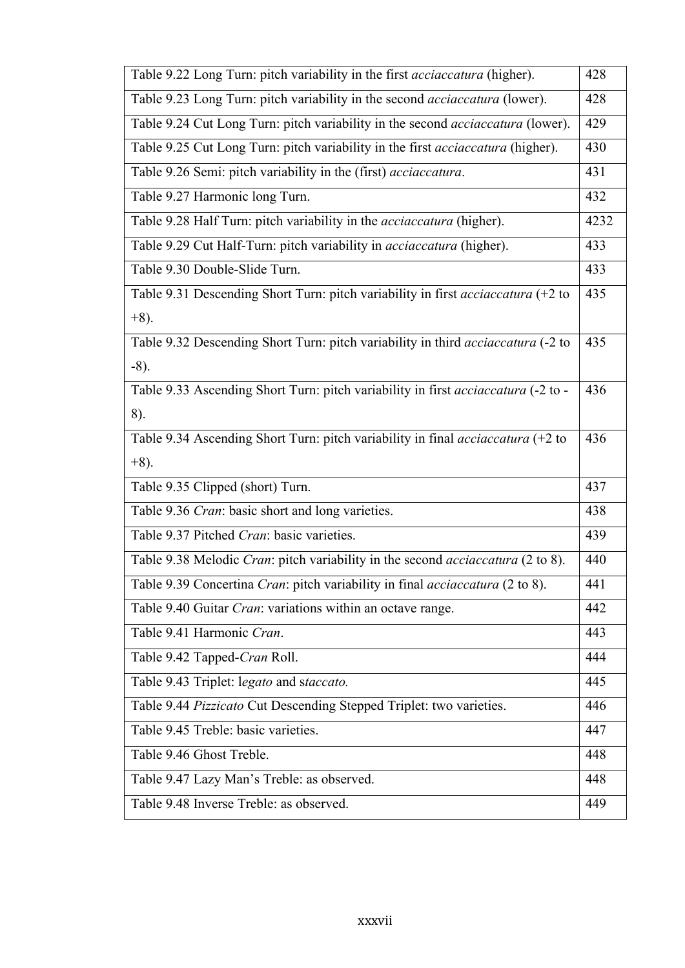| Table 9.22 Long Turn: pitch variability in the first acciaccatura (higher).                  | 428  |
|----------------------------------------------------------------------------------------------|------|
| Table 9.23 Long Turn: pitch variability in the second <i>acciaccatura</i> (lower).           | 428  |
| Table 9.24 Cut Long Turn: pitch variability in the second <i>acciaccatura</i> (lower).       | 429  |
| Table 9.25 Cut Long Turn: pitch variability in the first acciaccatura (higher).              | 430  |
| Table 9.26 Semi: pitch variability in the (first) acciaccatura.                              | 431  |
| Table 9.27 Harmonic long Turn.                                                               | 432  |
| Table 9.28 Half Turn: pitch variability in the <i>acciaccatura</i> (higher).                 | 4232 |
| Table 9.29 Cut Half-Turn: pitch variability in <i>acciaccatura</i> (higher).                 | 433  |
| Table 9.30 Double-Slide Turn.                                                                | 433  |
| Table 9.31 Descending Short Turn: pitch variability in first acciaccatura (+2 to             | 435  |
| $+8)$ .                                                                                      |      |
| Table 9.32 Descending Short Turn: pitch variability in third acciaccatura (-2 to             | 435  |
| $-8$ ).                                                                                      |      |
| Table 9.33 Ascending Short Turn: pitch variability in first acciaccatura (-2 to -            | 436  |
| 8).                                                                                          |      |
| Table 9.34 Ascending Short Turn: pitch variability in final <i>acciaccatura</i> (+2 to       | 436  |
| $+8)$ .                                                                                      |      |
| Table 9.35 Clipped (short) Turn.                                                             | 437  |
| Table 9.36 Cran: basic short and long varieties.                                             | 438  |
| Table 9.37 Pitched Cran: basic varieties.                                                    | 439  |
| Table 9.38 Melodic Cran: pitch variability in the second <i>acciaccatura</i> (2 to 8).       | 440  |
| Table 9.39 Concertina <i>Cran</i> : pitch variability in final <i>acciaccatura</i> (2 to 8). | 441  |
| Table 9.40 Guitar Cran: variations within an octave range.                                   | 442  |
| Table 9.41 Harmonic Cran.                                                                    | 443  |
| Table 9.42 Tapped-Cran Roll.                                                                 | 444  |
| Table 9.43 Triplet: legato and staccato.                                                     | 445  |
| Table 9.44 Pizzicato Cut Descending Stepped Triplet: two varieties.                          | 446  |
| Table 9.45 Treble: basic varieties.                                                          | 447  |
| Table 9.46 Ghost Treble.                                                                     | 448  |
| Table 9.47 Lazy Man's Treble: as observed.                                                   | 448  |
| Table 9.48 Inverse Treble: as observed.                                                      | 449  |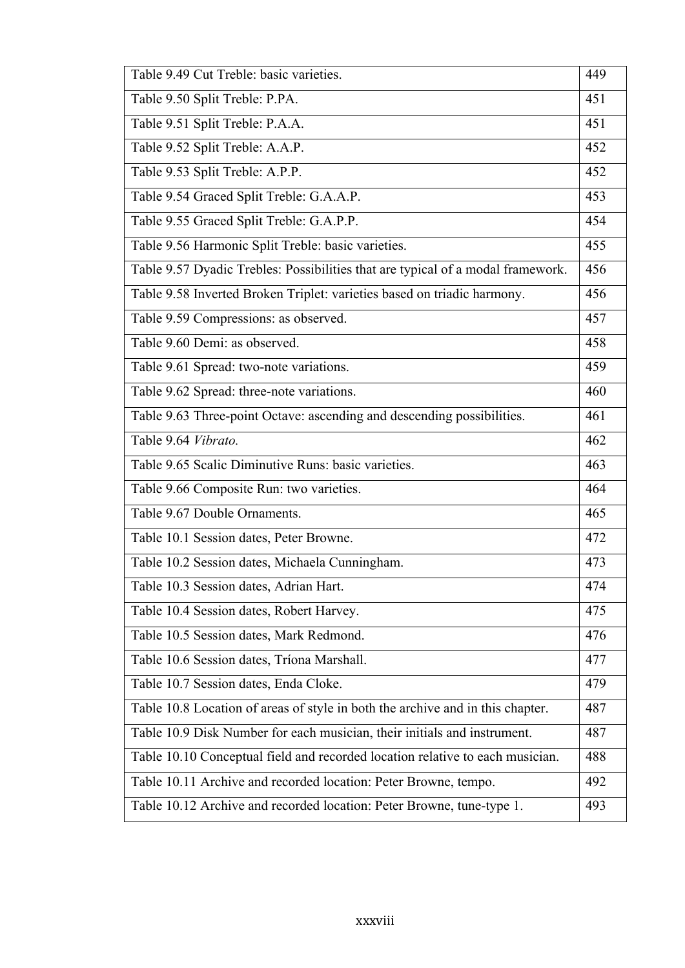| Table 9.49 Cut Treble: basic varieties.                                         | 449 |
|---------------------------------------------------------------------------------|-----|
| Table 9.50 Split Treble: P.PA.                                                  | 451 |
| Table 9.51 Split Treble: P.A.A.                                                 | 451 |
| Table 9.52 Split Treble: A.A.P.                                                 | 452 |
| Table 9.53 Split Treble: A.P.P.                                                 | 452 |
| Table 9.54 Graced Split Treble: G.A.A.P.                                        | 453 |
| Table 9.55 Graced Split Treble: G.A.P.P.                                        | 454 |
| Table 9.56 Harmonic Split Treble: basic varieties.                              | 455 |
| Table 9.57 Dyadic Trebles: Possibilities that are typical of a modal framework. | 456 |
| Table 9.58 Inverted Broken Triplet: varieties based on triadic harmony.         | 456 |
| Table 9.59 Compressions: as observed.                                           | 457 |
| Table 9.60 Demi: as observed.                                                   | 458 |
| Table 9.61 Spread: two-note variations.                                         | 459 |
| Table 9.62 Spread: three-note variations.                                       | 460 |
| Table 9.63 Three-point Octave: ascending and descending possibilities.          | 461 |
| Table 9.64 Vibrato.                                                             | 462 |
| Table 9.65 Scalic Diminutive Runs: basic varieties.                             | 463 |
| Table 9.66 Composite Run: two varieties.                                        | 464 |
| Table 9.67 Double Ornaments.                                                    | 465 |
| Table 10.1 Session dates, Peter Browne.                                         | 472 |
| Table 10.2 Session dates, Michaela Cunningham.                                  | 473 |
| Table 10.3 Session dates, Adrian Hart.                                          | 474 |
| Table 10.4 Session dates, Robert Harvey.                                        | 475 |
| Table 10.5 Session dates, Mark Redmond.                                         | 476 |
| Table 10.6 Session dates, Tríona Marshall.                                      | 477 |
| Table 10.7 Session dates, Enda Cloke.                                           | 479 |
| Table 10.8 Location of areas of style in both the archive and in this chapter.  | 487 |
| Table 10.9 Disk Number for each musician, their initials and instrument.        | 487 |
| Table 10.10 Conceptual field and recorded location relative to each musician.   | 488 |
| Table 10.11 Archive and recorded location: Peter Browne, tempo.                 | 492 |
| Table 10.12 Archive and recorded location: Peter Browne, tune-type 1.           | 493 |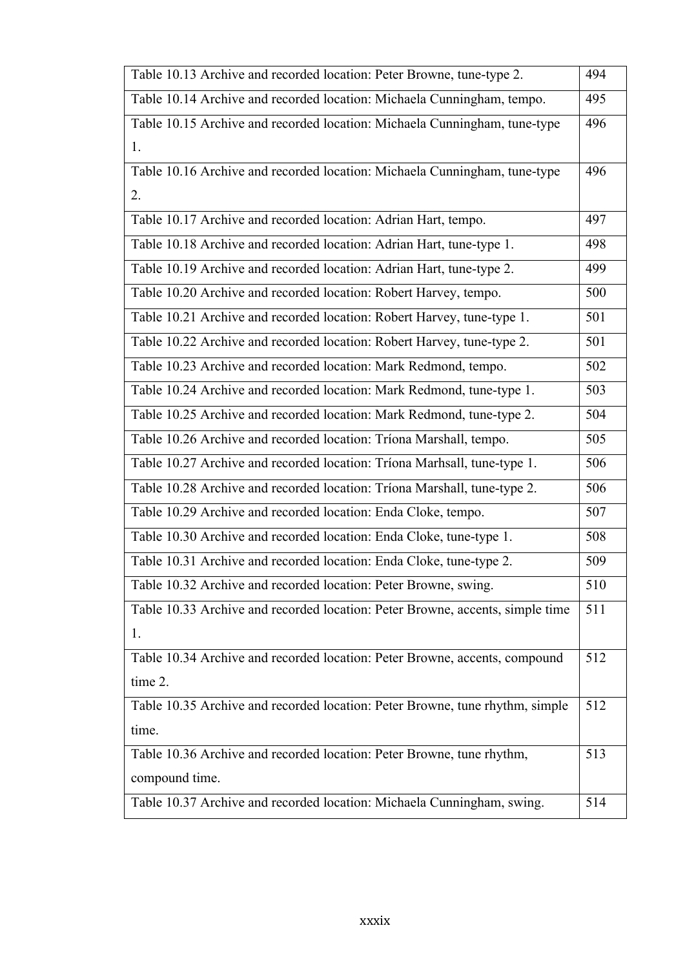| Table 10.13 Archive and recorded location: Peter Browne, tune-type 2.         | 494 |
|-------------------------------------------------------------------------------|-----|
| Table 10.14 Archive and recorded location: Michaela Cunningham, tempo.        | 495 |
| Table 10.15 Archive and recorded location: Michaela Cunningham, tune-type     | 496 |
| 1.                                                                            |     |
| Table 10.16 Archive and recorded location: Michaela Cunningham, tune-type     | 496 |
| 2.                                                                            |     |
| Table 10.17 Archive and recorded location: Adrian Hart, tempo.                | 497 |
| Table 10.18 Archive and recorded location: Adrian Hart, tune-type 1.          | 498 |
| Table 10.19 Archive and recorded location: Adrian Hart, tune-type 2.          | 499 |
| Table 10.20 Archive and recorded location: Robert Harvey, tempo.              | 500 |
| Table 10.21 Archive and recorded location: Robert Harvey, tune-type 1.        | 501 |
| Table 10.22 Archive and recorded location: Robert Harvey, tune-type 2.        | 501 |
| Table 10.23 Archive and recorded location: Mark Redmond, tempo.               | 502 |
| Table 10.24 Archive and recorded location: Mark Redmond, tune-type 1.         | 503 |
| Table 10.25 Archive and recorded location: Mark Redmond, tune-type 2.         | 504 |
| Table 10.26 Archive and recorded location: Triona Marshall, tempo.            | 505 |
| Table 10.27 Archive and recorded location: Tríona Marhsall, tune-type 1.      | 506 |
| Table 10.28 Archive and recorded location: Tríona Marshall, tune-type 2.      | 506 |
| Table 10.29 Archive and recorded location: Enda Cloke, tempo.                 | 507 |
| Table 10.30 Archive and recorded location: Enda Cloke, tune-type 1.           | 508 |
| Table 10.31 Archive and recorded location: Enda Cloke, tune-type 2.           | 509 |
| Table 10.32 Archive and recorded location: Peter Browne, swing.               | 510 |
| Table 10.33 Archive and recorded location: Peter Browne, accents, simple time | 511 |
| 1.                                                                            |     |
| Table 10.34 Archive and recorded location: Peter Browne, accents, compound    | 512 |
| time 2.                                                                       |     |
| Table 10.35 Archive and recorded location: Peter Browne, tune rhythm, simple  | 512 |
| time.                                                                         |     |
| Table 10.36 Archive and recorded location: Peter Browne, tune rhythm,         | 513 |
| compound time.                                                                |     |
| Table 10.37 Archive and recorded location: Michaela Cunningham, swing.        | 514 |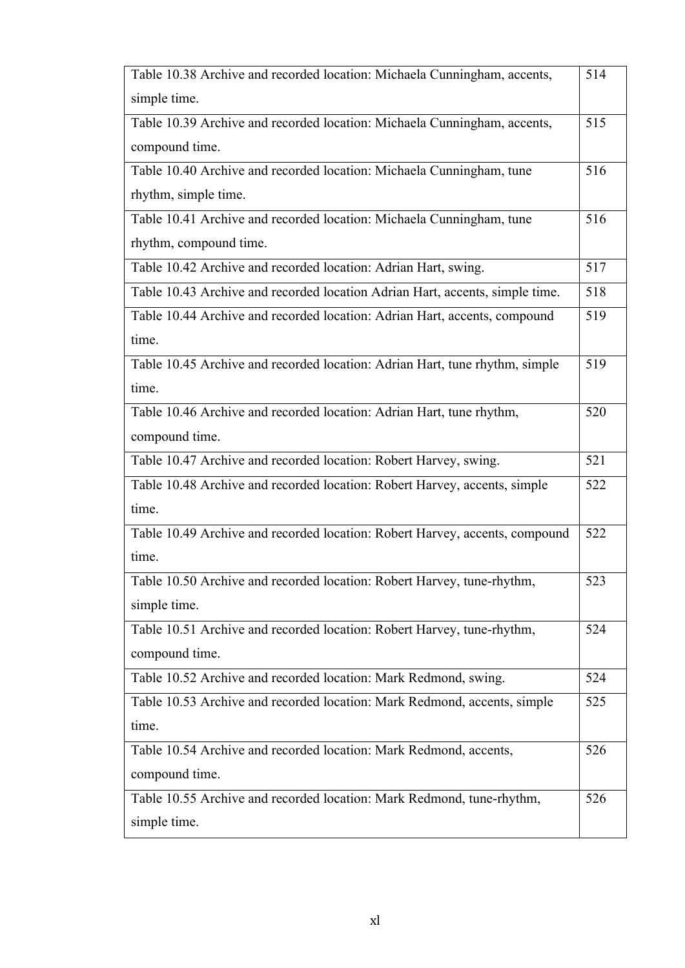| Table 10.38 Archive and recorded location: Michaela Cunningham, accents,     | 514 |
|------------------------------------------------------------------------------|-----|
| simple time.                                                                 |     |
| Table 10.39 Archive and recorded location: Michaela Cunningham, accents,     | 515 |
| compound time.                                                               |     |
| Table 10.40 Archive and recorded location: Michaela Cunningham, tune         | 516 |
| rhythm, simple time.                                                         |     |
| Table 10.41 Archive and recorded location: Michaela Cunningham, tune         | 516 |
| rhythm, compound time.                                                       |     |
| Table 10.42 Archive and recorded location: Adrian Hart, swing.               | 517 |
| Table 10.43 Archive and recorded location Adrian Hart, accents, simple time. | 518 |
| Table 10.44 Archive and recorded location: Adrian Hart, accents, compound    | 519 |
| time.                                                                        |     |
| Table 10.45 Archive and recorded location: Adrian Hart, tune rhythm, simple  | 519 |
| time.                                                                        |     |
| Table 10.46 Archive and recorded location: Adrian Hart, tune rhythm,         | 520 |
| compound time.                                                               |     |
| Table 10.47 Archive and recorded location: Robert Harvey, swing.             | 521 |
| Table 10.48 Archive and recorded location: Robert Harvey, accents, simple    | 522 |
| time.                                                                        |     |
| Table 10.49 Archive and recorded location: Robert Harvey, accents, compound  | 522 |
| time.                                                                        |     |
| Table 10.50 Archive and recorded location: Robert Harvey, tune-rhythm,       | 523 |
| simple time.                                                                 |     |
| Table 10.51 Archive and recorded location: Robert Harvey, tune-rhythm,       | 524 |
| compound time.                                                               |     |
| Table 10.52 Archive and recorded location: Mark Redmond, swing.              | 524 |
| Table 10.53 Archive and recorded location: Mark Redmond, accents, simple     | 525 |
| time.                                                                        |     |
| Table 10.54 Archive and recorded location: Mark Redmond, accents,            | 526 |
| compound time.                                                               |     |
| Table 10.55 Archive and recorded location: Mark Redmond, tune-rhythm,        | 526 |
| simple time.                                                                 |     |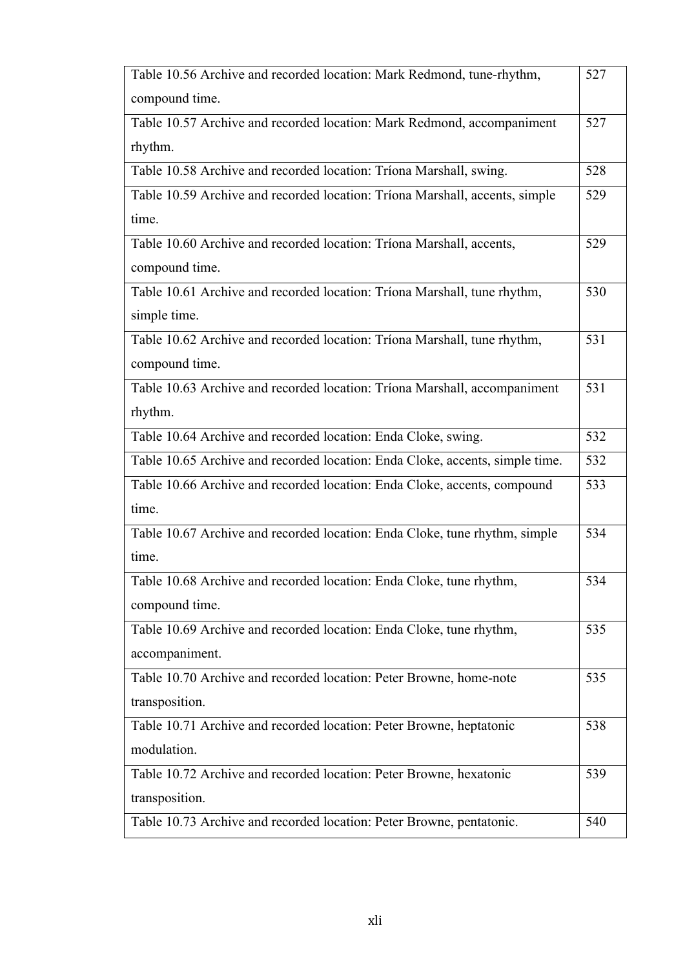| Table 10.56 Archive and recorded location: Mark Redmond, tune-rhythm,        | 527 |
|------------------------------------------------------------------------------|-----|
| compound time.                                                               |     |
| Table 10.57 Archive and recorded location: Mark Redmond, accompaniment       | 527 |
| rhythm.                                                                      |     |
| Table 10.58 Archive and recorded location: Triona Marshall, swing.           | 528 |
| Table 10.59 Archive and recorded location: Tríona Marshall, accents, simple  | 529 |
| time.                                                                        |     |
| Table 10.60 Archive and recorded location: Tríona Marshall, accents,         | 529 |
| compound time.                                                               |     |
| Table 10.61 Archive and recorded location: Triona Marshall, tune rhythm,     | 530 |
| simple time.                                                                 |     |
| Table 10.62 Archive and recorded location: Triona Marshall, tune rhythm,     | 531 |
| compound time.                                                               |     |
| Table 10.63 Archive and recorded location: Tríona Marshall, accompaniment    | 531 |
| rhythm.                                                                      |     |
| Table 10.64 Archive and recorded location: Enda Cloke, swing.                | 532 |
| Table 10.65 Archive and recorded location: Enda Cloke, accents, simple time. | 532 |
| Table 10.66 Archive and recorded location: Enda Cloke, accents, compound     | 533 |
| time.                                                                        |     |
| Table 10.67 Archive and recorded location: Enda Cloke, tune rhythm, simple   | 534 |
| time.                                                                        |     |
| Table 10.68 Archive and recorded location: Enda Cloke, tune rhythm,          | 534 |
| compound time.                                                               |     |
| Table 10.69 Archive and recorded location: Enda Cloke, tune rhythm,          | 535 |
| accompaniment.                                                               |     |
| Table 10.70 Archive and recorded location: Peter Browne, home-note           | 535 |
| transposition.                                                               |     |
| Table 10.71 Archive and recorded location: Peter Browne, heptatonic          | 538 |
| modulation.                                                                  |     |
| Table 10.72 Archive and recorded location: Peter Browne, hexatonic           | 539 |
| transposition.                                                               |     |
| Table 10.73 Archive and recorded location: Peter Browne, pentatonic.         | 540 |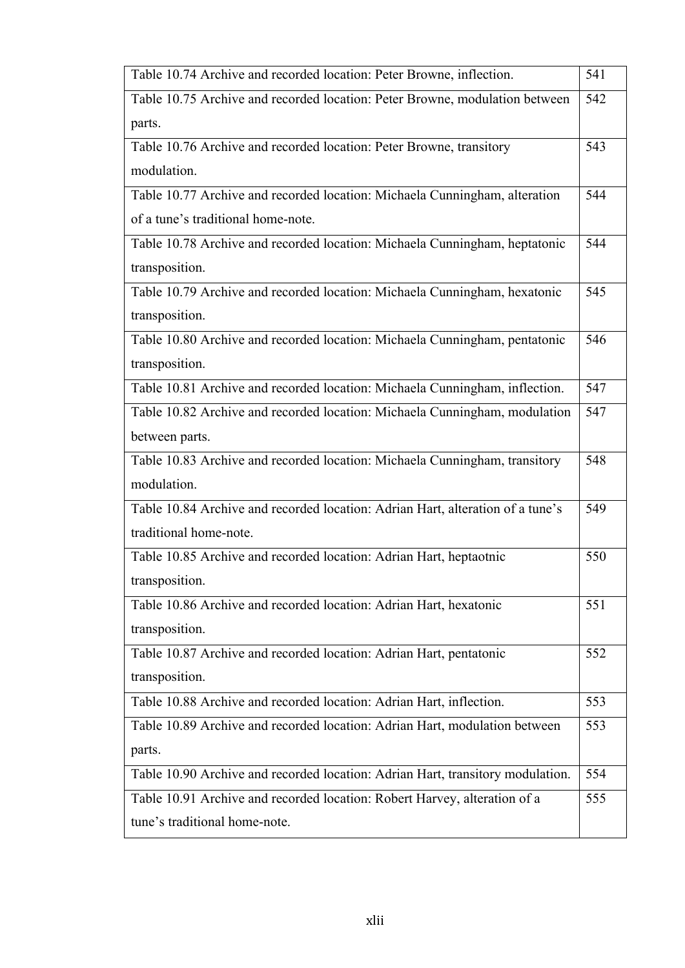| Table 10.74 Archive and recorded location: Peter Browne, inflection.           | 541 |
|--------------------------------------------------------------------------------|-----|
| Table 10.75 Archive and recorded location: Peter Browne, modulation between    | 542 |
| parts.                                                                         |     |
| Table 10.76 Archive and recorded location: Peter Browne, transitory            | 543 |
| modulation.                                                                    |     |
| Table 10.77 Archive and recorded location: Michaela Cunningham, alteration     | 544 |
| of a tune's traditional home-note.                                             |     |
| Table 10.78 Archive and recorded location: Michaela Cunningham, heptatonic     | 544 |
| transposition.                                                                 |     |
| Table 10.79 Archive and recorded location: Michaela Cunningham, hexatonic      | 545 |
| transposition.                                                                 |     |
| Table 10.80 Archive and recorded location: Michaela Cunningham, pentatonic     | 546 |
| transposition.                                                                 |     |
| Table 10.81 Archive and recorded location: Michaela Cunningham, inflection.    | 547 |
| Table 10.82 Archive and recorded location: Michaela Cunningham, modulation     | 547 |
| between parts.                                                                 |     |
| Table 10.83 Archive and recorded location: Michaela Cunningham, transitory     | 548 |
| modulation.                                                                    |     |
| Table 10.84 Archive and recorded location: Adrian Hart, alteration of a tune's | 549 |
| traditional home-note.                                                         |     |
| Table 10.85 Archive and recorded location: Adrian Hart, heptaotnic             | 550 |
| transposition.                                                                 |     |
| Table 10.86 Archive and recorded location: Adrian Hart, hexatonic              | 551 |
| transposition.                                                                 |     |
| Table 10.87 Archive and recorded location: Adrian Hart, pentatonic             | 552 |
| transposition.                                                                 |     |
| Table 10.88 Archive and recorded location: Adrian Hart, inflection.            | 553 |
| Table 10.89 Archive and recorded location: Adrian Hart, modulation between     | 553 |
| parts.                                                                         |     |
| Table 10.90 Archive and recorded location: Adrian Hart, transitory modulation. | 554 |
| Table 10.91 Archive and recorded location: Robert Harvey, alteration of a      | 555 |
| tune's traditional home-note.                                                  |     |
|                                                                                |     |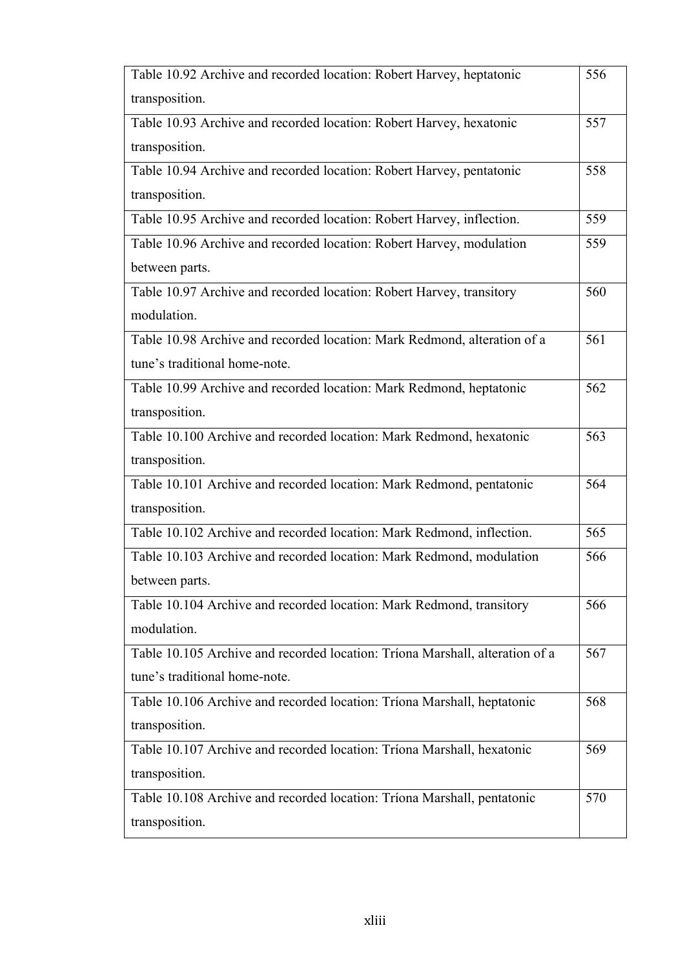| Table 10.92 Archive and recorded location: Robert Harvey, heptatonic         | 556 |
|------------------------------------------------------------------------------|-----|
| transposition.                                                               |     |
| Table 10.93 Archive and recorded location: Robert Harvey, hexatonic          | 557 |
| transposition.                                                               |     |
| Table 10.94 Archive and recorded location: Robert Harvey, pentatonic         | 558 |
| transposition.                                                               |     |
| Table 10.95 Archive and recorded location: Robert Harvey, inflection.        | 559 |
| Table 10.96 Archive and recorded location: Robert Harvey, modulation         | 559 |
| between parts.                                                               |     |
| Table 10.97 Archive and recorded location: Robert Harvey, transitory         | 560 |
| modulation.                                                                  |     |
| Table 10.98 Archive and recorded location: Mark Redmond, alteration of a     | 561 |
| tune's traditional home-note.                                                |     |
| Table 10.99 Archive and recorded location: Mark Redmond, heptatonic          | 562 |
| transposition.                                                               |     |
| Table 10.100 Archive and recorded location: Mark Redmond, hexatonic          | 563 |
| transposition.                                                               |     |
| Table 10.101 Archive and recorded location: Mark Redmond, pentatonic         | 564 |
| transposition.                                                               |     |
| Table 10.102 Archive and recorded location: Mark Redmond, inflection.        | 565 |
| Table 10.103 Archive and recorded location: Mark Redmond, modulation         | 566 |
| between parts.                                                               |     |
| Table 10.104 Archive and recorded location: Mark Redmond, transitory         | 566 |
| modulation.                                                                  |     |
| Table 10.105 Archive and recorded location: Triona Marshall, alteration of a | 567 |
| tune's traditional home-note.                                                |     |
| Table 10.106 Archive and recorded location: Tríona Marshall, heptatonic      | 568 |
| transposition.                                                               |     |
| Table 10.107 Archive and recorded location: Tríona Marshall, hexatonic       | 569 |
| transposition.                                                               |     |
| Table 10.108 Archive and recorded location: Tríona Marshall, pentatonic      | 570 |
| transposition.                                                               |     |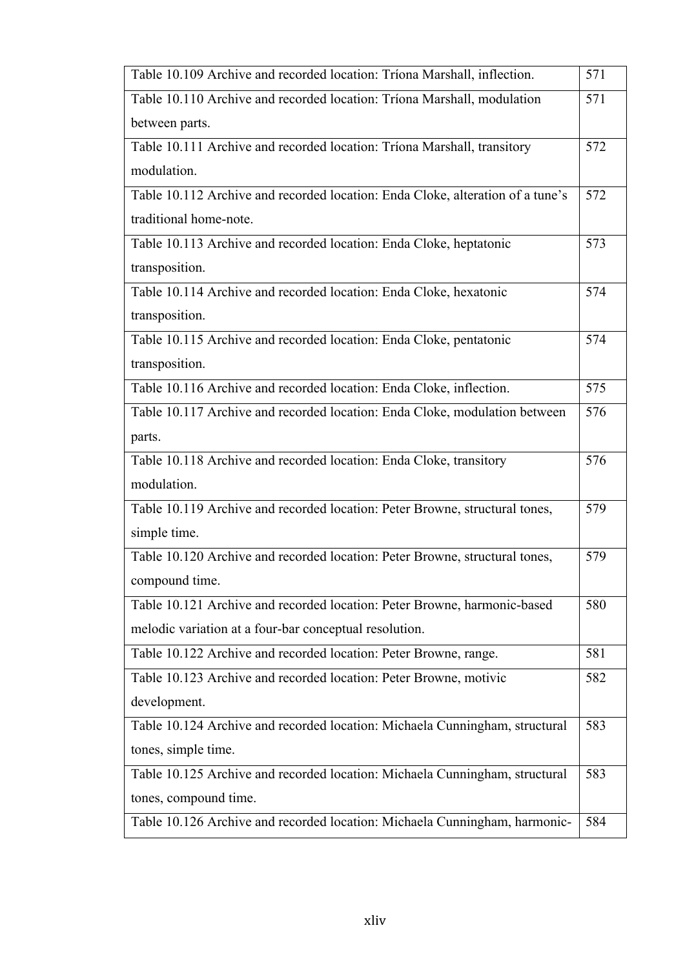| Table 10.109 Archive and recorded location: Triona Marshall, inflection.       | 571 |
|--------------------------------------------------------------------------------|-----|
| Table 10.110 Archive and recorded location: Triona Marshall, modulation        | 571 |
| between parts.                                                                 |     |
| Table 10.111 Archive and recorded location: Triona Marshall, transitory        | 572 |
| modulation.                                                                    |     |
| Table 10.112 Archive and recorded location: Enda Cloke, alteration of a tune's | 572 |
| traditional home-note.                                                         |     |
| Table 10.113 Archive and recorded location: Enda Cloke, heptatonic             | 573 |
| transposition.                                                                 |     |
| Table 10.114 Archive and recorded location: Enda Cloke, hexatonic              | 574 |
| transposition.                                                                 |     |
| Table 10.115 Archive and recorded location: Enda Cloke, pentatonic             | 574 |
| transposition.                                                                 |     |
| Table 10.116 Archive and recorded location: Enda Cloke, inflection.            | 575 |
| Table 10.117 Archive and recorded location: Enda Cloke, modulation between     | 576 |
| parts.                                                                         |     |
| Table 10.118 Archive and recorded location: Enda Cloke, transitory             | 576 |
| modulation.                                                                    |     |
| Table 10.119 Archive and recorded location: Peter Browne, structural tones,    | 579 |
| simple time.                                                                   |     |
| Table 10.120 Archive and recorded location: Peter Browne, structural tones,    | 579 |
| compound time.                                                                 |     |
| Table 10.121 Archive and recorded location: Peter Browne, harmonic-based       | 580 |
| melodic variation at a four-bar conceptual resolution.                         |     |
| Table 10.122 Archive and recorded location: Peter Browne, range.               | 581 |
| Table 10.123 Archive and recorded location: Peter Browne, motivic              | 582 |
| development.                                                                   |     |
| Table 10.124 Archive and recorded location: Michaela Cunningham, structural    | 583 |
| tones, simple time.                                                            |     |
| Table 10.125 Archive and recorded location: Michaela Cunningham, structural    | 583 |
| tones, compound time.                                                          |     |
| Table 10.126 Archive and recorded location: Michaela Cunningham, harmonic-     | 584 |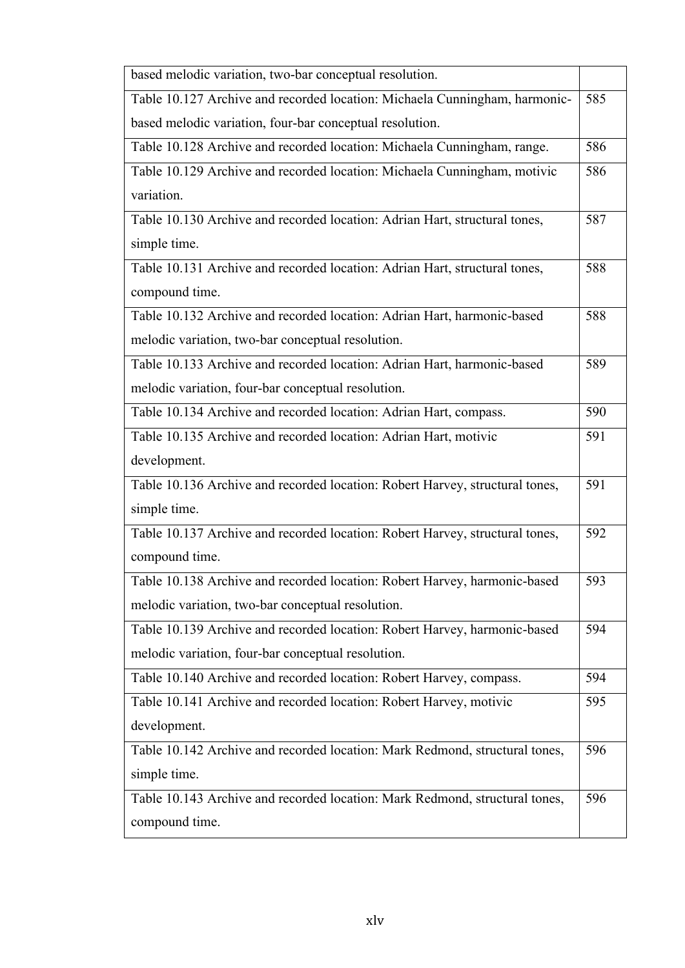| based melodic variation, two-bar conceptual resolution.                      |     |
|------------------------------------------------------------------------------|-----|
| Table 10.127 Archive and recorded location: Michaela Cunningham, harmonic-   | 585 |
| based melodic variation, four-bar conceptual resolution.                     |     |
| Table 10.128 Archive and recorded location: Michaela Cunningham, range.      | 586 |
| Table 10.129 Archive and recorded location: Michaela Cunningham, motivic     | 586 |
| variation.                                                                   |     |
| Table 10.130 Archive and recorded location: Adrian Hart, structural tones,   | 587 |
| simple time.                                                                 |     |
| Table 10.131 Archive and recorded location: Adrian Hart, structural tones,   | 588 |
| compound time.                                                               |     |
| Table 10.132 Archive and recorded location: Adrian Hart, harmonic-based      | 588 |
| melodic variation, two-bar conceptual resolution.                            |     |
| Table 10.133 Archive and recorded location: Adrian Hart, harmonic-based      | 589 |
| melodic variation, four-bar conceptual resolution.                           |     |
| Table 10.134 Archive and recorded location: Adrian Hart, compass.            | 590 |
| Table 10.135 Archive and recorded location: Adrian Hart, motivic             | 591 |
| development.                                                                 |     |
| Table 10.136 Archive and recorded location: Robert Harvey, structural tones, | 591 |
| simple time.                                                                 |     |
| Table 10.137 Archive and recorded location: Robert Harvey, structural tones, | 592 |
| compound time.                                                               |     |
| Table 10.138 Archive and recorded location: Robert Harvey, harmonic-based    | 593 |
| melodic variation, two-bar conceptual resolution.                            |     |
| Table 10.139 Archive and recorded location: Robert Harvey, harmonic-based    | 594 |
| melodic variation, four-bar conceptual resolution.                           |     |
| Table 10.140 Archive and recorded location: Robert Harvey, compass.          | 594 |
| Table 10.141 Archive and recorded location: Robert Harvey, motivic           | 595 |
| development.                                                                 |     |
| Table 10.142 Archive and recorded location: Mark Redmond, structural tones,  | 596 |
| simple time.                                                                 |     |
| Table 10.143 Archive and recorded location: Mark Redmond, structural tones,  | 596 |
| compound time.                                                               |     |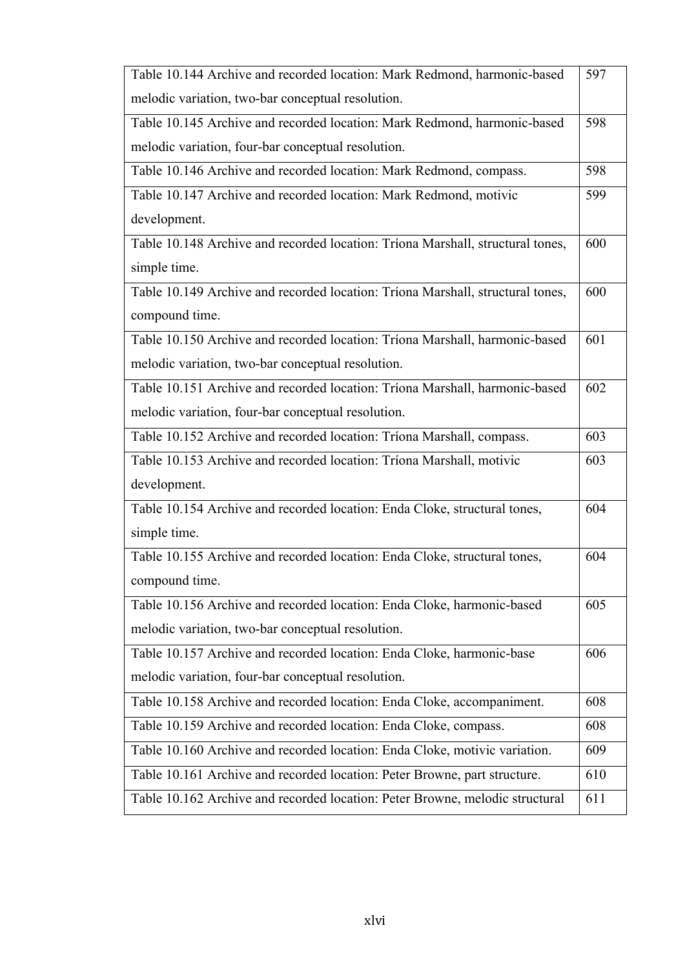| Table 10.144 Archive and recorded location: Mark Redmond, harmonic-based       | 597 |
|--------------------------------------------------------------------------------|-----|
| melodic variation, two-bar conceptual resolution.                              |     |
| Table 10.145 Archive and recorded location: Mark Redmond, harmonic-based       | 598 |
| melodic variation, four-bar conceptual resolution.                             |     |
| Table 10.146 Archive and recorded location: Mark Redmond, compass.             | 598 |
| Table 10.147 Archive and recorded location: Mark Redmond, motivic              | 599 |
| development.                                                                   |     |
| Table 10.148 Archive and recorded location: Triona Marshall, structural tones, | 600 |
| simple time.                                                                   |     |
| Table 10.149 Archive and recorded location: Triona Marshall, structural tones, | 600 |
| compound time.                                                                 |     |
| Table 10.150 Archive and recorded location: Tríona Marshall, harmonic-based    | 601 |
| melodic variation, two-bar conceptual resolution.                              |     |
| Table 10.151 Archive and recorded location: Tríona Marshall, harmonic-based    | 602 |
| melodic variation, four-bar conceptual resolution.                             |     |
| Table 10.152 Archive and recorded location: Tríona Marshall, compass.          | 603 |
| Table 10.153 Archive and recorded location: Tríona Marshall, motivic           | 603 |
| development.                                                                   |     |
| Table 10.154 Archive and recorded location: Enda Cloke, structural tones,      | 604 |
| simple time.                                                                   |     |
| Table 10.155 Archive and recorded location: Enda Cloke, structural tones,      | 604 |
| compound time.                                                                 |     |
| Table 10.156 Archive and recorded location: Enda Cloke, harmonic-based         | 605 |
| melodic variation, two-bar conceptual resolution.                              |     |
| Table 10.157 Archive and recorded location: Enda Cloke, harmonic-base          | 606 |
| melodic variation, four-bar conceptual resolution.                             |     |
| Table 10.158 Archive and recorded location: Enda Cloke, accompaniment.         | 608 |
| Table 10.159 Archive and recorded location: Enda Cloke, compass.               | 608 |
| Table 10.160 Archive and recorded location: Enda Cloke, motivic variation.     | 609 |
| Table 10.161 Archive and recorded location: Peter Browne, part structure.      | 610 |
| Table 10.162 Archive and recorded location: Peter Browne, melodic structural   | 611 |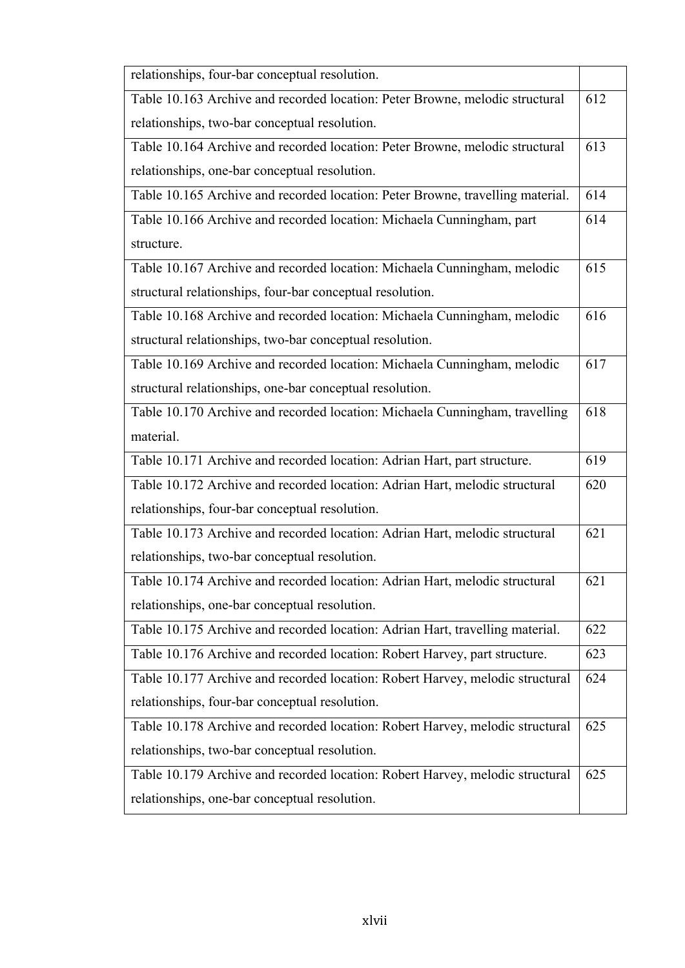| relationships, four-bar conceptual resolution.                                 |     |
|--------------------------------------------------------------------------------|-----|
| Table 10.163 Archive and recorded location: Peter Browne, melodic structural   | 612 |
| relationships, two-bar conceptual resolution.                                  |     |
| Table 10.164 Archive and recorded location: Peter Browne, melodic structural   | 613 |
| relationships, one-bar conceptual resolution.                                  |     |
| Table 10.165 Archive and recorded location: Peter Browne, travelling material. | 614 |
| Table 10.166 Archive and recorded location: Michaela Cunningham, part          | 614 |
| structure.                                                                     |     |
| Table 10.167 Archive and recorded location: Michaela Cunningham, melodic       | 615 |
| structural relationships, four-bar conceptual resolution.                      |     |
| Table 10.168 Archive and recorded location: Michaela Cunningham, melodic       | 616 |
| structural relationships, two-bar conceptual resolution.                       |     |
| Table 10.169 Archive and recorded location: Michaela Cunningham, melodic       | 617 |
| structural relationships, one-bar conceptual resolution.                       |     |
| Table 10.170 Archive and recorded location: Michaela Cunningham, travelling    | 618 |
| material.                                                                      |     |
| Table 10.171 Archive and recorded location: Adrian Hart, part structure.       | 619 |
| Table 10.172 Archive and recorded location: Adrian Hart, melodic structural    | 620 |
| relationships, four-bar conceptual resolution.                                 |     |
| Table 10.173 Archive and recorded location: Adrian Hart, melodic structural    | 621 |
| relationships, two-bar conceptual resolution.                                  |     |
| Table 10.174 Archive and recorded location: Adrian Hart, melodic structural    | 621 |
| relationships, one-bar conceptual resolution.                                  |     |
| Table 10.175 Archive and recorded location: Adrian Hart, travelling material.  | 622 |
| Table 10.176 Archive and recorded location: Robert Harvey, part structure.     | 623 |
| Table 10.177 Archive and recorded location: Robert Harvey, melodic structural  | 624 |
| relationships, four-bar conceptual resolution.                                 |     |
| Table 10.178 Archive and recorded location: Robert Harvey, melodic structural  | 625 |
| relationships, two-bar conceptual resolution.                                  |     |
| Table 10.179 Archive and recorded location: Robert Harvey, melodic structural  | 625 |
| relationships, one-bar conceptual resolution.                                  |     |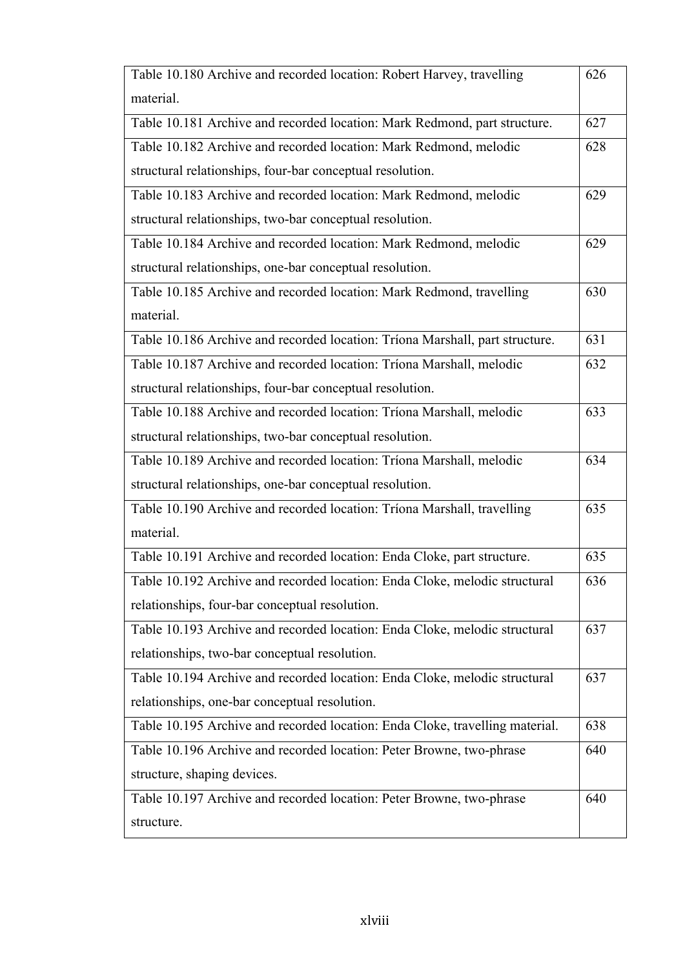| Table 10.180 Archive and recorded location: Robert Harvey, travelling        | 626 |
|------------------------------------------------------------------------------|-----|
| material.                                                                    |     |
| Table 10.181 Archive and recorded location: Mark Redmond, part structure.    | 627 |
| Table 10.182 Archive and recorded location: Mark Redmond, melodic            | 628 |
| structural relationships, four-bar conceptual resolution.                    |     |
| Table 10.183 Archive and recorded location: Mark Redmond, melodic            | 629 |
| structural relationships, two-bar conceptual resolution.                     |     |
| Table 10.184 Archive and recorded location: Mark Redmond, melodic            | 629 |
| structural relationships, one-bar conceptual resolution.                     |     |
| Table 10.185 Archive and recorded location: Mark Redmond, travelling         | 630 |
| material.                                                                    |     |
| Table 10.186 Archive and recorded location: Triona Marshall, part structure. | 631 |
| Table 10.187 Archive and recorded location: Tríona Marshall, melodic         | 632 |
| structural relationships, four-bar conceptual resolution.                    |     |
| Table 10.188 Archive and recorded location: Tríona Marshall, melodic         | 633 |
| structural relationships, two-bar conceptual resolution.                     |     |
| Table 10.189 Archive and recorded location: Triona Marshall, melodic         | 634 |
| structural relationships, one-bar conceptual resolution.                     |     |
| Table 10.190 Archive and recorded location: Tríona Marshall, travelling      | 635 |
| material.                                                                    |     |
| Table 10.191 Archive and recorded location: Enda Cloke, part structure.      | 635 |
| Table 10.192 Archive and recorded location: Enda Cloke, melodic structural   | 636 |
| relationships, four-bar conceptual resolution.                               |     |
| Table 10.193 Archive and recorded location: Enda Cloke, melodic structural   | 637 |
| relationships, two-bar conceptual resolution.                                |     |
| Table 10.194 Archive and recorded location: Enda Cloke, melodic structural   | 637 |
| relationships, one-bar conceptual resolution.                                |     |
| Table 10.195 Archive and recorded location: Enda Cloke, travelling material. | 638 |
| Table 10.196 Archive and recorded location: Peter Browne, two-phrase         | 640 |
| structure, shaping devices.                                                  |     |
| Table 10.197 Archive and recorded location: Peter Browne, two-phrase         | 640 |
| structure.                                                                   |     |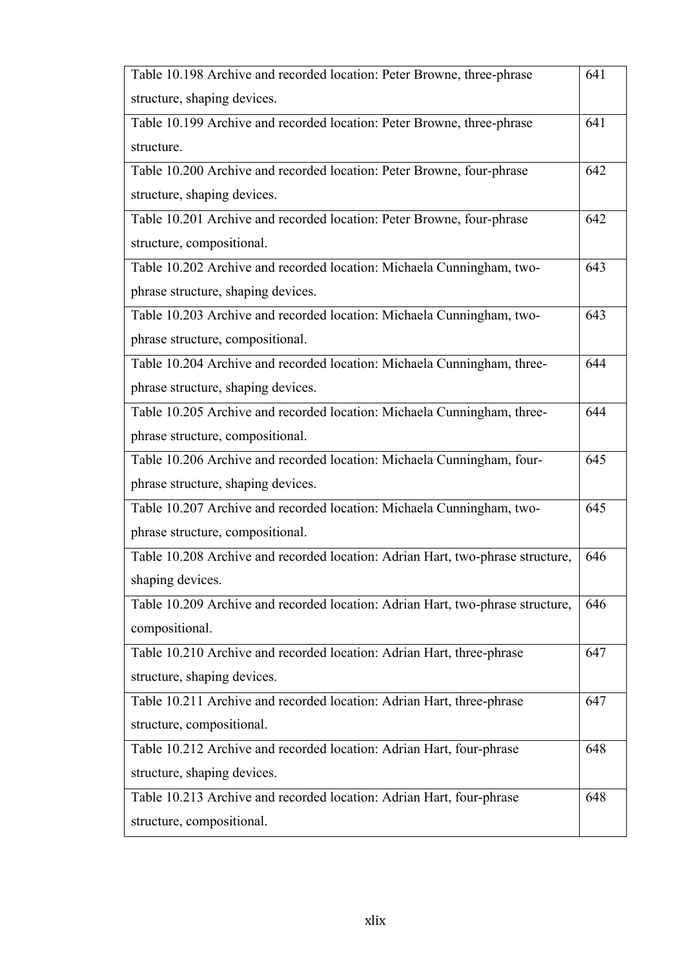| Table 10.198 Archive and recorded location: Peter Browne, three-phrase         | 641 |
|--------------------------------------------------------------------------------|-----|
| structure, shaping devices.                                                    |     |
| Table 10.199 Archive and recorded location: Peter Browne, three-phrase         | 641 |
| structure.                                                                     |     |
| Table 10.200 Archive and recorded location: Peter Browne, four-phrase          | 642 |
| structure, shaping devices.                                                    |     |
| Table 10.201 Archive and recorded location: Peter Browne, four-phrase          | 642 |
| structure, compositional.                                                      |     |
| Table 10.202 Archive and recorded location: Michaela Cunningham, two-          | 643 |
| phrase structure, shaping devices.                                             |     |
| Table 10.203 Archive and recorded location: Michaela Cunningham, two-          | 643 |
| phrase structure, compositional.                                               |     |
| Table 10.204 Archive and recorded location: Michaela Cunningham, three-        | 644 |
| phrase structure, shaping devices.                                             |     |
| Table 10.205 Archive and recorded location: Michaela Cunningham, three-        | 644 |
| phrase structure, compositional.                                               |     |
| Table 10.206 Archive and recorded location: Michaela Cunningham, four-         | 645 |
| phrase structure, shaping devices.                                             |     |
| Table 10.207 Archive and recorded location: Michaela Cunningham, two-          | 645 |
| phrase structure, compositional.                                               |     |
| Table 10.208 Archive and recorded location: Adrian Hart, two-phrase structure, | 646 |
| shaping devices.                                                               |     |
| Table 10.209 Archive and recorded location: Adrian Hart, two-phrase structure, | 646 |
| compositional.                                                                 |     |
| Table 10.210 Archive and recorded location: Adrian Hart, three-phrase          | 647 |
| structure, shaping devices.                                                    |     |
| Table 10.211 Archive and recorded location: Adrian Hart, three-phrase          | 647 |
| structure, compositional.                                                      |     |
| Table 10.212 Archive and recorded location: Adrian Hart, four-phrase           | 648 |
| structure, shaping devices.                                                    |     |
| Table 10.213 Archive and recorded location: Adrian Hart, four-phrase           | 648 |
| structure, compositional.                                                      |     |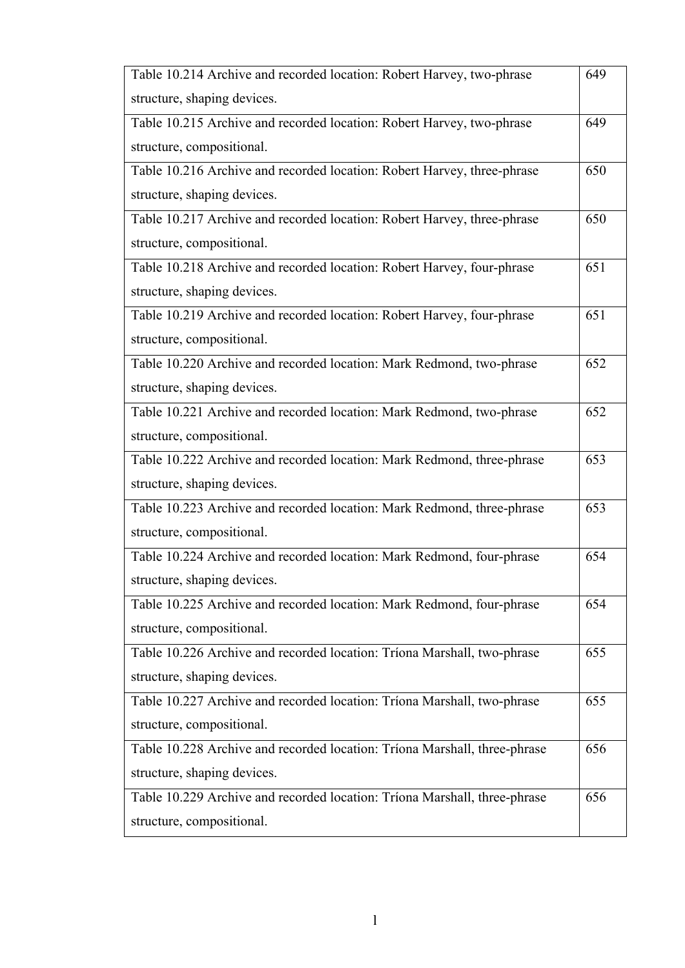| Table 10.214 Archive and recorded location: Robert Harvey, two-phrase     | 649 |
|---------------------------------------------------------------------------|-----|
| structure, shaping devices.                                               |     |
| Table 10.215 Archive and recorded location: Robert Harvey, two-phrase     | 649 |
| structure, compositional.                                                 |     |
| Table 10.216 Archive and recorded location: Robert Harvey, three-phrase   | 650 |
| structure, shaping devices.                                               |     |
| Table 10.217 Archive and recorded location: Robert Harvey, three-phrase   | 650 |
| structure, compositional.                                                 |     |
| Table 10.218 Archive and recorded location: Robert Harvey, four-phrase    | 651 |
| structure, shaping devices.                                               |     |
| Table 10.219 Archive and recorded location: Robert Harvey, four-phrase    | 651 |
| structure, compositional.                                                 |     |
| Table 10.220 Archive and recorded location: Mark Redmond, two-phrase      | 652 |
| structure, shaping devices.                                               |     |
| Table 10.221 Archive and recorded location: Mark Redmond, two-phrase      | 652 |
| structure, compositional.                                                 |     |
| Table 10.222 Archive and recorded location: Mark Redmond, three-phrase    | 653 |
| structure, shaping devices.                                               |     |
| Table 10.223 Archive and recorded location: Mark Redmond, three-phrase    | 653 |
| structure, compositional.                                                 |     |
| Table 10.224 Archive and recorded location: Mark Redmond, four-phrase     | 654 |
| structure, shaping devices.                                               |     |
| Table 10.225 Archive and recorded location: Mark Redmond, four-phrase     | 654 |
| structure, compositional.                                                 |     |
| Table 10.226 Archive and recorded location: Tríona Marshall, two-phrase   | 655 |
| structure, shaping devices.                                               |     |
| Table 10.227 Archive and recorded location: Tríona Marshall, two-phrase   | 655 |
| structure, compositional.                                                 |     |
| Table 10.228 Archive and recorded location: Tríona Marshall, three-phrase | 656 |
| structure, shaping devices.                                               |     |
| Table 10.229 Archive and recorded location: Triona Marshall, three-phrase | 656 |
| structure, compositional.                                                 |     |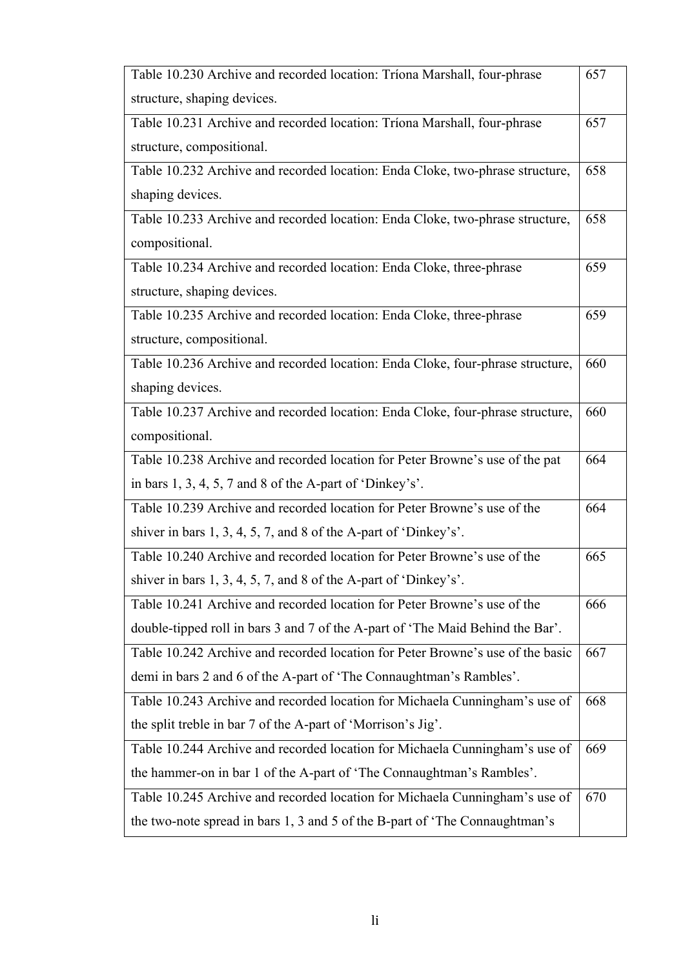| Table 10.230 Archive and recorded location: Tríona Marshall, four-phrase       | 657 |
|--------------------------------------------------------------------------------|-----|
| structure, shaping devices.                                                    |     |
| Table 10.231 Archive and recorded location: Tríona Marshall, four-phrase       | 657 |
| structure, compositional.                                                      |     |
| Table 10.232 Archive and recorded location: Enda Cloke, two-phrase structure,  | 658 |
| shaping devices.                                                               |     |
| Table 10.233 Archive and recorded location: Enda Cloke, two-phrase structure,  | 658 |
| compositional.                                                                 |     |
| Table 10.234 Archive and recorded location: Enda Cloke, three-phrase           | 659 |
| structure, shaping devices.                                                    |     |
| Table 10.235 Archive and recorded location: Enda Cloke, three-phrase           | 659 |
| structure, compositional.                                                      |     |
| Table 10.236 Archive and recorded location: Enda Cloke, four-phrase structure, | 660 |
| shaping devices.                                                               |     |
| Table 10.237 Archive and recorded location: Enda Cloke, four-phrase structure, | 660 |
| compositional.                                                                 |     |
| Table 10.238 Archive and recorded location for Peter Browne's use of the pat   | 664 |
| in bars $1, 3, 4, 5, 7$ and $8$ of the A-part of 'Dinkey's'.                   |     |
| Table 10.239 Archive and recorded location for Peter Browne's use of the       | 664 |
| shiver in bars $1, 3, 4, 5, 7$ , and $8$ of the A-part of 'Dinkey's'.          |     |
| Table 10.240 Archive and recorded location for Peter Browne's use of the       | 665 |
| shiver in bars $1, 3, 4, 5, 7$ , and $8$ of the A-part of 'Dinkey's'.          |     |
| Table 10.241 Archive and recorded location for Peter Browne's use of the       | 666 |
| double-tipped roll in bars 3 and 7 of the A-part of 'The Maid Behind the Bar'. |     |
| Table 10.242 Archive and recorded location for Peter Browne's use of the basic | 667 |
| demi in bars 2 and 6 of the A-part of 'The Connaughtman's Rambles'.            |     |
| Table 10.243 Archive and recorded location for Michaela Cunningham's use of    | 668 |
| the split treble in bar 7 of the A-part of 'Morrison's Jig'.                   |     |
| Table 10.244 Archive and recorded location for Michaela Cunningham's use of    | 669 |
| the hammer-on in bar 1 of the A-part of 'The Connaughtman's Rambles'.          |     |
| Table 10.245 Archive and recorded location for Michaela Cunningham's use of    | 670 |
| the two-note spread in bars 1, 3 and 5 of the B-part of 'The Connaughtman's    |     |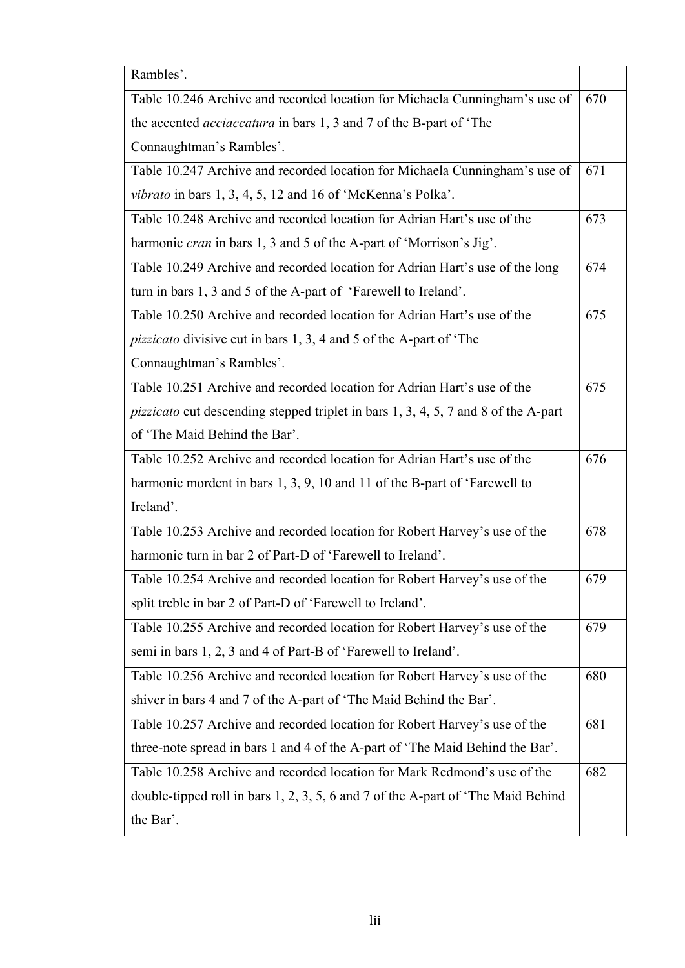| Rambles'.                                                                                 |     |
|-------------------------------------------------------------------------------------------|-----|
| Table 10.246 Archive and recorded location for Michaela Cunningham's use of               | 670 |
| the accented <i>acciaccatura</i> in bars 1, 3 and 7 of the B-part of 'The                 |     |
| Connaughtman's Rambles'.                                                                  |     |
| Table 10.247 Archive and recorded location for Michaela Cunningham's use of               | 671 |
| vibrato in bars 1, 3, 4, 5, 12 and 16 of 'McKenna's Polka'.                               |     |
| Table 10.248 Archive and recorded location for Adrian Hart's use of the                   | 673 |
| harmonic <i>cran</i> in bars 1, 3 and 5 of the A-part of 'Morrison's Jig'.                |     |
| Table 10.249 Archive and recorded location for Adrian Hart's use of the long              | 674 |
| turn in bars 1, 3 and 5 of the A-part of 'Farewell to Ireland'.                           |     |
| Table 10.250 Archive and recorded location for Adrian Hart's use of the                   | 675 |
| <i>pizzicato</i> divisive cut in bars 1, 3, 4 and 5 of the A-part of 'The                 |     |
| Connaughtman's Rambles'.                                                                  |     |
| Table 10.251 Archive and recorded location for Adrian Hart's use of the                   | 675 |
| <i>pizzicato</i> cut descending stepped triplet in bars 1, 3, 4, 5, 7 and 8 of the A-part |     |
| of 'The Maid Behind the Bar'.                                                             |     |
| Table 10.252 Archive and recorded location for Adrian Hart's use of the                   | 676 |
| harmonic mordent in bars 1, 3, 9, 10 and 11 of the B-part of 'Farewell to                 |     |
| Ireland'.                                                                                 |     |
| Table 10.253 Archive and recorded location for Robert Harvey's use of the                 | 678 |
| harmonic turn in bar 2 of Part-D of 'Farewell to Ireland'.                                |     |
| Table 10.254 Archive and recorded location for Robert Harvey's use of the                 | 679 |
| split treble in bar 2 of Part-D of 'Farewell to Ireland'.                                 |     |
| Table 10.255 Archive and recorded location for Robert Harvey's use of the                 | 679 |
| semi in bars 1, 2, 3 and 4 of Part-B of 'Farewell to Ireland'.                            |     |
| Table 10.256 Archive and recorded location for Robert Harvey's use of the                 | 680 |
| shiver in bars 4 and 7 of the A-part of 'The Maid Behind the Bar'.                        |     |
| Table 10.257 Archive and recorded location for Robert Harvey's use of the                 | 681 |
| three-note spread in bars 1 and 4 of the A-part of 'The Maid Behind the Bar'.             |     |
| Table 10.258 Archive and recorded location for Mark Redmond's use of the                  | 682 |
| double-tipped roll in bars 1, 2, 3, 5, 6 and 7 of the A-part of 'The Maid Behind          |     |
| the Bar'.                                                                                 |     |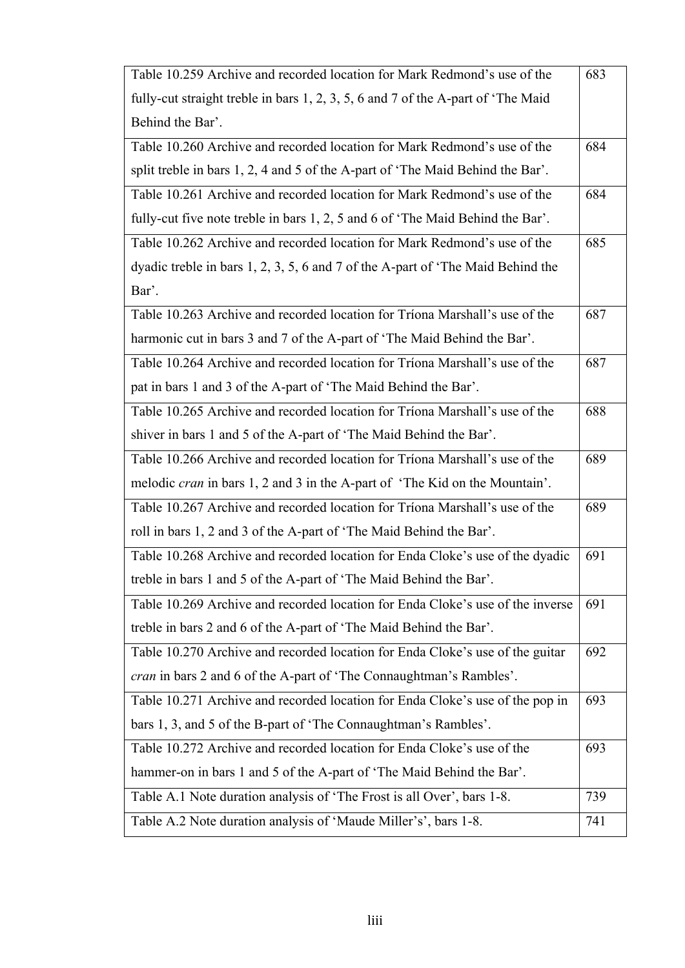| Table 10.259 Archive and recorded location for Mark Redmond's use of the           | 683 |
|------------------------------------------------------------------------------------|-----|
| fully-cut straight treble in bars 1, 2, 3, 5, 6 and 7 of the A-part of 'The Maid   |     |
| Behind the Bar'.                                                                   |     |
| Table 10.260 Archive and recorded location for Mark Redmond's use of the           | 684 |
| split treble in bars 1, 2, 4 and 5 of the A-part of 'The Maid Behind the Bar'.     |     |
| Table 10.261 Archive and recorded location for Mark Redmond's use of the           | 684 |
| fully-cut five note treble in bars 1, 2, 5 and 6 of 'The Maid Behind the Bar'.     |     |
| Table 10.262 Archive and recorded location for Mark Redmond's use of the           | 685 |
| dyadic treble in bars 1, 2, 3, 5, 6 and 7 of the A-part of 'The Maid Behind the    |     |
| Bar'.                                                                              |     |
| Table 10.263 Archive and recorded location for Triona Marshall's use of the        | 687 |
| harmonic cut in bars 3 and 7 of the A-part of 'The Maid Behind the Bar'.           |     |
| Table 10.264 Archive and recorded location for Triona Marshall's use of the        | 687 |
| pat in bars 1 and 3 of the A-part of 'The Maid Behind the Bar'.                    |     |
| Table 10.265 Archive and recorded location for Triona Marshall's use of the        | 688 |
| shiver in bars 1 and 5 of the A-part of 'The Maid Behind the Bar'.                 |     |
| Table 10.266 Archive and recorded location for Triona Marshall's use of the        | 689 |
| melodic <i>cran</i> in bars 1, 2 and 3 in the A-part of 'The Kid on the Mountain'. |     |
| Table 10.267 Archive and recorded location for Triona Marshall's use of the        | 689 |
| roll in bars 1, 2 and 3 of the A-part of 'The Maid Behind the Bar'.                |     |
| Table 10.268 Archive and recorded location for Enda Cloke's use of the dyadic      | 691 |
| treble in bars 1 and 5 of the A-part of 'The Maid Behind the Bar'.                 |     |
| Table 10.269 Archive and recorded location for Enda Cloke's use of the inverse     | 691 |
| treble in bars 2 and 6 of the A-part of 'The Maid Behind the Bar'.                 |     |
| Table 10.270 Archive and recorded location for Enda Cloke's use of the guitar      | 692 |
| <i>cran</i> in bars 2 and 6 of the A-part of 'The Connaughtman's Rambles'.         |     |
| Table 10.271 Archive and recorded location for Enda Cloke's use of the pop in      | 693 |
| bars 1, 3, and 5 of the B-part of 'The Connaughtman's Rambles'.                    |     |
| Table 10.272 Archive and recorded location for Enda Cloke's use of the             | 693 |
| hammer-on in bars 1 and 5 of the A-part of 'The Maid Behind the Bar'.              |     |
| Table A.1 Note duration analysis of 'The Frost is all Over', bars 1-8.             | 739 |
| Table A.2 Note duration analysis of 'Maude Miller's', bars 1-8.                    | 741 |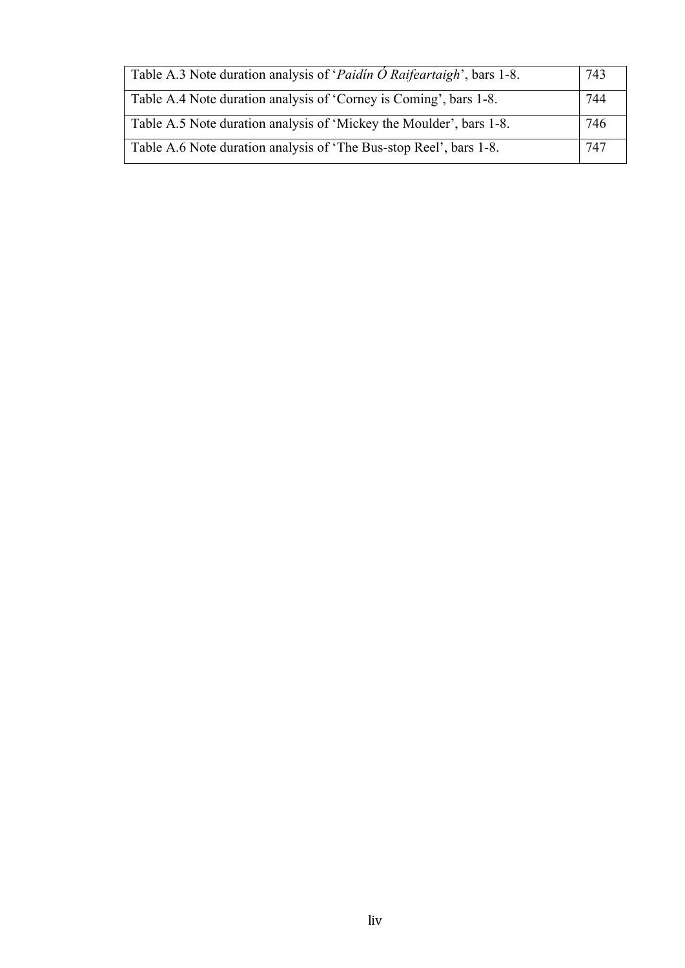| Table A.3 Note duration analysis of ' <i>Paidin O Raifeartaigh</i> ', bars 1-8. | 743 |
|---------------------------------------------------------------------------------|-----|
| Table A.4 Note duration analysis of 'Corney is Coming', bars 1-8.               | 744 |
| Table A.5 Note duration analysis of 'Mickey the Moulder', bars 1-8.             | 746 |
| Table A.6 Note duration analysis of 'The Bus-stop Reel', bars 1-8.              | 747 |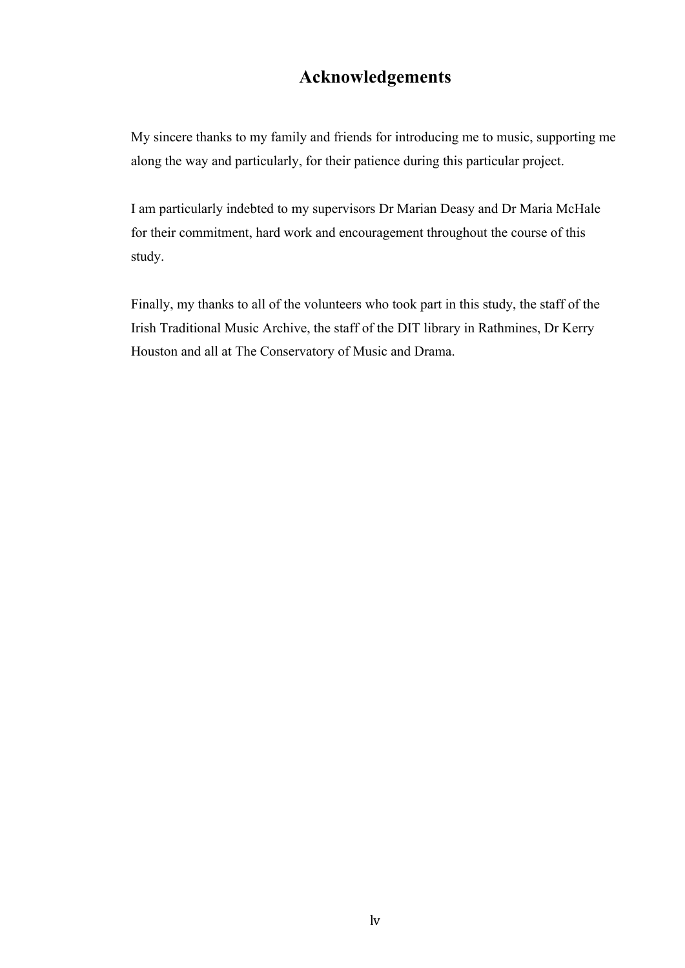### **Acknowledgements**

My sincere thanks to my family and friends for introducing me to music, supporting me along the way and particularly, for their patience during this particular project.

I am particularly indebted to my supervisors Dr Marian Deasy and Dr Maria McHale for their commitment, hard work and encouragement throughout the course of this study.

Finally, my thanks to all of the volunteers who took part in this study, the staff of the Irish Traditional Music Archive, the staff of the DIT library in Rathmines, Dr Kerry Houston and all at The Conservatory of Music and Drama.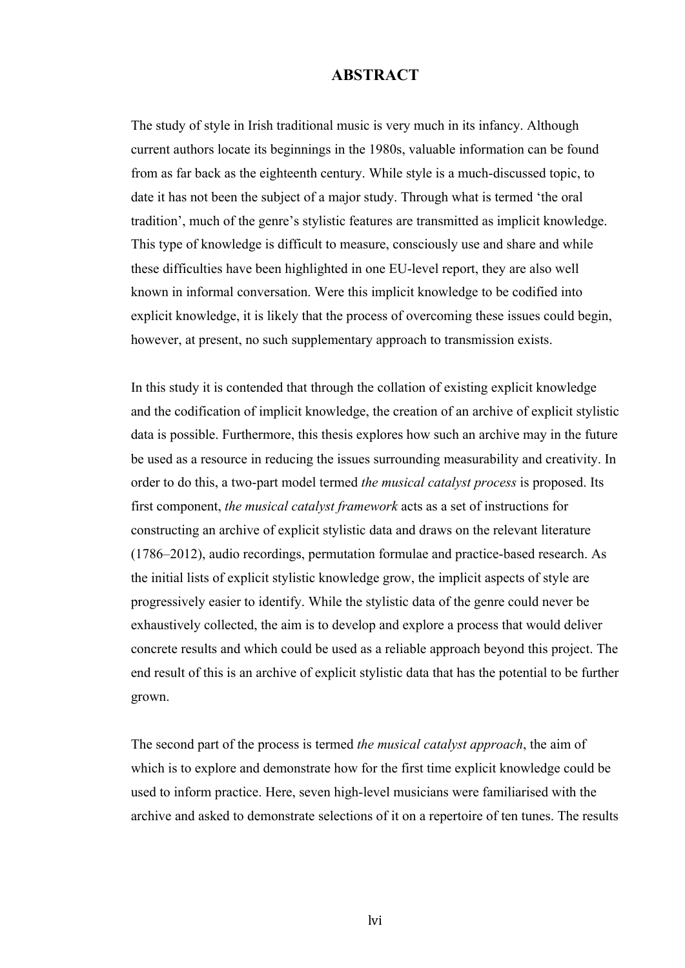#### **ABSTRACT**

The study of style in Irish traditional music is very much in its infancy. Although current authors locate its beginnings in the 1980s, valuable information can be found from as far back as the eighteenth century. While style is a much-discussed topic, to date it has not been the subject of a major study. Through what is termed 'the oral tradition', much of the genre's stylistic features are transmitted as implicit knowledge. This type of knowledge is difficult to measure, consciously use and share and while these difficulties have been highlighted in one EU-level report, they are also well known in informal conversation. Were this implicit knowledge to be codified into explicit knowledge, it is likely that the process of overcoming these issues could begin, however, at present, no such supplementary approach to transmission exists.

In this study it is contended that through the collation of existing explicit knowledge and the codification of implicit knowledge, the creation of an archive of explicit stylistic data is possible. Furthermore, this thesis explores how such an archive may in the future be used as a resource in reducing the issues surrounding measurability and creativity. In order to do this, a two-part model termed *the musical catalyst process* is proposed. Its first component, *the musical catalyst framework* acts as a set of instructions for constructing an archive of explicit stylistic data and draws on the relevant literature (1786–2012), audio recordings, permutation formulae and practice-based research. As the initial lists of explicit stylistic knowledge grow, the implicit aspects of style are progressively easier to identify. While the stylistic data of the genre could never be exhaustively collected, the aim is to develop and explore a process that would deliver concrete results and which could be used as a reliable approach beyond this project. The end result of this is an archive of explicit stylistic data that has the potential to be further grown.

The second part of the process is termed *the musical catalyst approach*, the aim of which is to explore and demonstrate how for the first time explicit knowledge could be used to inform practice. Here, seven high-level musicians were familiarised with the archive and asked to demonstrate selections of it on a repertoire of ten tunes. The results